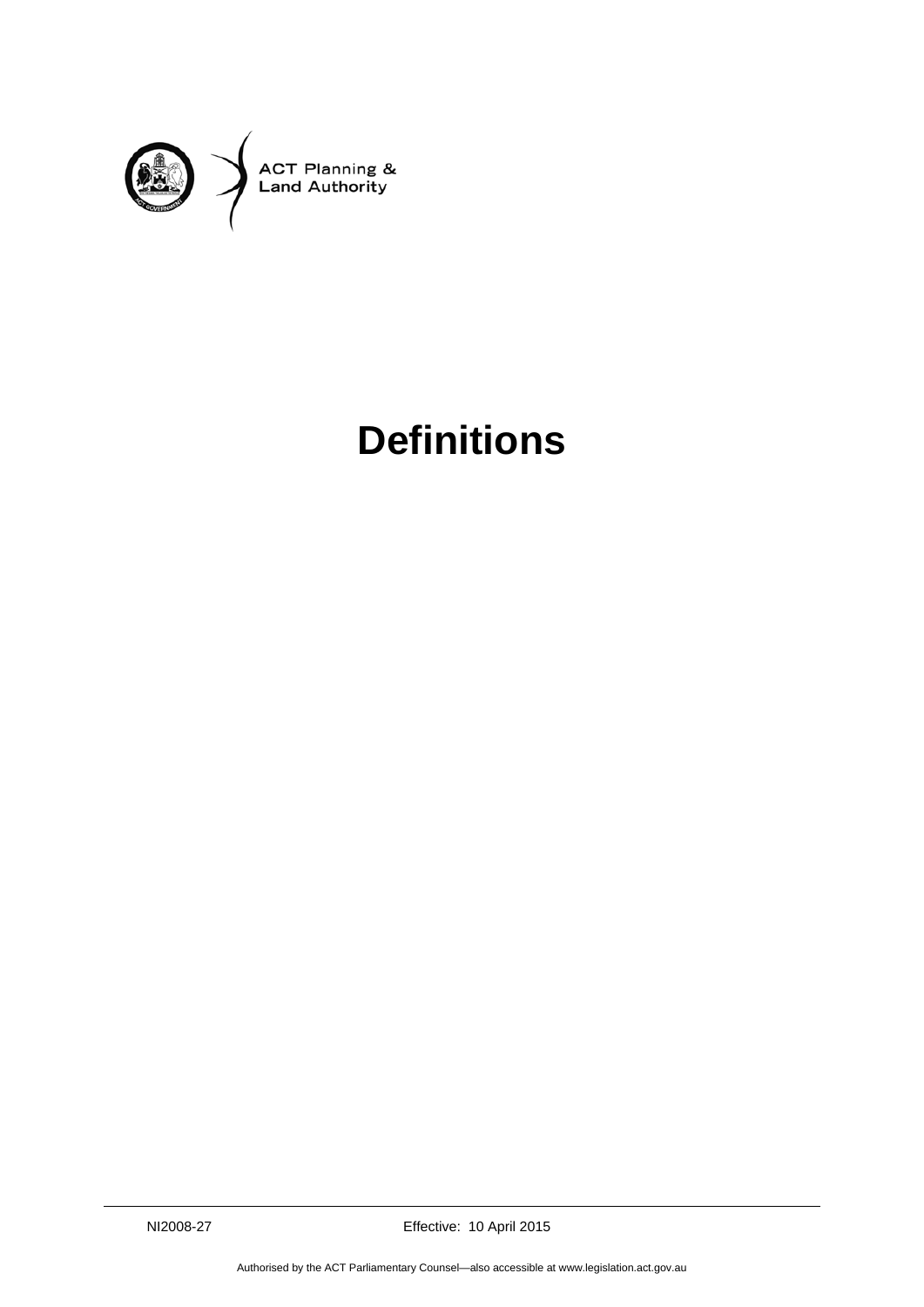

## **Definitions**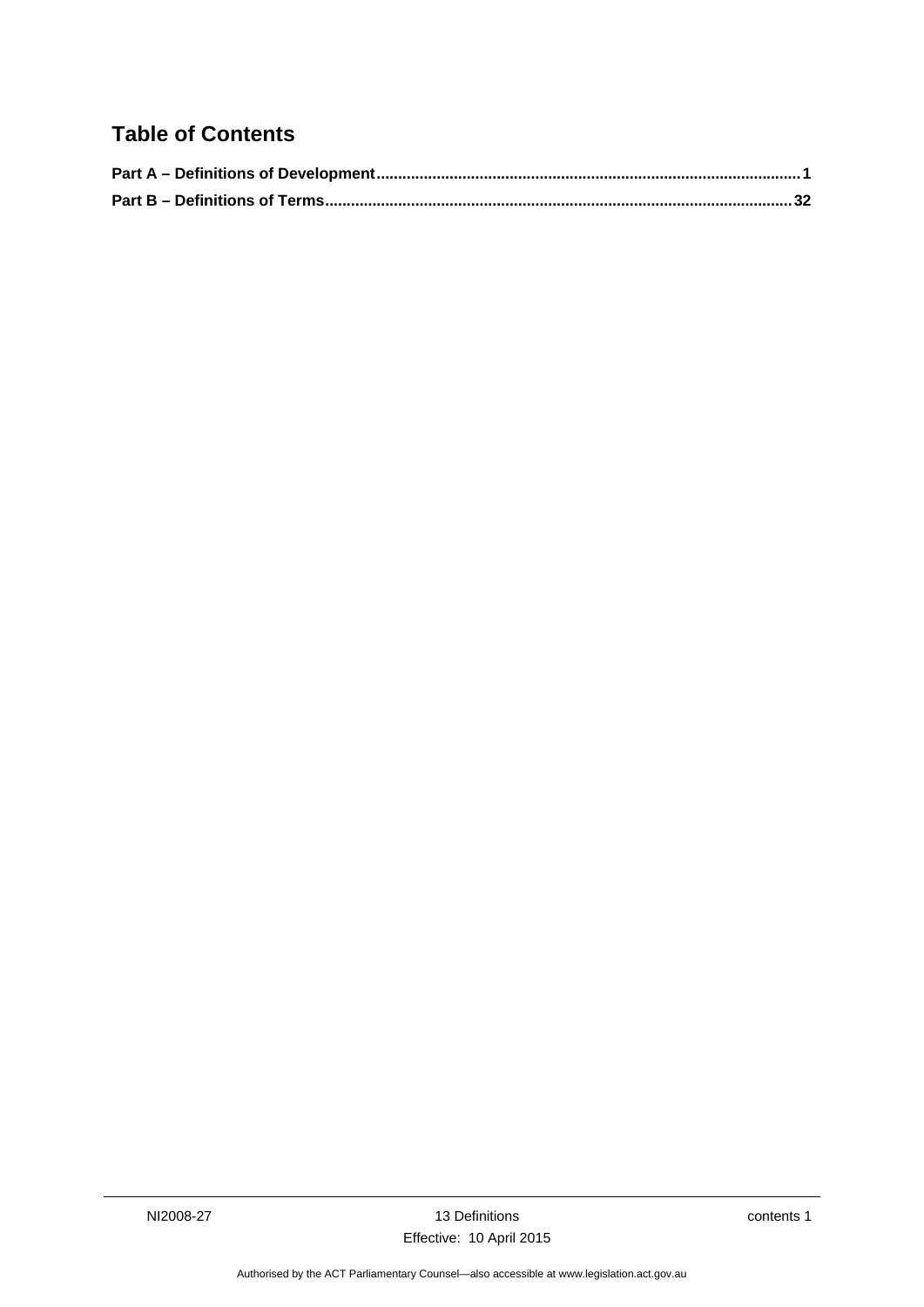## **Table of Contents**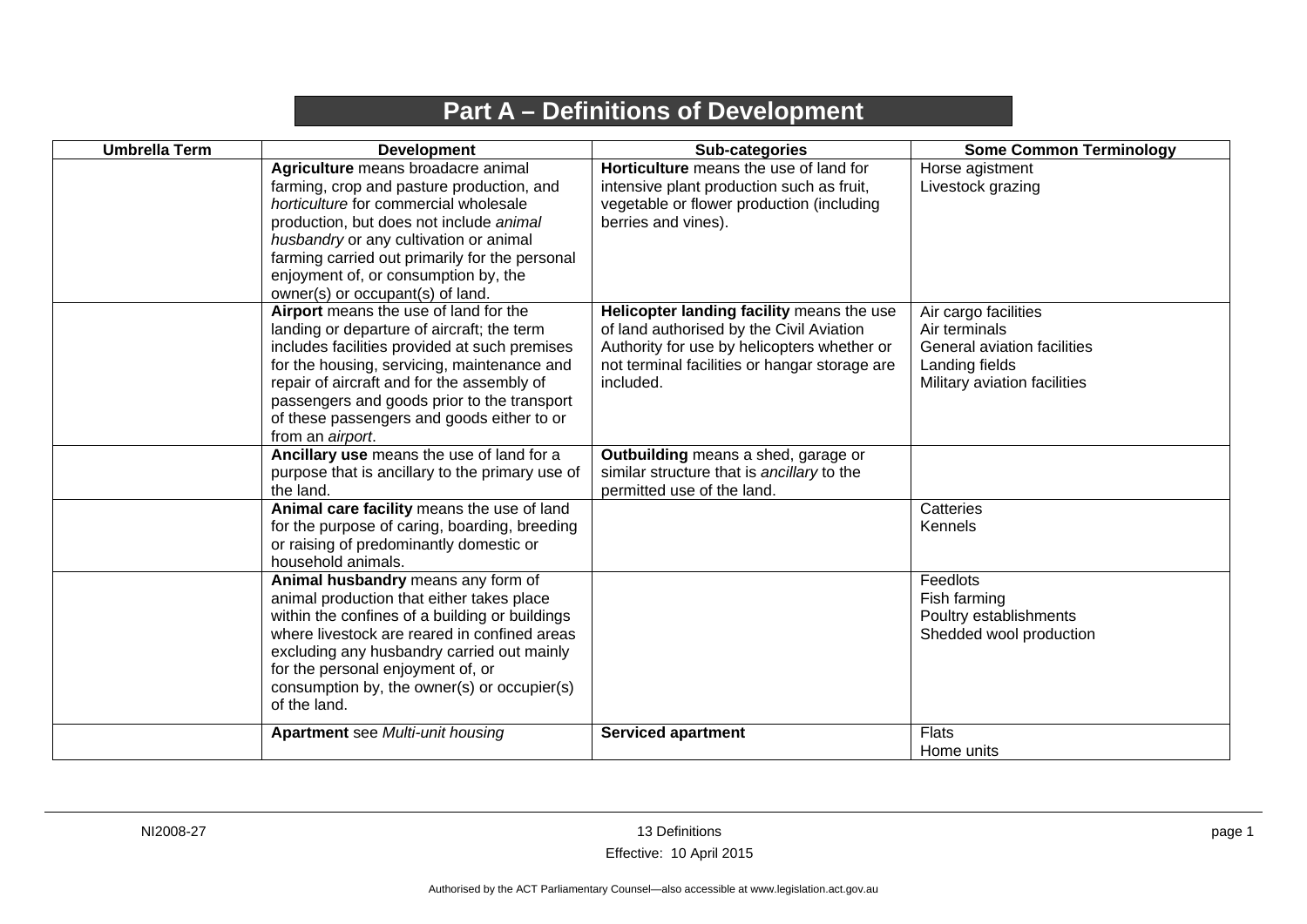## **Part A – Definitions of Development**

<span id="page-4-0"></span>

| <b>Umbrella Term</b> | <b>Development</b>                                                                                                                                                                                                                                                                                                                                 | Sub-categories                                                                                                                                                                                     | <b>Some Common Terminology</b>                                                                                         |
|----------------------|----------------------------------------------------------------------------------------------------------------------------------------------------------------------------------------------------------------------------------------------------------------------------------------------------------------------------------------------------|----------------------------------------------------------------------------------------------------------------------------------------------------------------------------------------------------|------------------------------------------------------------------------------------------------------------------------|
|                      | Agriculture means broadacre animal<br>farming, crop and pasture production, and<br>horticulture for commercial wholesale<br>production, but does not include animal<br>husbandry or any cultivation or animal<br>farming carried out primarily for the personal<br>enjoyment of, or consumption by, the<br>owner(s) or occupant(s) of land.        | Horticulture means the use of land for<br>intensive plant production such as fruit,<br>vegetable or flower production (including<br>berries and vines).                                            | Horse agistment<br>Livestock grazing                                                                                   |
|                      | Airport means the use of land for the<br>landing or departure of aircraft; the term<br>includes facilities provided at such premises<br>for the housing, servicing, maintenance and<br>repair of aircraft and for the assembly of<br>passengers and goods prior to the transport<br>of these passengers and goods either to or<br>from an airport. | Helicopter landing facility means the use<br>of land authorised by the Civil Aviation<br>Authority for use by helicopters whether or<br>not terminal facilities or hangar storage are<br>included. | Air cargo facilities<br>Air terminals<br>General aviation facilities<br>Landing fields<br>Military aviation facilities |
|                      | Ancillary use means the use of land for a<br>purpose that is ancillary to the primary use of<br>the land.                                                                                                                                                                                                                                          | Outbuilding means a shed, garage or<br>similar structure that is ancillary to the<br>permitted use of the land.                                                                                    |                                                                                                                        |
|                      | Animal care facility means the use of land<br>for the purpose of caring, boarding, breeding<br>or raising of predominantly domestic or<br>household animals.                                                                                                                                                                                       |                                                                                                                                                                                                    | Catteries<br>Kennels                                                                                                   |
|                      | Animal husbandry means any form of<br>animal production that either takes place<br>within the confines of a building or buildings<br>where livestock are reared in confined areas<br>excluding any husbandry carried out mainly<br>for the personal enjoyment of, or<br>consumption by, the owner(s) or occupier(s)<br>of the land.                |                                                                                                                                                                                                    | Feedlots<br>Fish farming<br>Poultry establishments<br>Shedded wool production                                          |
|                      | <b>Apartment</b> see Multi-unit housing                                                                                                                                                                                                                                                                                                            | <b>Serviced apartment</b>                                                                                                                                                                          | <b>Flats</b><br>Home units                                                                                             |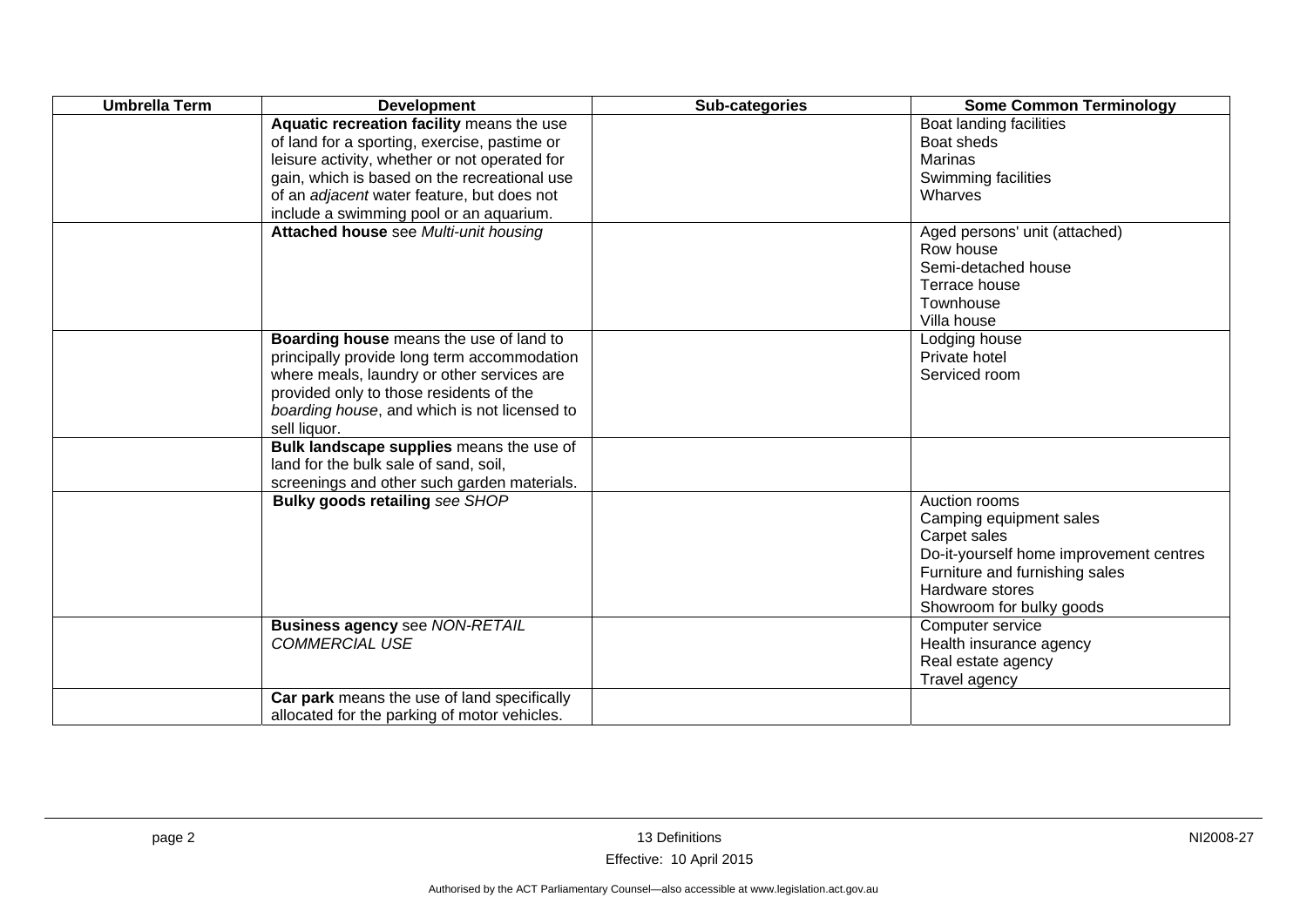| <b>Umbrella Term</b> | <b>Development</b>                                                                                                                                                                                                                                                                  | Sub-categories | <b>Some Common Terminology</b>                                                                                                                                                       |
|----------------------|-------------------------------------------------------------------------------------------------------------------------------------------------------------------------------------------------------------------------------------------------------------------------------------|----------------|--------------------------------------------------------------------------------------------------------------------------------------------------------------------------------------|
|                      | Aquatic recreation facility means the use<br>of land for a sporting, exercise, pastime or<br>leisure activity, whether or not operated for<br>gain, which is based on the recreational use<br>of an adjacent water feature, but does not<br>include a swimming pool or an aquarium. |                | Boat landing facilities<br>Boat sheds<br><b>Marinas</b><br>Swimming facilities<br>Wharves                                                                                            |
|                      | Attached house see Multi-unit housing                                                                                                                                                                                                                                               |                | Aged persons' unit (attached)<br>Row house<br>Semi-detached house<br>Terrace house<br>Townhouse<br>Villa house                                                                       |
|                      | Boarding house means the use of land to<br>principally provide long term accommodation<br>where meals, laundry or other services are<br>provided only to those residents of the<br>boarding house, and which is not licensed to<br>sell liquor.                                     |                | Lodging house<br>Private hotel<br>Serviced room                                                                                                                                      |
|                      | Bulk landscape supplies means the use of<br>land for the bulk sale of sand, soil,<br>screenings and other such garden materials.                                                                                                                                                    |                |                                                                                                                                                                                      |
|                      | <b>Bulky goods retailing see SHOP</b>                                                                                                                                                                                                                                               |                | Auction rooms<br>Camping equipment sales<br>Carpet sales<br>Do-it-yourself home improvement centres<br>Furniture and furnishing sales<br>Hardware stores<br>Showroom for bulky goods |
|                      | <b>Business agency see NON-RETAIL</b><br><b>COMMERCIAL USE</b>                                                                                                                                                                                                                      |                | Computer service<br>Health insurance agency<br>Real estate agency<br>Travel agency                                                                                                   |
|                      | Car park means the use of land specifically<br>allocated for the parking of motor vehicles.                                                                                                                                                                                         |                |                                                                                                                                                                                      |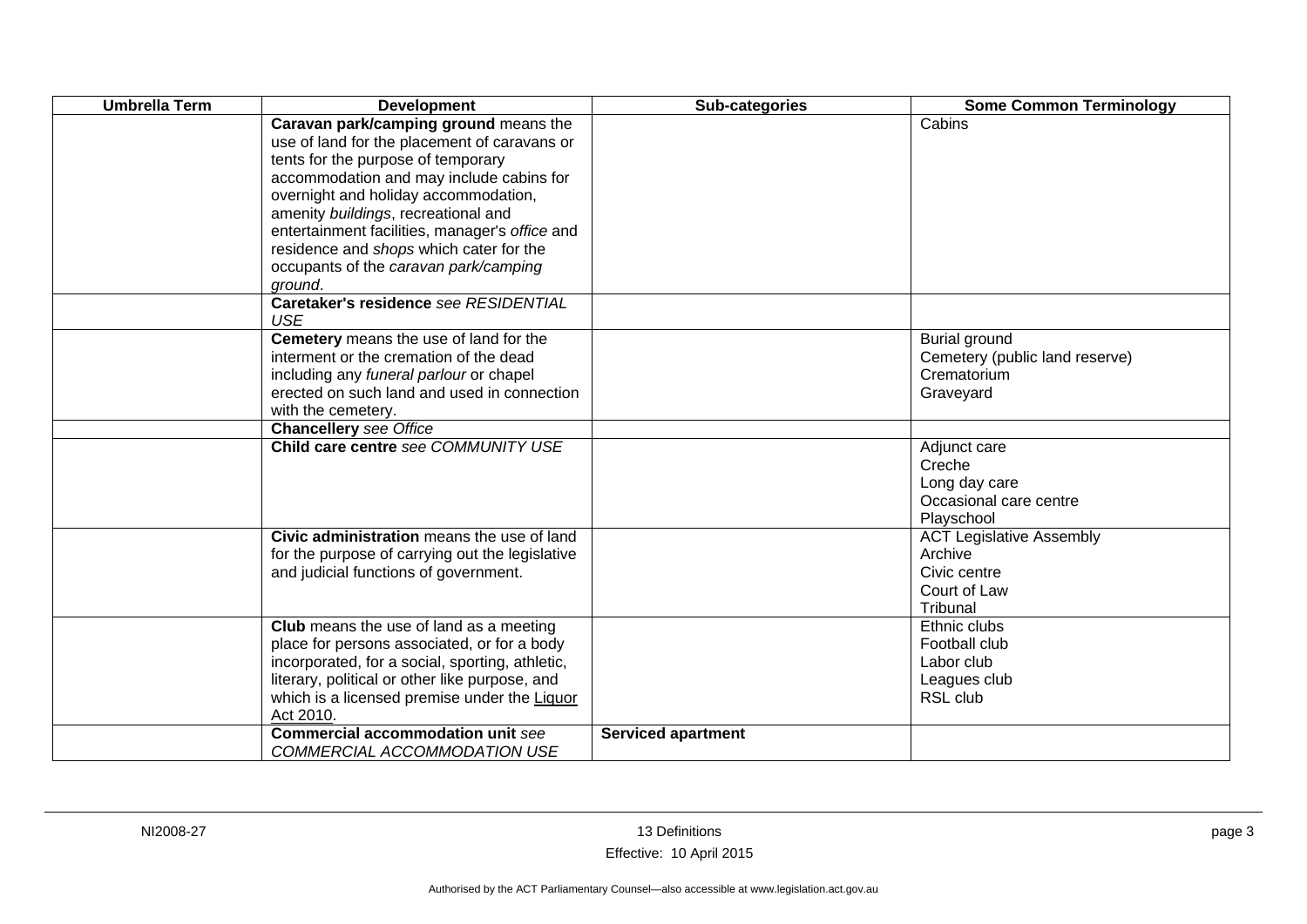| <b>Umbrella Term</b> | <b>Development</b>                                                                                                                                                                                                                                                                                                                                                                                      | Sub-categories            | <b>Some Common Terminology</b>                                                         |
|----------------------|---------------------------------------------------------------------------------------------------------------------------------------------------------------------------------------------------------------------------------------------------------------------------------------------------------------------------------------------------------------------------------------------------------|---------------------------|----------------------------------------------------------------------------------------|
|                      | Caravan park/camping ground means the<br>use of land for the placement of caravans or<br>tents for the purpose of temporary<br>accommodation and may include cabins for<br>overnight and holiday accommodation,<br>amenity buildings, recreational and<br>entertainment facilities, manager's office and<br>residence and shops which cater for the<br>occupants of the caravan park/camping<br>ground. |                           | Cabins                                                                                 |
|                      | Caretaker's residence see RESIDENTIAL<br><b>USE</b>                                                                                                                                                                                                                                                                                                                                                     |                           |                                                                                        |
|                      | Cemetery means the use of land for the<br>interment or the cremation of the dead<br>including any funeral parlour or chapel<br>erected on such land and used in connection<br>with the cemetery.<br><b>Chancellery</b> see Office                                                                                                                                                                       |                           | Burial ground<br>Cemetery (public land reserve)<br>Crematorium<br>Graveyard            |
|                      | Child care centre see COMMUNITY USE                                                                                                                                                                                                                                                                                                                                                                     |                           | Adjunct care<br>Creche<br>Long day care<br>Occasional care centre<br>Playschool        |
|                      | Civic administration means the use of land<br>for the purpose of carrying out the legislative<br>and judicial functions of government.                                                                                                                                                                                                                                                                  |                           | <b>ACT Legislative Assembly</b><br>Archive<br>Civic centre<br>Court of Law<br>Tribunal |
|                      | Club means the use of land as a meeting<br>place for persons associated, or for a body<br>incorporated, for a social, sporting, athletic,<br>literary, political or other like purpose, and<br>which is a licensed premise under the Liquor<br>Act 2010.                                                                                                                                                |                           | Ethnic clubs<br>Football club<br>Labor club<br>Leagues club<br>RSL club                |
|                      | <b>Commercial accommodation unit see</b><br>COMMERCIAL ACCOMMODATION USE                                                                                                                                                                                                                                                                                                                                | <b>Serviced apartment</b> |                                                                                        |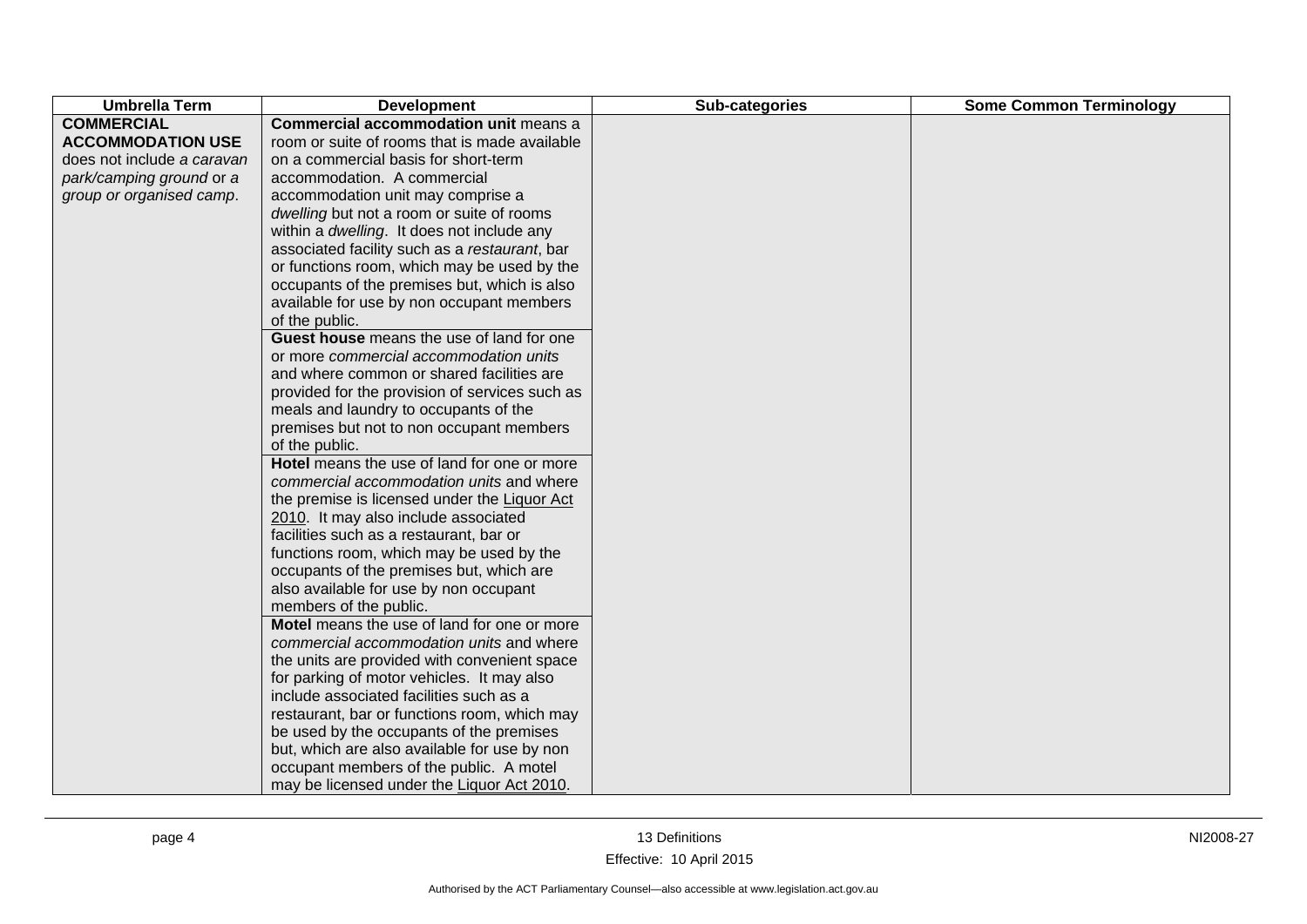| <b>Umbrella Term</b>       | <b>Development</b>                             | Sub-categories | <b>Some Common Terminology</b> |
|----------------------------|------------------------------------------------|----------------|--------------------------------|
| <b>COMMERCIAL</b>          | Commercial accommodation unit means a          |                |                                |
| <b>ACCOMMODATION USE</b>   | room or suite of rooms that is made available  |                |                                |
| does not include a caravan | on a commercial basis for short-term           |                |                                |
| park/camping ground or a   | accommodation. A commercial                    |                |                                |
| group or organised camp.   | accommodation unit may comprise a              |                |                                |
|                            | dwelling but not a room or suite of rooms      |                |                                |
|                            | within a dwelling. It does not include any     |                |                                |
|                            | associated facility such as a restaurant, bar  |                |                                |
|                            | or functions room, which may be used by the    |                |                                |
|                            | occupants of the premises but, which is also   |                |                                |
|                            | available for use by non occupant members      |                |                                |
|                            | of the public.                                 |                |                                |
|                            | Guest house means the use of land for one      |                |                                |
|                            | or more commercial accommodation units         |                |                                |
|                            | and where common or shared facilities are      |                |                                |
|                            | provided for the provision of services such as |                |                                |
|                            | meals and laundry to occupants of the          |                |                                |
|                            | premises but not to non occupant members       |                |                                |
|                            | of the public.                                 |                |                                |
|                            | Hotel means the use of land for one or more    |                |                                |
|                            | commercial accommodation units and where       |                |                                |
|                            | the premise is licensed under the Liquor Act   |                |                                |
|                            | 2010. It may also include associated           |                |                                |
|                            | facilities such as a restaurant, bar or        |                |                                |
|                            | functions room, which may be used by the       |                |                                |
|                            | occupants of the premises but, which are       |                |                                |
|                            | also available for use by non occupant         |                |                                |
|                            | members of the public.                         |                |                                |
|                            | Motel means the use of land for one or more    |                |                                |
|                            | commercial accommodation units and where       |                |                                |
|                            | the units are provided with convenient space   |                |                                |
|                            | for parking of motor vehicles. It may also     |                |                                |
|                            | include associated facilities such as a        |                |                                |
|                            | restaurant, bar or functions room, which may   |                |                                |
|                            | be used by the occupants of the premises       |                |                                |
|                            | but, which are also available for use by non   |                |                                |
|                            | occupant members of the public. A motel        |                |                                |
|                            | may be licensed under the Liquor Act 2010.     |                |                                |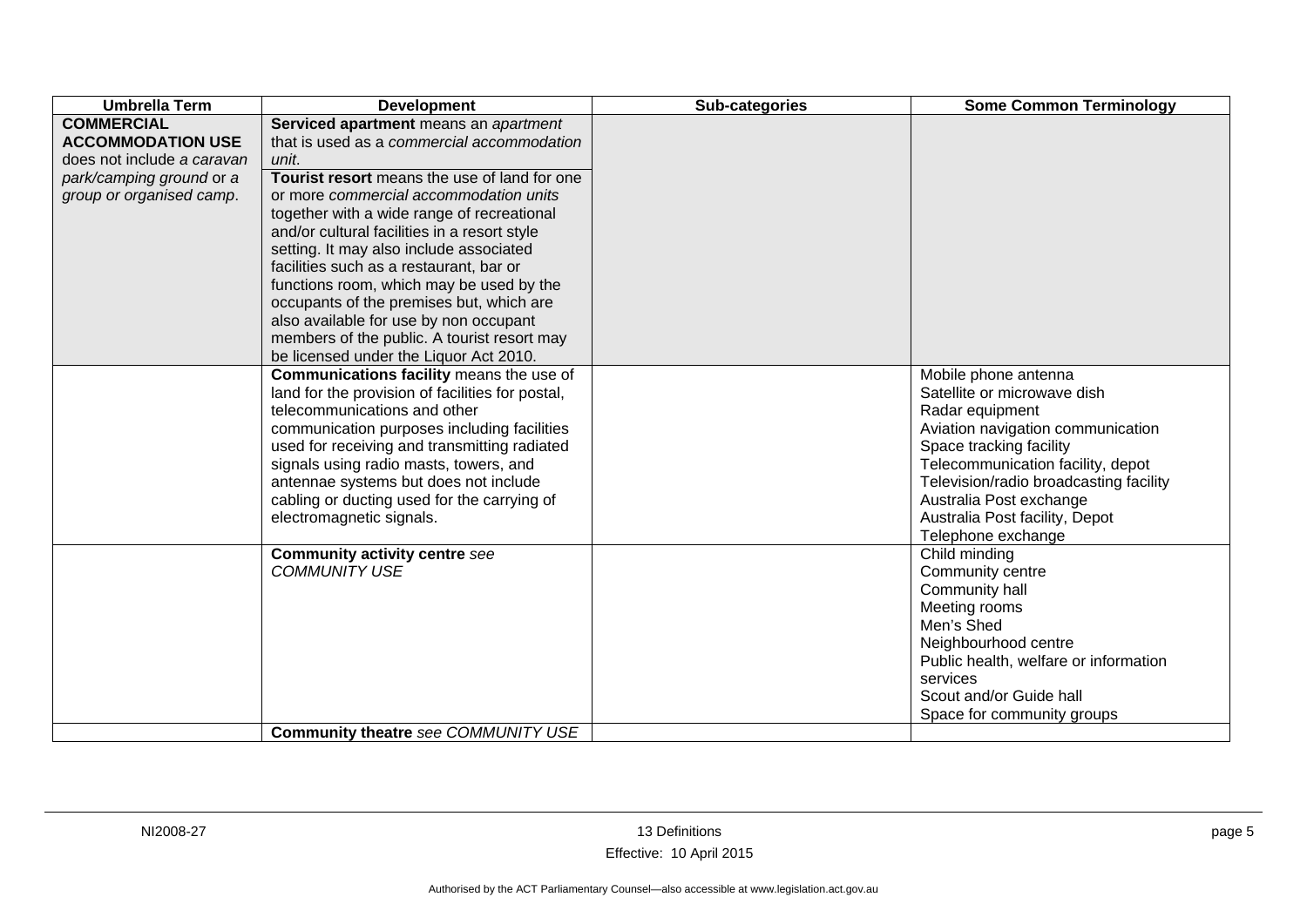| <b>Umbrella Term</b>       | <b>Development</b>                               | Sub-categories | <b>Some Common Terminology</b>         |
|----------------------------|--------------------------------------------------|----------------|----------------------------------------|
| <b>COMMERCIAL</b>          | Serviced apartment means an apartment            |                |                                        |
| <b>ACCOMMODATION USE</b>   | that is used as a commercial accommodation       |                |                                        |
| does not include a caravan | unit.                                            |                |                                        |
| park/camping ground or a   | Tourist resort means the use of land for one     |                |                                        |
| group or organised camp.   | or more commercial accommodation units           |                |                                        |
|                            | together with a wide range of recreational       |                |                                        |
|                            | and/or cultural facilities in a resort style     |                |                                        |
|                            | setting. It may also include associated          |                |                                        |
|                            | facilities such as a restaurant, bar or          |                |                                        |
|                            | functions room, which may be used by the         |                |                                        |
|                            | occupants of the premises but, which are         |                |                                        |
|                            | also available for use by non occupant           |                |                                        |
|                            | members of the public. A tourist resort may      |                |                                        |
|                            | be licensed under the Liquor Act 2010.           |                |                                        |
|                            | Communications facility means the use of         |                | Mobile phone antenna                   |
|                            | land for the provision of facilities for postal, |                | Satellite or microwave dish            |
|                            | telecommunications and other                     |                | Radar equipment                        |
|                            | communication purposes including facilities      |                | Aviation navigation communication      |
|                            | used for receiving and transmitting radiated     |                | Space tracking facility                |
|                            | signals using radio masts, towers, and           |                | Telecommunication facility, depot      |
|                            | antennae systems but does not include            |                | Television/radio broadcasting facility |
|                            | cabling or ducting used for the carrying of      |                | Australia Post exchange                |
|                            | electromagnetic signals.                         |                | Australia Post facility, Depot         |
|                            |                                                  |                | Telephone exchange                     |
|                            | <b>Community activity centre see</b>             |                | Child minding                          |
|                            | <b>COMMUNITY USE</b>                             |                | Community centre                       |
|                            |                                                  |                | Community hall                         |
|                            |                                                  |                | Meeting rooms                          |
|                            |                                                  |                | Men's Shed                             |
|                            |                                                  |                | Neighbourhood centre                   |
|                            |                                                  |                | Public health, welfare or information  |
|                            |                                                  |                | services                               |
|                            |                                                  |                | Scout and/or Guide hall                |
|                            |                                                  |                | Space for community groups             |
|                            | Community theatre see COMMUNITY USE              |                |                                        |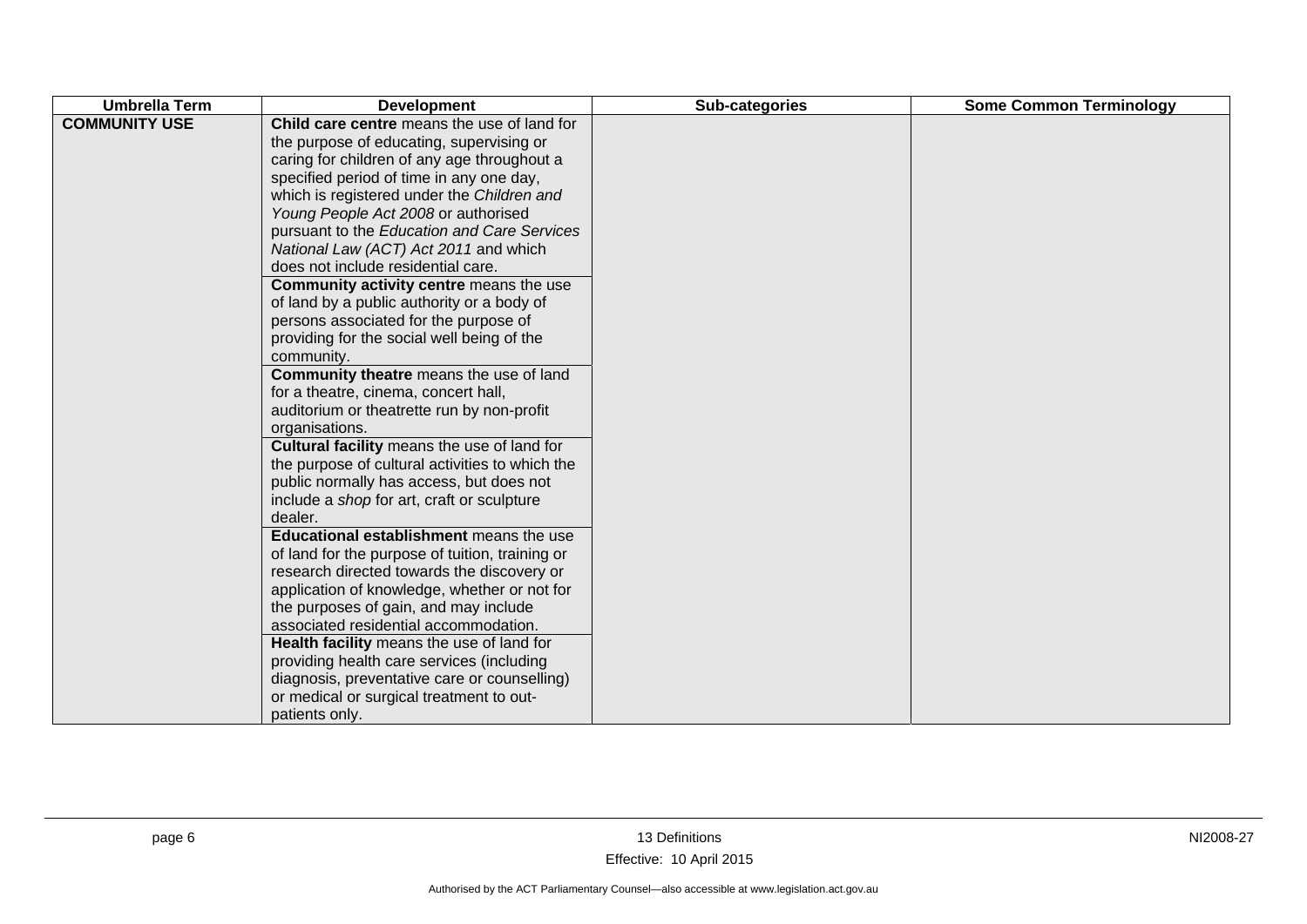| <b>Umbrella Term</b> | <b>Development</b>                                                                                                                                                                                                                                                                                                                                                                                                                                                                                                                                                                                                                                                                                                                                                                                                                                                                                                                                                                                                                                                                                                                                                                                                                                                                                                                                                                                                                | Sub-categories | <b>Some Common Terminology</b> |
|----------------------|-----------------------------------------------------------------------------------------------------------------------------------------------------------------------------------------------------------------------------------------------------------------------------------------------------------------------------------------------------------------------------------------------------------------------------------------------------------------------------------------------------------------------------------------------------------------------------------------------------------------------------------------------------------------------------------------------------------------------------------------------------------------------------------------------------------------------------------------------------------------------------------------------------------------------------------------------------------------------------------------------------------------------------------------------------------------------------------------------------------------------------------------------------------------------------------------------------------------------------------------------------------------------------------------------------------------------------------------------------------------------------------------------------------------------------------|----------------|--------------------------------|
| <b>COMMUNITY USE</b> | Child care centre means the use of land for<br>the purpose of educating, supervising or<br>caring for children of any age throughout a<br>specified period of time in any one day,<br>which is registered under the Children and<br>Young People Act 2008 or authorised<br>pursuant to the Education and Care Services<br>National Law (ACT) Act 2011 and which<br>does not include residential care.<br>Community activity centre means the use<br>of land by a public authority or a body of<br>persons associated for the purpose of<br>providing for the social well being of the<br>community.<br>Community theatre means the use of land<br>for a theatre, cinema, concert hall,<br>auditorium or theatrette run by non-profit<br>organisations.<br>Cultural facility means the use of land for<br>the purpose of cultural activities to which the<br>public normally has access, but does not<br>include a shop for art, craft or sculpture<br>dealer.<br>Educational establishment means the use<br>of land for the purpose of tuition, training or<br>research directed towards the discovery or<br>application of knowledge, whether or not for<br>the purposes of gain, and may include<br>associated residential accommodation.<br>Health facility means the use of land for<br>providing health care services (including<br>diagnosis, preventative care or counselling)<br>or medical or surgical treatment to out- |                |                                |
|                      | patients only.                                                                                                                                                                                                                                                                                                                                                                                                                                                                                                                                                                                                                                                                                                                                                                                                                                                                                                                                                                                                                                                                                                                                                                                                                                                                                                                                                                                                                    |                |                                |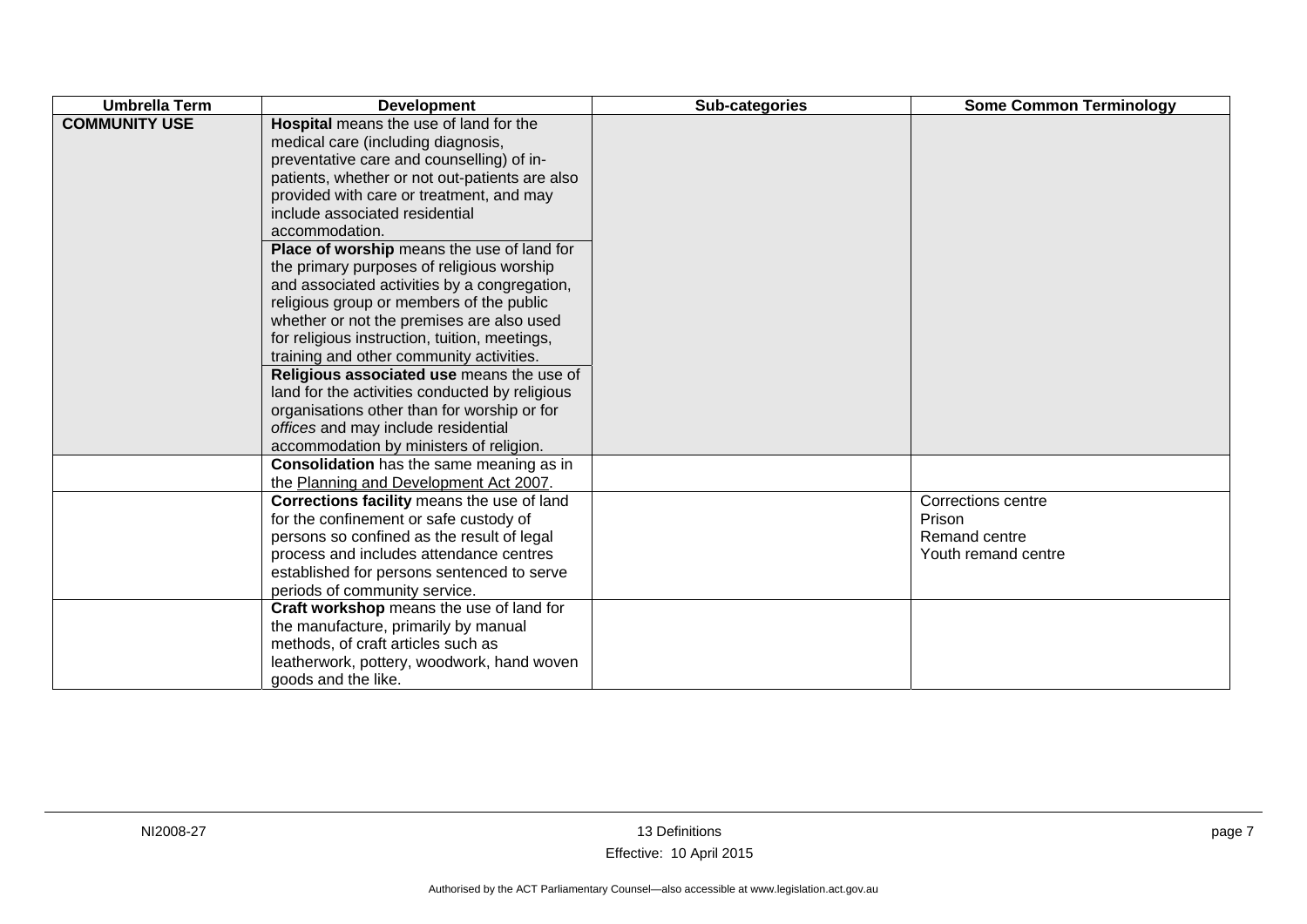| <b>Umbrella Term</b> | <b>Development</b>                                                                                                                                                                                                                                                                                                                                                                                                                                                                                                                                                                                                                                                                                                                                                                                                                           | Sub-categories | <b>Some Common Terminology</b>                                       |
|----------------------|----------------------------------------------------------------------------------------------------------------------------------------------------------------------------------------------------------------------------------------------------------------------------------------------------------------------------------------------------------------------------------------------------------------------------------------------------------------------------------------------------------------------------------------------------------------------------------------------------------------------------------------------------------------------------------------------------------------------------------------------------------------------------------------------------------------------------------------------|----------------|----------------------------------------------------------------------|
| <b>COMMUNITY USE</b> | Hospital means the use of land for the<br>medical care (including diagnosis,<br>preventative care and counselling) of in-<br>patients, whether or not out-patients are also<br>provided with care or treatment, and may<br>include associated residential<br>accommodation.<br>Place of worship means the use of land for<br>the primary purposes of religious worship<br>and associated activities by a congregation,<br>religious group or members of the public<br>whether or not the premises are also used<br>for religious instruction, tuition, meetings,<br>training and other community activities.<br>Religious associated use means the use of<br>land for the activities conducted by religious<br>organisations other than for worship or for<br>offices and may include residential<br>accommodation by ministers of religion. |                |                                                                      |
|                      | <b>Consolidation</b> has the same meaning as in<br>the Planning and Development Act 2007.                                                                                                                                                                                                                                                                                                                                                                                                                                                                                                                                                                                                                                                                                                                                                    |                |                                                                      |
|                      | Corrections facility means the use of land<br>for the confinement or safe custody of<br>persons so confined as the result of legal<br>process and includes attendance centres<br>established for persons sentenced to serve<br>periods of community service.                                                                                                                                                                                                                                                                                                                                                                                                                                                                                                                                                                                 |                | Corrections centre<br>Prison<br>Remand centre<br>Youth remand centre |
|                      | Craft workshop means the use of land for<br>the manufacture, primarily by manual<br>methods, of craft articles such as<br>leatherwork, pottery, woodwork, hand woven<br>goods and the like.                                                                                                                                                                                                                                                                                                                                                                                                                                                                                                                                                                                                                                                  |                |                                                                      |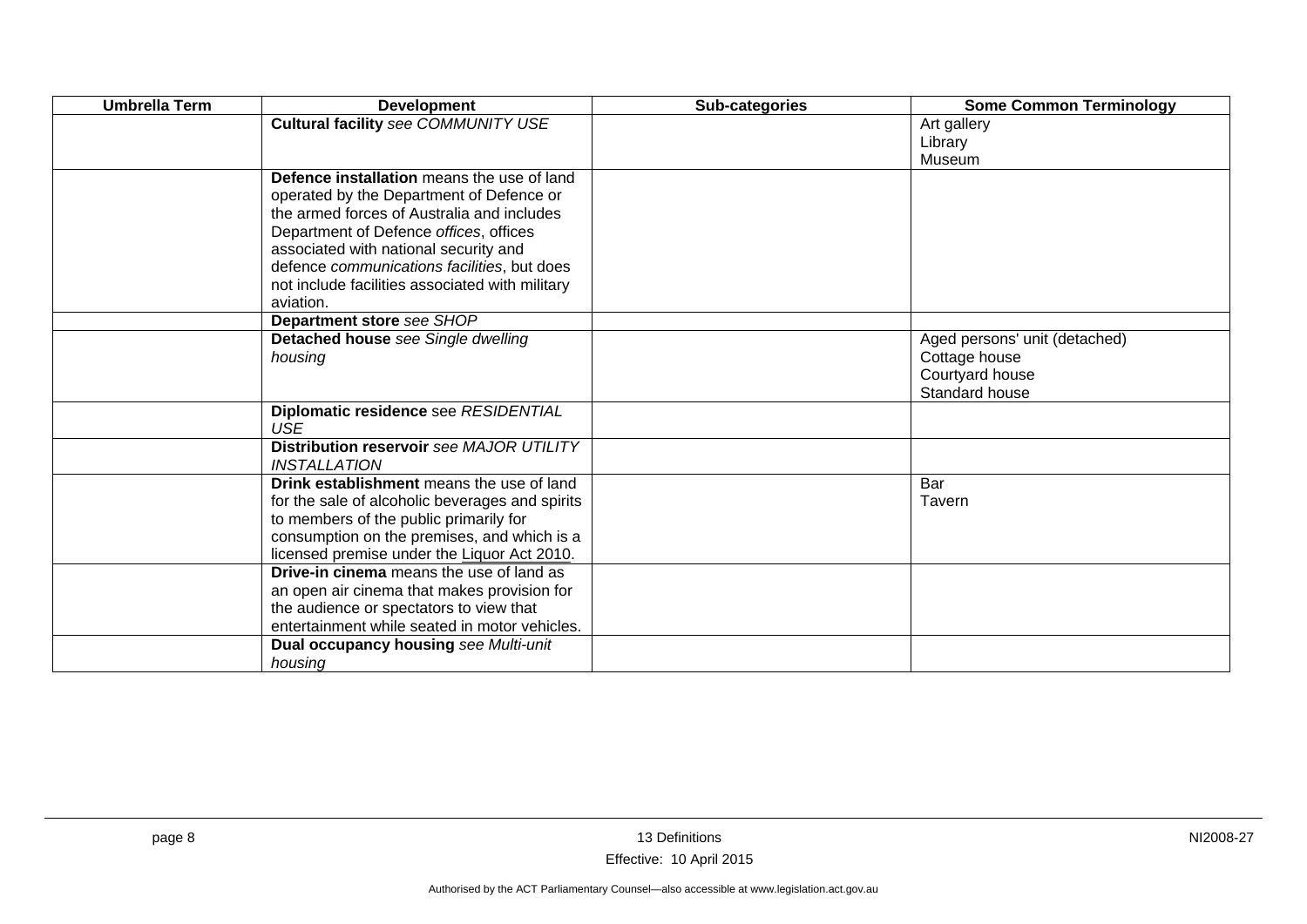| <b>Umbrella Term</b> | <b>Development</b>                                           | Sub-categories | <b>Some Common Terminology</b> |
|----------------------|--------------------------------------------------------------|----------------|--------------------------------|
|                      | <b>Cultural facility see COMMUNITY USE</b>                   |                | Art gallery                    |
|                      |                                                              |                | Library                        |
|                      |                                                              |                | Museum                         |
|                      | Defence installation means the use of land                   |                |                                |
|                      | operated by the Department of Defence or                     |                |                                |
|                      | the armed forces of Australia and includes                   |                |                                |
|                      | Department of Defence offices, offices                       |                |                                |
|                      | associated with national security and                        |                |                                |
|                      | defence communications facilities, but does                  |                |                                |
|                      | not include facilities associated with military<br>aviation. |                |                                |
|                      | Department store see SHOP                                    |                |                                |
|                      | Detached house see Single dwelling                           |                | Aged persons' unit (detached)  |
|                      | housing                                                      |                | Cottage house                  |
|                      |                                                              |                | Courtyard house                |
|                      |                                                              |                | Standard house                 |
|                      | Diplomatic residence see RESIDENTIAL<br><b>USE</b>           |                |                                |
|                      | Distribution reservoir see MAJOR UTILITY                     |                |                                |
|                      | <i><b>INSTALLATION</b></i>                                   |                |                                |
|                      | Drink establishment means the use of land                    |                | Bar                            |
|                      | for the sale of alcoholic beverages and spirits              |                | Tavern                         |
|                      | to members of the public primarily for                       |                |                                |
|                      | consumption on the premises, and which is a                  |                |                                |
|                      | licensed premise under the Liquor Act 2010.                  |                |                                |
|                      | <b>Drive-in cinema</b> means the use of land as              |                |                                |
|                      | an open air cinema that makes provision for                  |                |                                |
|                      | the audience or spectators to view that                      |                |                                |
|                      | entertainment while seated in motor vehicles.                |                |                                |
|                      | Dual occupancy housing see Multi-unit                        |                |                                |
|                      | housing                                                      |                |                                |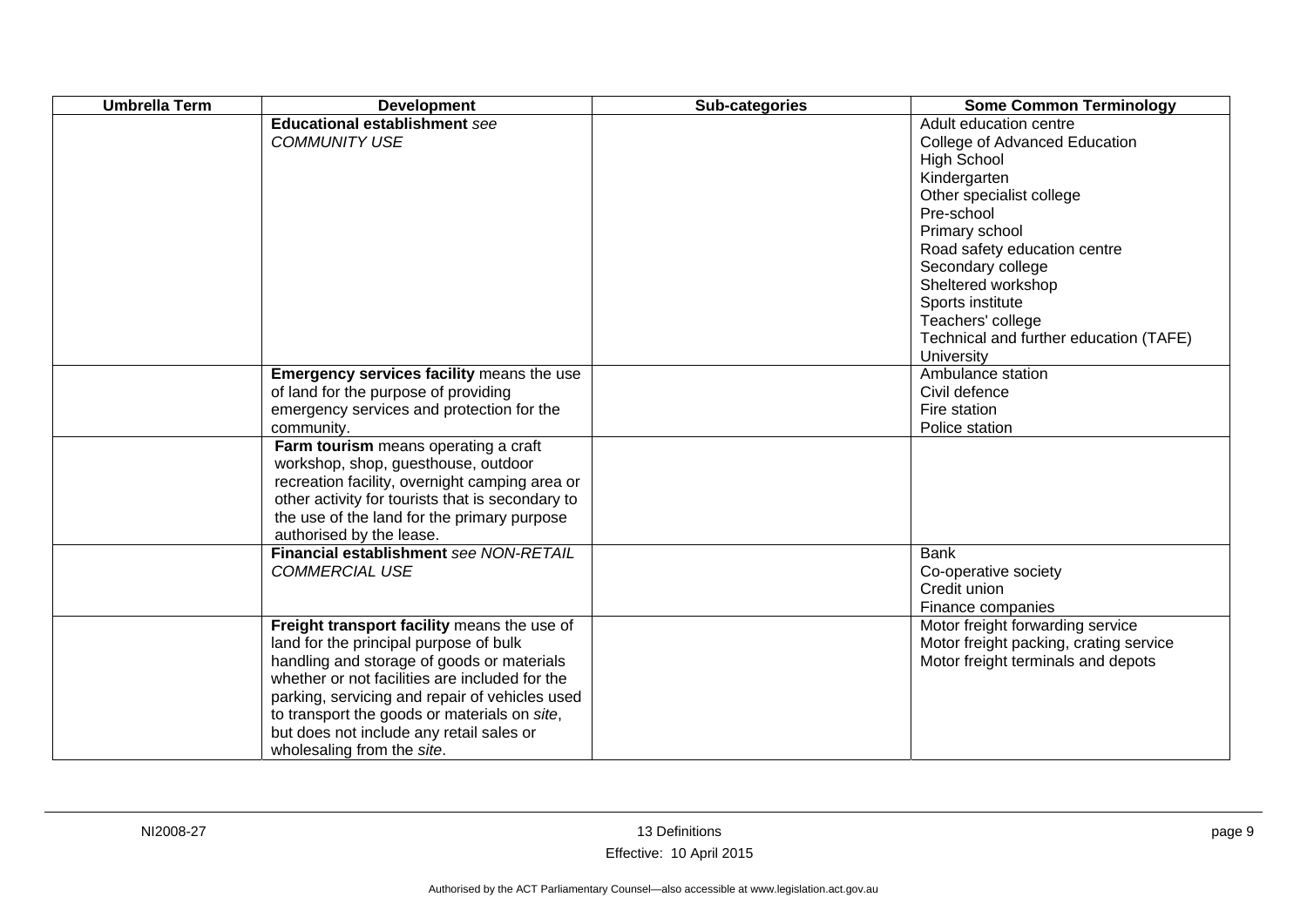| <b>Umbrella Term</b> | <b>Development</b>                                                                                                                                                                                                                                                                                                                                                | Sub-categories | <b>Some Common Terminology</b>                                                                                                                                                                                                                                                                                                        |
|----------------------|-------------------------------------------------------------------------------------------------------------------------------------------------------------------------------------------------------------------------------------------------------------------------------------------------------------------------------------------------------------------|----------------|---------------------------------------------------------------------------------------------------------------------------------------------------------------------------------------------------------------------------------------------------------------------------------------------------------------------------------------|
|                      | <b>Educational establishment see</b><br><b>COMMUNITY USE</b>                                                                                                                                                                                                                                                                                                      |                | Adult education centre<br>College of Advanced Education<br><b>High School</b><br>Kindergarten<br>Other specialist college<br>Pre-school<br>Primary school<br>Road safety education centre<br>Secondary college<br>Sheltered workshop<br>Sports institute<br>Teachers' college<br>Technical and further education (TAFE)<br>University |
|                      | Emergency services facility means the use<br>of land for the purpose of providing<br>emergency services and protection for the<br>community.                                                                                                                                                                                                                      |                | Ambulance station<br>Civil defence<br>Fire station<br>Police station                                                                                                                                                                                                                                                                  |
|                      | Farm tourism means operating a craft<br>workshop, shop, guesthouse, outdoor<br>recreation facility, overnight camping area or<br>other activity for tourists that is secondary to<br>the use of the land for the primary purpose<br>authorised by the lease.                                                                                                      |                |                                                                                                                                                                                                                                                                                                                                       |
|                      | Financial establishment see NON-RETAIL<br><b>COMMERCIAL USE</b>                                                                                                                                                                                                                                                                                                   |                | <b>Bank</b><br>Co-operative society<br>Credit union<br>Finance companies                                                                                                                                                                                                                                                              |
|                      | Freight transport facility means the use of<br>land for the principal purpose of bulk<br>handling and storage of goods or materials<br>whether or not facilities are included for the<br>parking, servicing and repair of vehicles used<br>to transport the goods or materials on site,<br>but does not include any retail sales or<br>wholesaling from the site. |                | Motor freight forwarding service<br>Motor freight packing, crating service<br>Motor freight terminals and depots                                                                                                                                                                                                                      |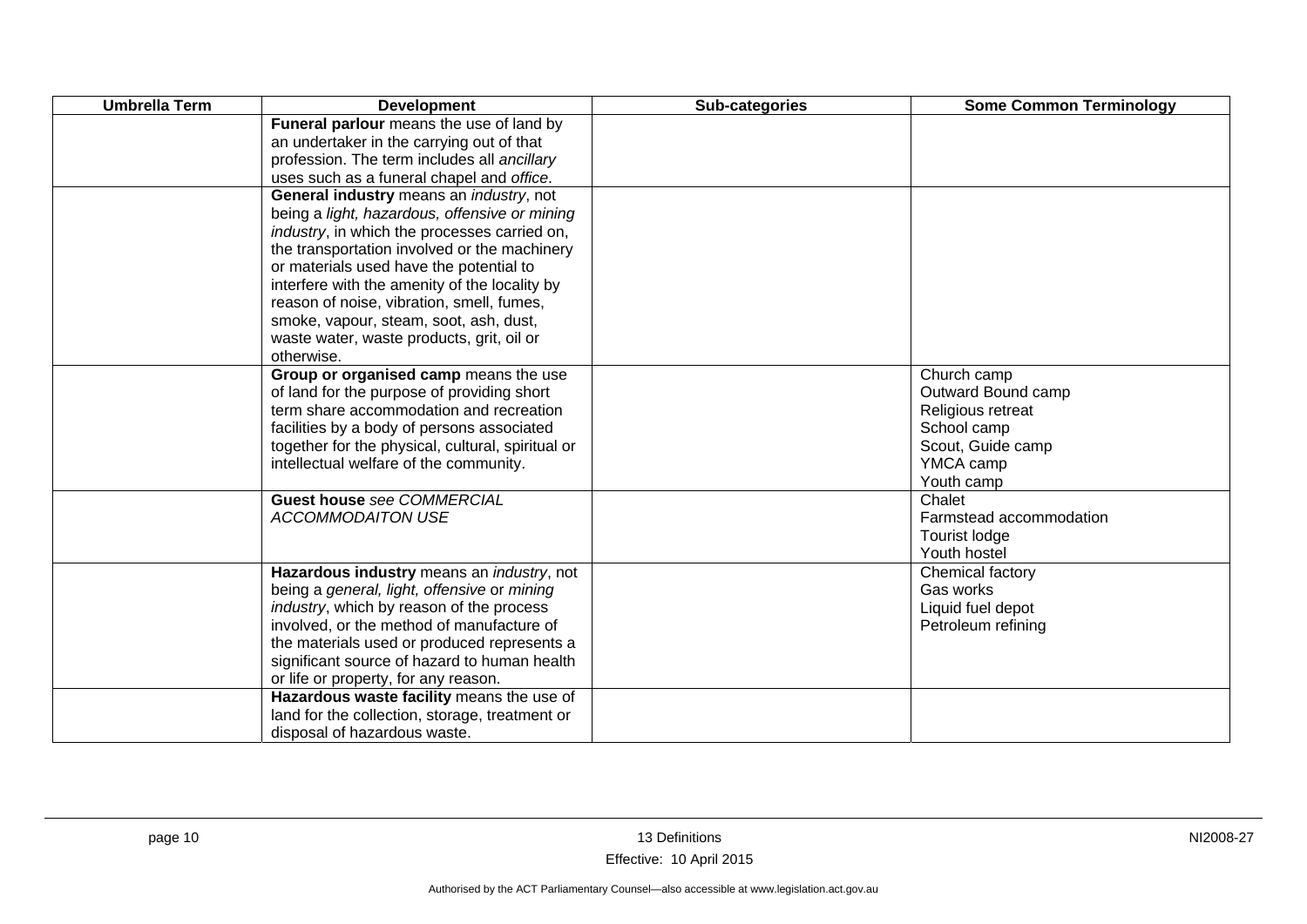| <b>Umbrella Term</b> | <b>Development</b>                                   | Sub-categories | <b>Some Common Terminology</b> |
|----------------------|------------------------------------------------------|----------------|--------------------------------|
|                      | Funeral parlour means the use of land by             |                |                                |
|                      | an undertaker in the carrying out of that            |                |                                |
|                      | profession. The term includes all ancillary          |                |                                |
|                      | uses such as a funeral chapel and office.            |                |                                |
|                      | General industry means an industry, not              |                |                                |
|                      | being a light, hazardous, offensive or mining        |                |                                |
|                      | <i>industry</i> , in which the processes carried on, |                |                                |
|                      | the transportation involved or the machinery         |                |                                |
|                      | or materials used have the potential to              |                |                                |
|                      | interfere with the amenity of the locality by        |                |                                |
|                      | reason of noise, vibration, smell, fumes,            |                |                                |
|                      | smoke, vapour, steam, soot, ash, dust,               |                |                                |
|                      | waste water, waste products, grit, oil or            |                |                                |
|                      | otherwise.                                           |                |                                |
|                      | Group or organised camp means the use                |                | Church camp                    |
|                      | of land for the purpose of providing short           |                | Outward Bound camp             |
|                      | term share accommodation and recreation              |                | Religious retreat              |
|                      | facilities by a body of persons associated           |                | School camp                    |
|                      | together for the physical, cultural, spiritual or    |                | Scout, Guide camp              |
|                      | intellectual welfare of the community.               |                | YMCA camp                      |
|                      |                                                      |                | Youth camp                     |
|                      | <b>Guest house see COMMERCIAL</b>                    |                | Chalet                         |
|                      | <b>ACCOMMODAITON USE</b>                             |                | Farmstead accommodation        |
|                      |                                                      |                | Tourist lodge                  |
|                      |                                                      |                | Youth hostel                   |
|                      | Hazardous industry means an industry, not            |                | Chemical factory               |
|                      | being a general, light, offensive or mining          |                | Gas works                      |
|                      | industry, which by reason of the process             |                | Liquid fuel depot              |
|                      | involved, or the method of manufacture of            |                | Petroleum refining             |
|                      | the materials used or produced represents a          |                |                                |
|                      | significant source of hazard to human health         |                |                                |
|                      | or life or property, for any reason.                 |                |                                |
|                      | Hazardous waste facility means the use of            |                |                                |
|                      | land for the collection, storage, treatment or       |                |                                |
|                      | disposal of hazardous waste.                         |                |                                |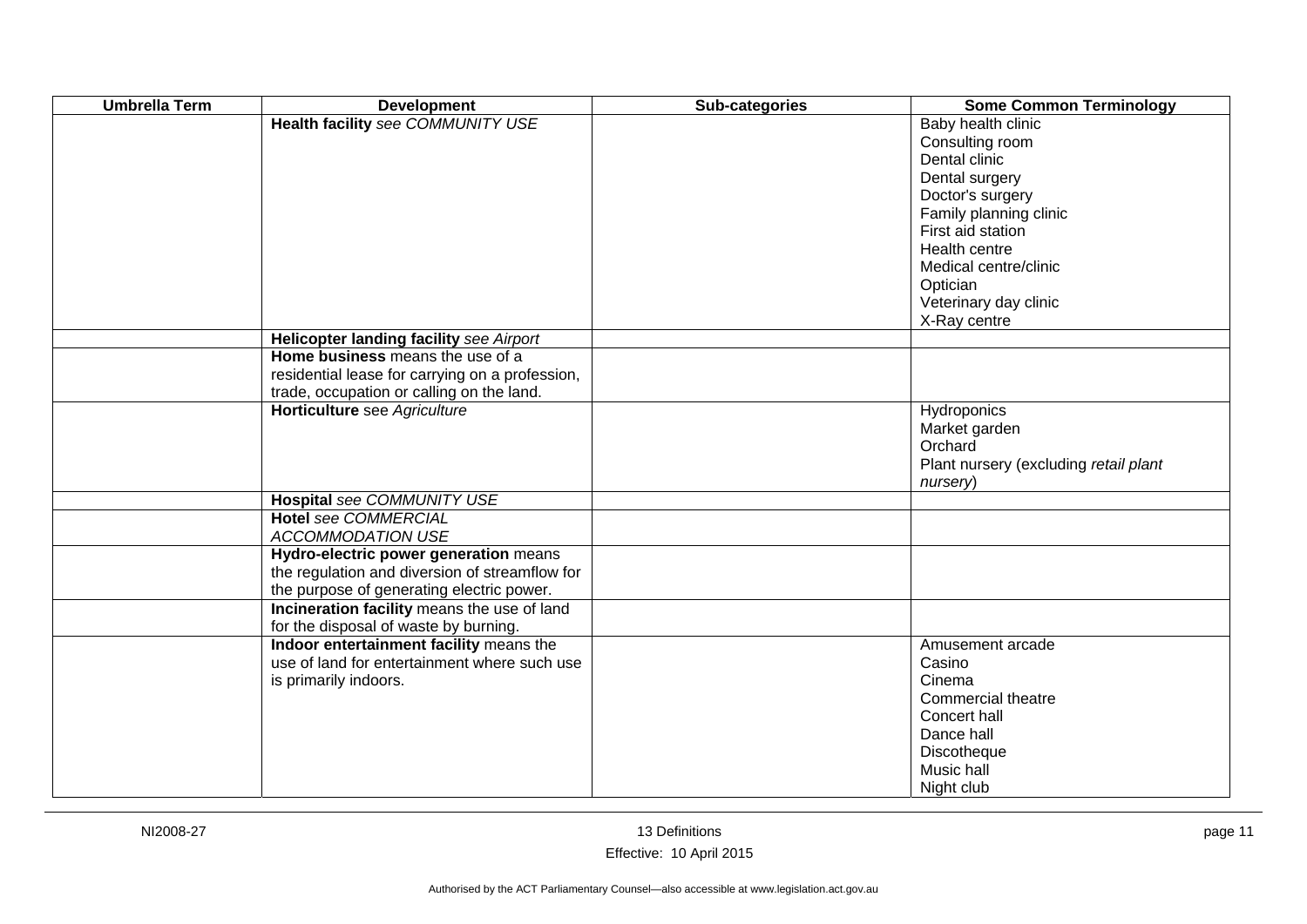| <b>Umbrella Term</b> | <b>Development</b>                                                                   | Sub-categories | <b>Some Common Terminology</b>                                           |
|----------------------|--------------------------------------------------------------------------------------|----------------|--------------------------------------------------------------------------|
|                      | <b>Health facility see COMMUNITY USE</b>                                             |                | Baby health clinic<br>Consulting room<br>Dental clinic<br>Dental surgery |
|                      |                                                                                      |                | Doctor's surgery<br>Family planning clinic                               |
|                      |                                                                                      |                | First aid station<br>Health centre                                       |
|                      |                                                                                      |                | Medical centre/clinic<br>Optician                                        |
|                      |                                                                                      |                | Veterinary day clinic<br>X-Ray centre                                    |
|                      | Helicopter landing facility see Airport                                              |                |                                                                          |
|                      | Home business means the use of a                                                     |                |                                                                          |
|                      | residential lease for carrying on a profession,                                      |                |                                                                          |
|                      | trade, occupation or calling on the land.                                            |                |                                                                          |
|                      | Horticulture see Agriculture                                                         |                | Hydroponics                                                              |
|                      |                                                                                      |                | Market garden                                                            |
|                      |                                                                                      |                | Orchard<br>Plant nursery (excluding retail plant                         |
|                      |                                                                                      |                | nursery)                                                                 |
|                      | Hospital see COMMUNITY USE                                                           |                |                                                                          |
|                      | <b>Hotel see COMMERCIAL</b>                                                          |                |                                                                          |
|                      | ACCOMMODATION USE                                                                    |                |                                                                          |
|                      | Hydro-electric power generation means                                                |                |                                                                          |
|                      | the regulation and diversion of streamflow for                                       |                |                                                                          |
|                      | the purpose of generating electric power.                                            |                |                                                                          |
|                      | Incineration facility means the use of land<br>for the disposal of waste by burning. |                |                                                                          |
|                      | Indoor entertainment facility means the                                              |                | Amusement arcade                                                         |
|                      | use of land for entertainment where such use                                         |                | Casino                                                                   |
|                      | is primarily indoors.                                                                |                | Cinema                                                                   |
|                      |                                                                                      |                | Commercial theatre                                                       |
|                      |                                                                                      |                | Concert hall                                                             |
|                      |                                                                                      |                | Dance hall                                                               |
|                      |                                                                                      |                | Discotheque                                                              |
|                      |                                                                                      |                | Music hall                                                               |
|                      |                                                                                      |                | Night club                                                               |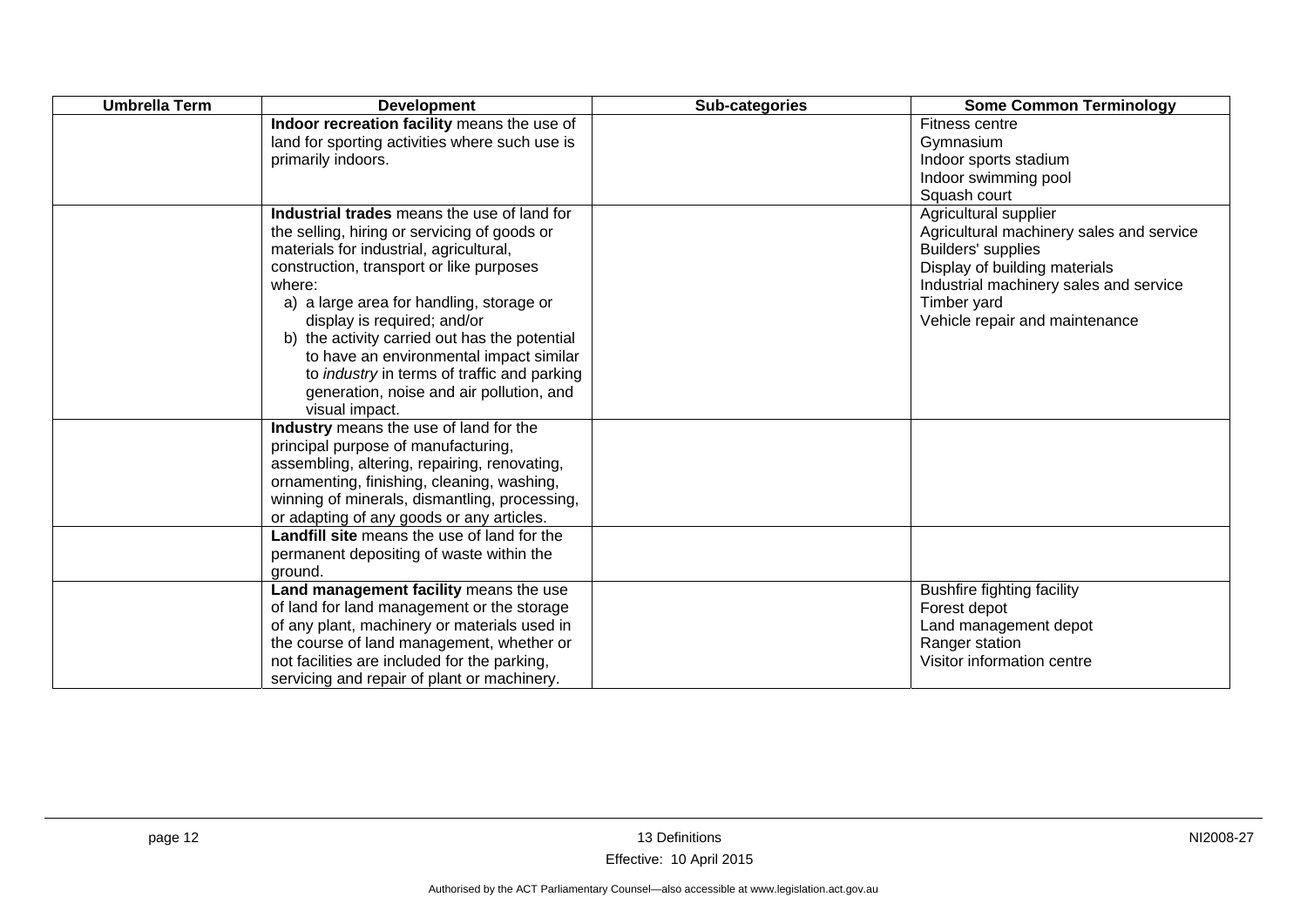| <b>Umbrella Term</b> | <b>Development</b>                                                                                                                                                                                                                                                                                                                                                                                                                                                                      | Sub-categories | <b>Some Common Terminology</b>                                                                                                                                                                                      |
|----------------------|-----------------------------------------------------------------------------------------------------------------------------------------------------------------------------------------------------------------------------------------------------------------------------------------------------------------------------------------------------------------------------------------------------------------------------------------------------------------------------------------|----------------|---------------------------------------------------------------------------------------------------------------------------------------------------------------------------------------------------------------------|
|                      | Indoor recreation facility means the use of<br>land for sporting activities where such use is<br>primarily indoors.                                                                                                                                                                                                                                                                                                                                                                     |                | Fitness centre<br>Gymnasium<br>Indoor sports stadium<br>Indoor swimming pool<br>Squash court                                                                                                                        |
|                      | Industrial trades means the use of land for<br>the selling, hiring or servicing of goods or<br>materials for industrial, agricultural,<br>construction, transport or like purposes<br>where:<br>a) a large area for handling, storage or<br>display is required; and/or<br>b) the activity carried out has the potential<br>to have an environmental impact similar<br>to <i>industry</i> in terms of traffic and parking<br>generation, noise and air pollution, and<br>visual impact. |                | Agricultural supplier<br>Agricultural machinery sales and service<br>Builders' supplies<br>Display of building materials<br>Industrial machinery sales and service<br>Timber yard<br>Vehicle repair and maintenance |
|                      | Industry means the use of land for the<br>principal purpose of manufacturing,<br>assembling, altering, repairing, renovating,<br>ornamenting, finishing, cleaning, washing,<br>winning of minerals, dismantling, processing,<br>or adapting of any goods or any articles.                                                                                                                                                                                                               |                |                                                                                                                                                                                                                     |
|                      | Landfill site means the use of land for the<br>permanent depositing of waste within the<br>ground.                                                                                                                                                                                                                                                                                                                                                                                      |                |                                                                                                                                                                                                                     |
|                      | Land management facility means the use<br>of land for land management or the storage<br>of any plant, machinery or materials used in<br>the course of land management, whether or<br>not facilities are included for the parking,<br>servicing and repair of plant or machinery.                                                                                                                                                                                                        |                | <b>Bushfire fighting facility</b><br>Forest depot<br>Land management depot<br>Ranger station<br>Visitor information centre                                                                                          |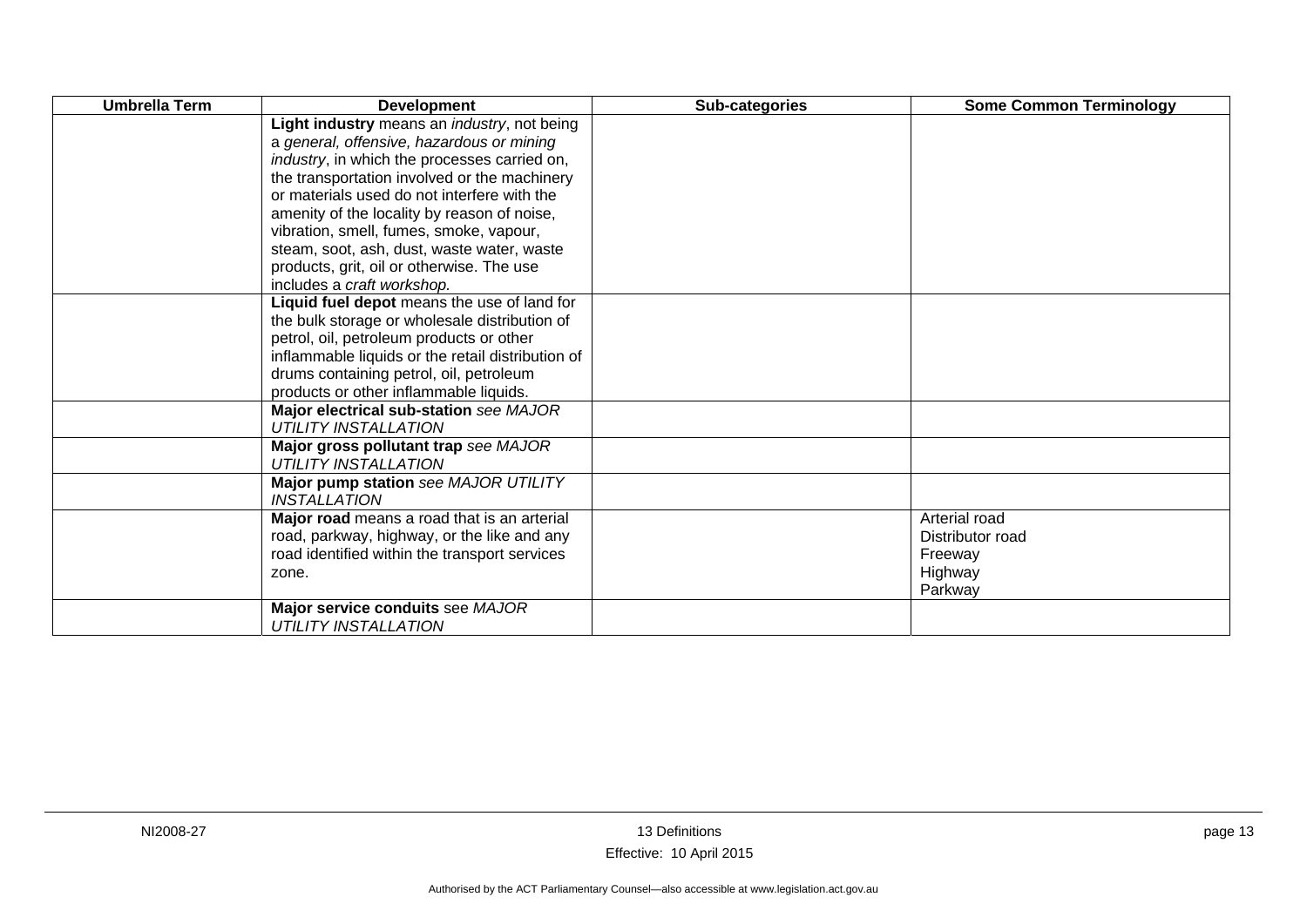| <b>Umbrella Term</b> | <b>Development</b>                                                    | Sub-categories | <b>Some Common Terminology</b> |
|----------------------|-----------------------------------------------------------------------|----------------|--------------------------------|
|                      | Light industry means an <i>industry</i> , not being                   |                |                                |
|                      | a general, offensive, hazardous or mining                             |                |                                |
|                      | <i>industry</i> , in which the processes carried on,                  |                |                                |
|                      | the transportation involved or the machinery                          |                |                                |
|                      | or materials used do not interfere with the                           |                |                                |
|                      | amenity of the locality by reason of noise,                           |                |                                |
|                      | vibration, smell, fumes, smoke, vapour,                               |                |                                |
|                      | steam, soot, ash, dust, waste water, waste                            |                |                                |
|                      | products, grit, oil or otherwise. The use                             |                |                                |
|                      | includes a craft workshop.                                            |                |                                |
|                      | Liquid fuel depot means the use of land for                           |                |                                |
|                      | the bulk storage or wholesale distribution of                         |                |                                |
|                      | petrol, oil, petroleum products or other                              |                |                                |
|                      | inflammable liquids or the retail distribution of                     |                |                                |
|                      | drums containing petrol, oil, petroleum                               |                |                                |
|                      | products or other inflammable liquids.                                |                |                                |
|                      | Major electrical sub-station see MAJOR<br><b>UTILITY INSTALLATION</b> |                |                                |
|                      | Major gross pollutant trap see MAJOR                                  |                |                                |
|                      | <b>UTILITY INSTALLATION</b>                                           |                |                                |
|                      | Major pump station see MAJOR UTILITY                                  |                |                                |
|                      | <b>INSTALLATION</b>                                                   |                |                                |
|                      | Major road means a road that is an arterial                           |                | Arterial road                  |
|                      | road, parkway, highway, or the like and any                           |                | Distributor road               |
|                      | road identified within the transport services                         |                | Freeway                        |
|                      | zone.                                                                 |                | Highway                        |
|                      |                                                                       |                | Parkway                        |
|                      | Major service conduits see MAJOR                                      |                |                                |
|                      | <b>UTILITY INSTALLATION</b>                                           |                |                                |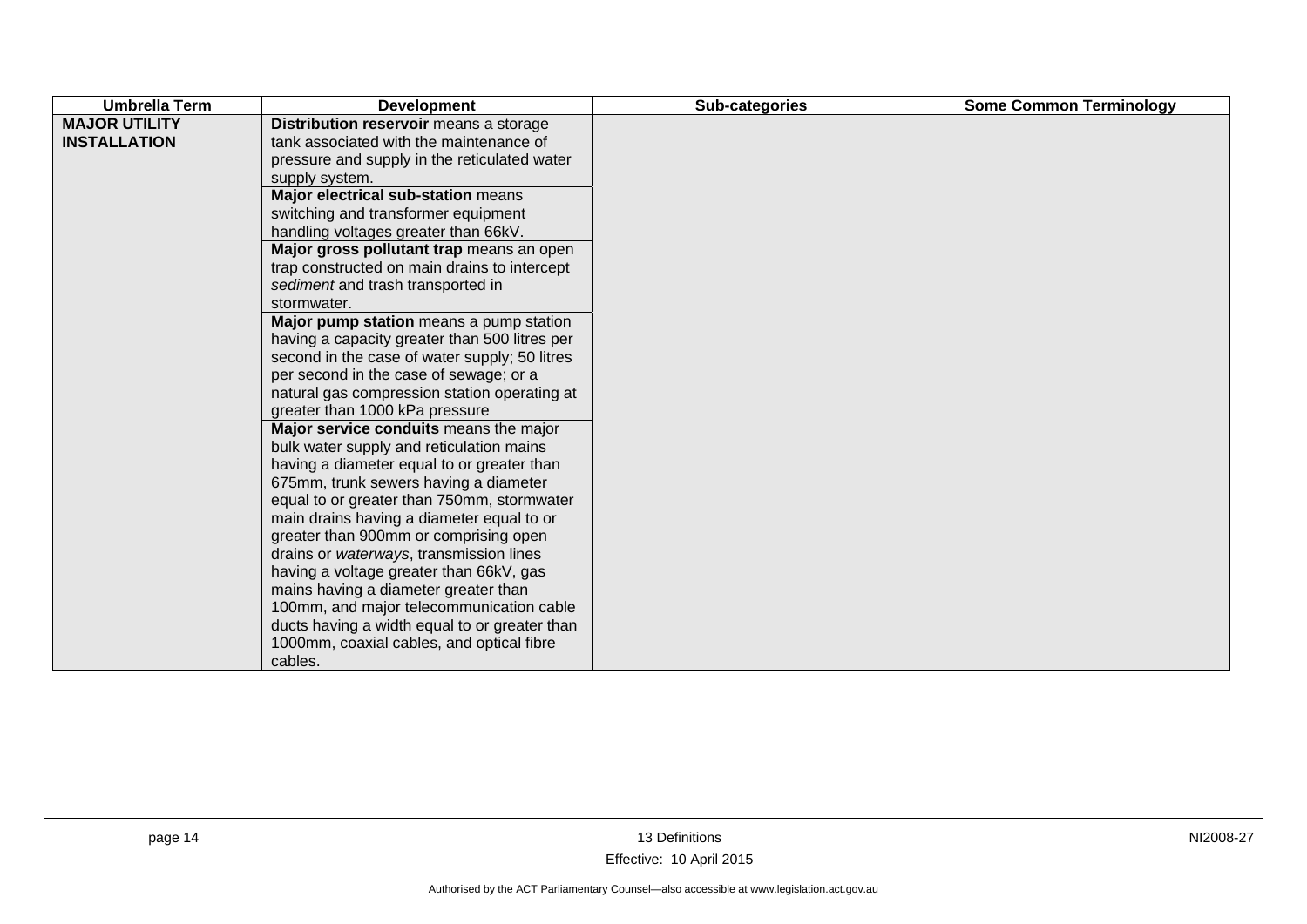| <b>Umbrella Term</b>                        | <b>Development</b>                                                                                                                                                                                                                                                                                                                                                                                                                                                                                                                                                                                                                                                                                                                                                                                                                                                                                                                                                                                                                                                                                                                                                                           | Sub-categories | <b>Some Common Terminology</b> |
|---------------------------------------------|----------------------------------------------------------------------------------------------------------------------------------------------------------------------------------------------------------------------------------------------------------------------------------------------------------------------------------------------------------------------------------------------------------------------------------------------------------------------------------------------------------------------------------------------------------------------------------------------------------------------------------------------------------------------------------------------------------------------------------------------------------------------------------------------------------------------------------------------------------------------------------------------------------------------------------------------------------------------------------------------------------------------------------------------------------------------------------------------------------------------------------------------------------------------------------------------|----------------|--------------------------------|
| <b>MAJOR UTILITY</b><br><b>INSTALLATION</b> | Distribution reservoir means a storage<br>tank associated with the maintenance of<br>pressure and supply in the reticulated water<br>supply system.<br>Major electrical sub-station means<br>switching and transformer equipment<br>handling voltages greater than 66kV.<br>Major gross pollutant trap means an open<br>trap constructed on main drains to intercept<br>sediment and trash transported in<br>stormwater.<br>Major pump station means a pump station<br>having a capacity greater than 500 litres per<br>second in the case of water supply; 50 litres<br>per second in the case of sewage; or a<br>natural gas compression station operating at<br>greater than 1000 kPa pressure<br>Major service conduits means the major<br>bulk water supply and reticulation mains<br>having a diameter equal to or greater than<br>675mm, trunk sewers having a diameter<br>equal to or greater than 750mm, stormwater<br>main drains having a diameter equal to or<br>greater than 900mm or comprising open<br>drains or waterways, transmission lines<br>having a voltage greater than 66kV, gas<br>mains having a diameter greater than<br>100mm, and major telecommunication cable |                |                                |
|                                             | ducts having a width equal to or greater than<br>1000mm, coaxial cables, and optical fibre<br>cables.                                                                                                                                                                                                                                                                                                                                                                                                                                                                                                                                                                                                                                                                                                                                                                                                                                                                                                                                                                                                                                                                                        |                |                                |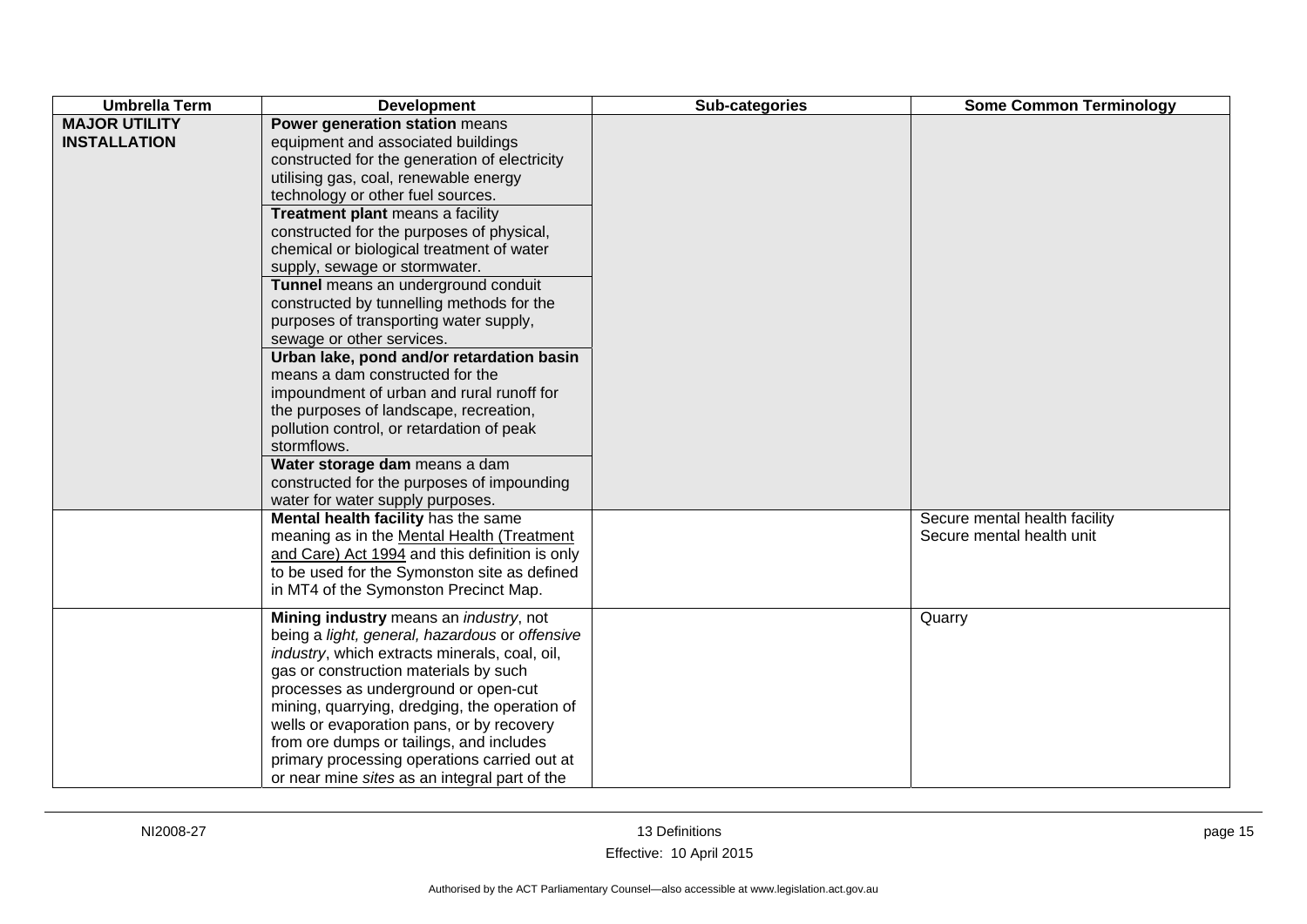| <b>Umbrella Term</b>                        | <b>Development</b>                                                                                                                                                                                                                                                                                                                                                                                                                                                                                                                                                                                                                                                                                                                                                                                                                                                                  | Sub-categories | <b>Some Common Terminology</b>                             |
|---------------------------------------------|-------------------------------------------------------------------------------------------------------------------------------------------------------------------------------------------------------------------------------------------------------------------------------------------------------------------------------------------------------------------------------------------------------------------------------------------------------------------------------------------------------------------------------------------------------------------------------------------------------------------------------------------------------------------------------------------------------------------------------------------------------------------------------------------------------------------------------------------------------------------------------------|----------------|------------------------------------------------------------|
| <b>MAJOR UTILITY</b><br><b>INSTALLATION</b> | Power generation station means<br>equipment and associated buildings<br>constructed for the generation of electricity<br>utilising gas, coal, renewable energy<br>technology or other fuel sources.<br>Treatment plant means a facility<br>constructed for the purposes of physical,<br>chemical or biological treatment of water<br>supply, sewage or stormwater.<br>Tunnel means an underground conduit<br>constructed by tunnelling methods for the<br>purposes of transporting water supply,<br>sewage or other services.<br>Urban lake, pond and/or retardation basin<br>means a dam constructed for the<br>impoundment of urban and rural runoff for<br>the purposes of landscape, recreation,<br>pollution control, or retardation of peak<br>stormflows.<br>Water storage dam means a dam<br>constructed for the purposes of impounding<br>water for water supply purposes. |                |                                                            |
|                                             | Mental health facility has the same<br>meaning as in the Mental Health (Treatment<br>and Care) Act 1994 and this definition is only<br>to be used for the Symonston site as defined<br>in MT4 of the Symonston Precinct Map.                                                                                                                                                                                                                                                                                                                                                                                                                                                                                                                                                                                                                                                        |                | Secure mental health facility<br>Secure mental health unit |
|                                             | Mining industry means an <i>industry</i> , not<br>being a light, general, hazardous or offensive<br>industry, which extracts minerals, coal, oil,<br>gas or construction materials by such<br>processes as underground or open-cut<br>mining, quarrying, dredging, the operation of<br>wells or evaporation pans, or by recovery<br>from ore dumps or tailings, and includes<br>primary processing operations carried out at<br>or near mine sites as an integral part of the                                                                                                                                                                                                                                                                                                                                                                                                       |                | Quarry                                                     |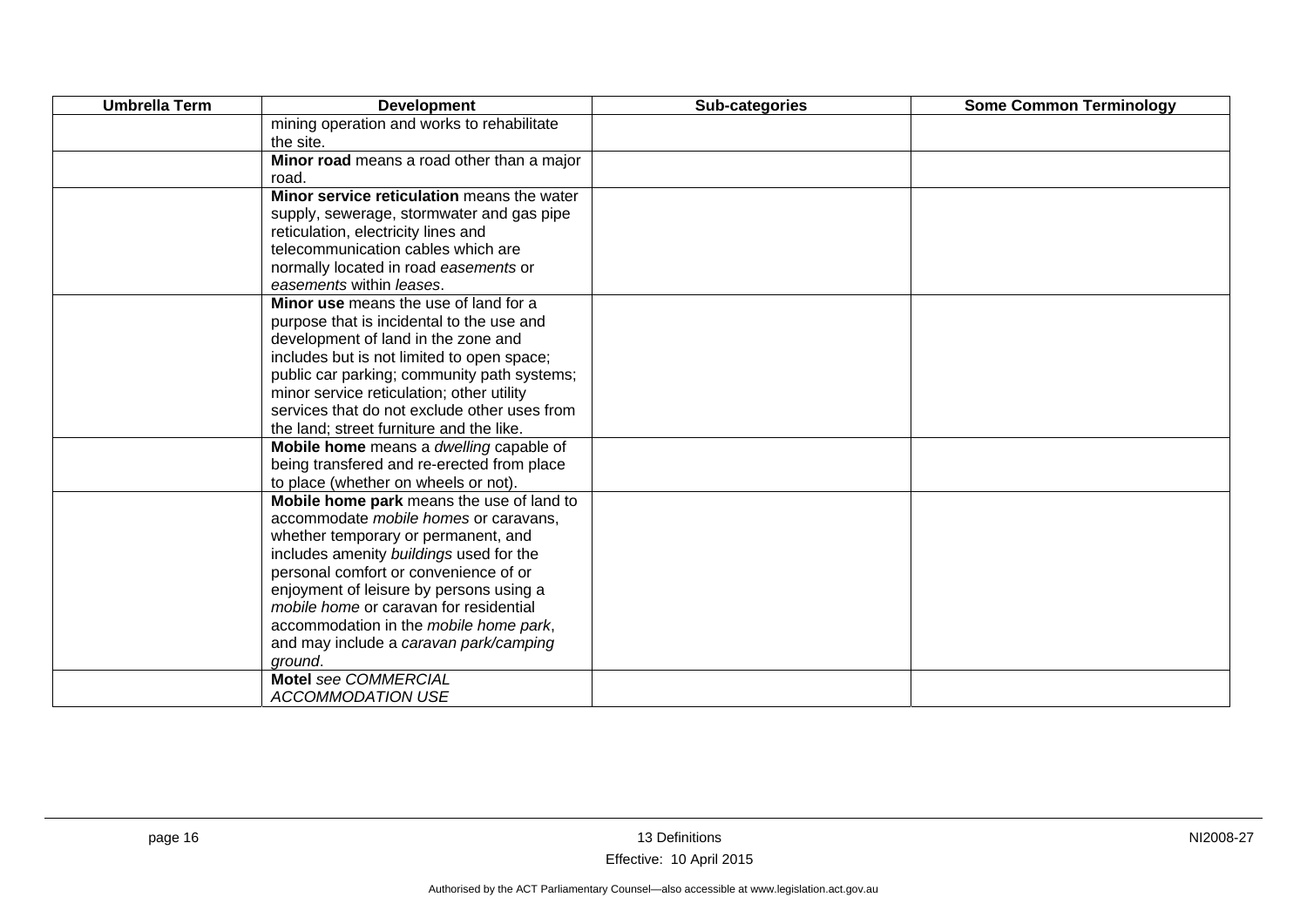| <b>Umbrella Term</b> | <b>Development</b>                           | Sub-categories | <b>Some Common Terminology</b> |
|----------------------|----------------------------------------------|----------------|--------------------------------|
|                      | mining operation and works to rehabilitate   |                |                                |
|                      | the site.                                    |                |                                |
|                      | Minor road means a road other than a major   |                |                                |
|                      | road.                                        |                |                                |
|                      | Minor service reticulation means the water   |                |                                |
|                      | supply, sewerage, stormwater and gas pipe    |                |                                |
|                      | reticulation, electricity lines and          |                |                                |
|                      | telecommunication cables which are           |                |                                |
|                      | normally located in road easements or        |                |                                |
|                      | easements within leases.                     |                |                                |
|                      | Minor use means the use of land for a        |                |                                |
|                      | purpose that is incidental to the use and    |                |                                |
|                      | development of land in the zone and          |                |                                |
|                      | includes but is not limited to open space;   |                |                                |
|                      | public car parking; community path systems;  |                |                                |
|                      | minor service reticulation; other utility    |                |                                |
|                      | services that do not exclude other uses from |                |                                |
|                      | the land; street furniture and the like.     |                |                                |
|                      | Mobile home means a dwelling capable of      |                |                                |
|                      | being transfered and re-erected from place   |                |                                |
|                      | to place (whether on wheels or not).         |                |                                |
|                      | Mobile home park means the use of land to    |                |                                |
|                      | accommodate mobile homes or caravans,        |                |                                |
|                      | whether temporary or permanent, and          |                |                                |
|                      | includes amenity buildings used for the      |                |                                |
|                      | personal comfort or convenience of or        |                |                                |
|                      | enjoyment of leisure by persons using a      |                |                                |
|                      | mobile home or caravan for residential       |                |                                |
|                      | accommodation in the mobile home park,       |                |                                |
|                      | and may include a caravan park/camping       |                |                                |
|                      | ground.                                      |                |                                |
|                      | Motel see COMMERCIAL                         |                |                                |
|                      | <b>ACCOMMODATION USE</b>                     |                |                                |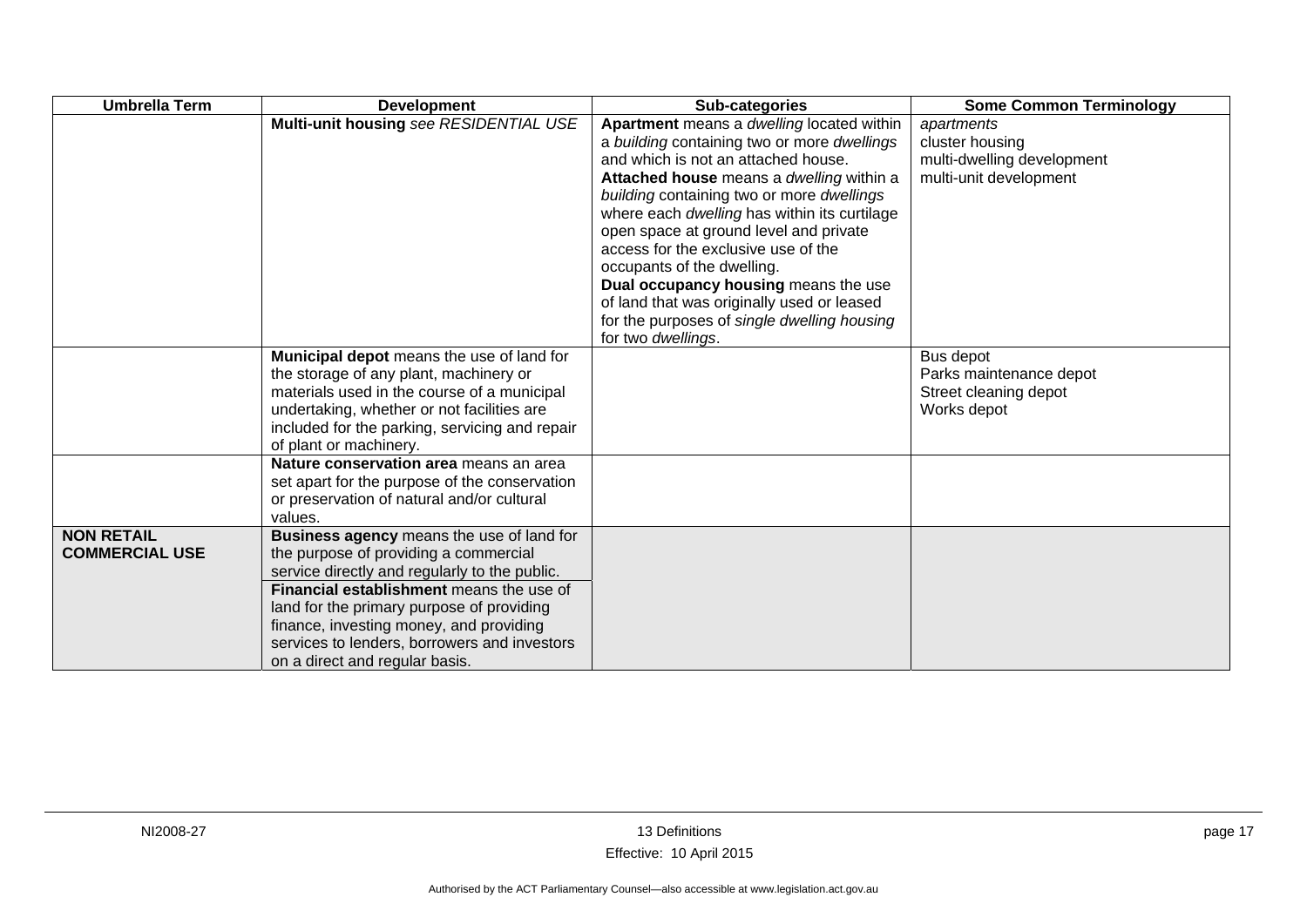| <b>Umbrella Term</b>  | <b>Development</b>                                                                  | Sub-categories                               | <b>Some Common Terminology</b> |
|-----------------------|-------------------------------------------------------------------------------------|----------------------------------------------|--------------------------------|
|                       | Multi-unit housing see RESIDENTIAL USE                                              | Apartment means a dwelling located within    | apartments                     |
|                       |                                                                                     | a building containing two or more dwellings  | cluster housing                |
|                       |                                                                                     | and which is not an attached house.          | multi-dwelling development     |
|                       |                                                                                     | Attached house means a dwelling within a     | multi-unit development         |
|                       |                                                                                     | building containing two or more dwellings    |                                |
|                       |                                                                                     | where each dwelling has within its curtilage |                                |
|                       |                                                                                     | open space at ground level and private       |                                |
|                       |                                                                                     | access for the exclusive use of the          |                                |
|                       |                                                                                     | occupants of the dwelling.                   |                                |
|                       |                                                                                     | Dual occupancy housing means the use         |                                |
|                       |                                                                                     | of land that was originally used or leased   |                                |
|                       |                                                                                     | for the purposes of single dwelling housing  |                                |
|                       |                                                                                     | for two dwellings.                           | Bus depot                      |
|                       | Municipal depot means the use of land for<br>the storage of any plant, machinery or |                                              | Parks maintenance depot        |
|                       | materials used in the course of a municipal                                         |                                              | Street cleaning depot          |
|                       | undertaking, whether or not facilities are                                          |                                              | Works depot                    |
|                       | included for the parking, servicing and repair                                      |                                              |                                |
|                       | of plant or machinery.                                                              |                                              |                                |
|                       | Nature conservation area means an area                                              |                                              |                                |
|                       | set apart for the purpose of the conservation                                       |                                              |                                |
|                       | or preservation of natural and/or cultural                                          |                                              |                                |
|                       | values.                                                                             |                                              |                                |
| <b>NON RETAIL</b>     | <b>Business agency means the use of land for</b>                                    |                                              |                                |
| <b>COMMERCIAL USE</b> | the purpose of providing a commercial                                               |                                              |                                |
|                       | service directly and regularly to the public.                                       |                                              |                                |
|                       | <b>Financial establishment</b> means the use of                                     |                                              |                                |
|                       | land for the primary purpose of providing                                           |                                              |                                |
|                       | finance, investing money, and providing                                             |                                              |                                |
|                       | services to lenders, borrowers and investors                                        |                                              |                                |
|                       | on a direct and regular basis.                                                      |                                              |                                |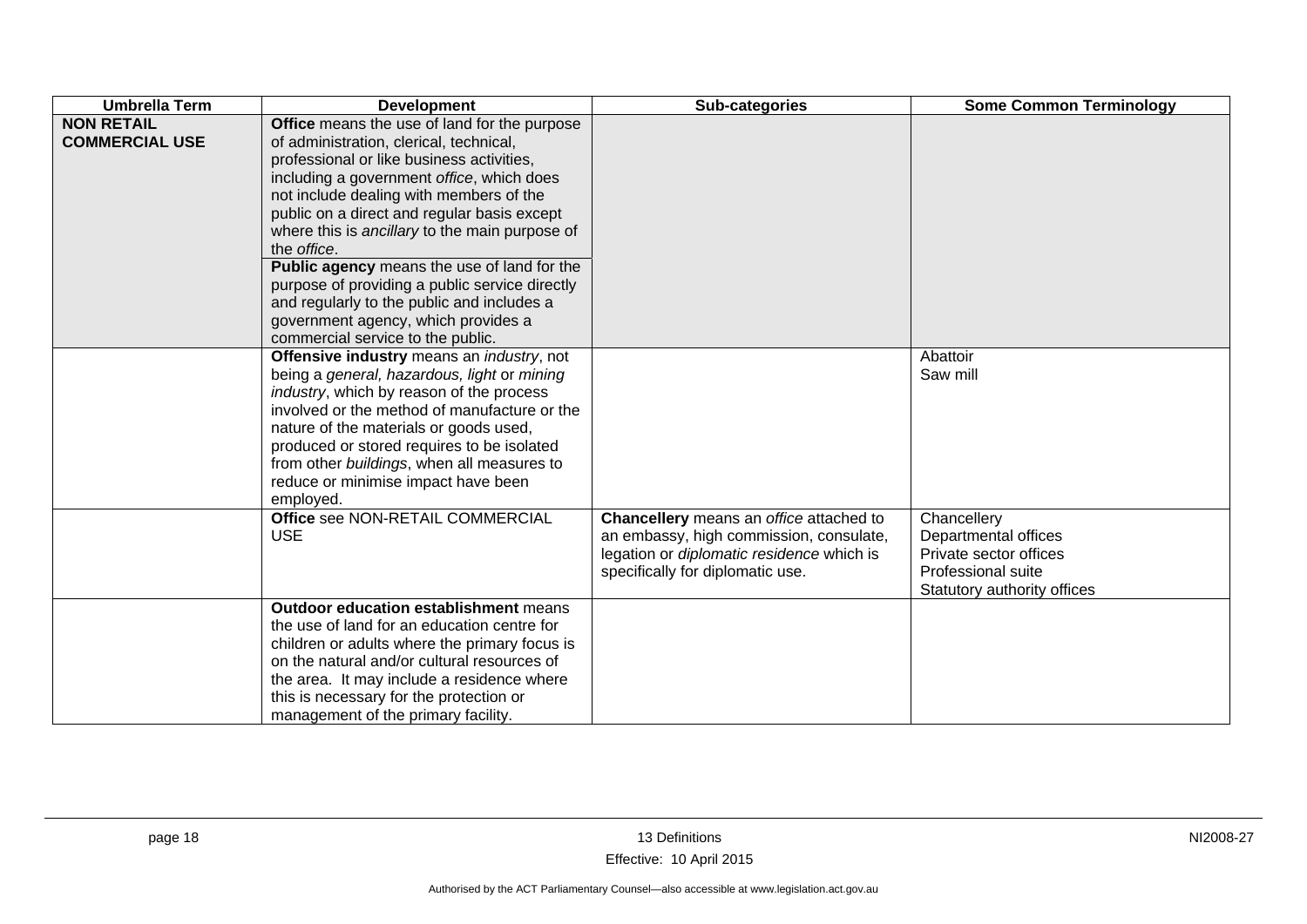| <b>Umbrella Term</b>                       | <b>Development</b>                                                                                                                                                                                                                                                                                                                                                                                                                                                                                                                                                      | Sub-categories                                                                                                                                                      | <b>Some Common Terminology</b>                                                                                     |
|--------------------------------------------|-------------------------------------------------------------------------------------------------------------------------------------------------------------------------------------------------------------------------------------------------------------------------------------------------------------------------------------------------------------------------------------------------------------------------------------------------------------------------------------------------------------------------------------------------------------------------|---------------------------------------------------------------------------------------------------------------------------------------------------------------------|--------------------------------------------------------------------------------------------------------------------|
| <b>NON RETAIL</b><br><b>COMMERCIAL USE</b> | Office means the use of land for the purpose<br>of administration, clerical, technical,<br>professional or like business activities,<br>including a government office, which does<br>not include dealing with members of the<br>public on a direct and regular basis except<br>where this is ancillary to the main purpose of<br>the office.<br>Public agency means the use of land for the<br>purpose of providing a public service directly<br>and regularly to the public and includes a<br>government agency, which provides a<br>commercial service to the public. |                                                                                                                                                                     |                                                                                                                    |
|                                            | Offensive industry means an industry, not<br>being a general, hazardous, light or mining<br>industry, which by reason of the process<br>involved or the method of manufacture or the<br>nature of the materials or goods used,<br>produced or stored requires to be isolated<br>from other buildings, when all measures to<br>reduce or minimise impact have been<br>employed.                                                                                                                                                                                          |                                                                                                                                                                     | Abattoir<br>Saw mill                                                                                               |
|                                            | Office see NON-RETAIL COMMERCIAL<br><b>USE</b>                                                                                                                                                                                                                                                                                                                                                                                                                                                                                                                          | Chancellery means an office attached to<br>an embassy, high commission, consulate,<br>legation or diplomatic residence which is<br>specifically for diplomatic use. | Chancellery<br>Departmental offices<br>Private sector offices<br>Professional suite<br>Statutory authority offices |
|                                            | <b>Outdoor education establishment means</b><br>the use of land for an education centre for<br>children or adults where the primary focus is<br>on the natural and/or cultural resources of<br>the area. It may include a residence where<br>this is necessary for the protection or<br>management of the primary facility.                                                                                                                                                                                                                                             |                                                                                                                                                                     |                                                                                                                    |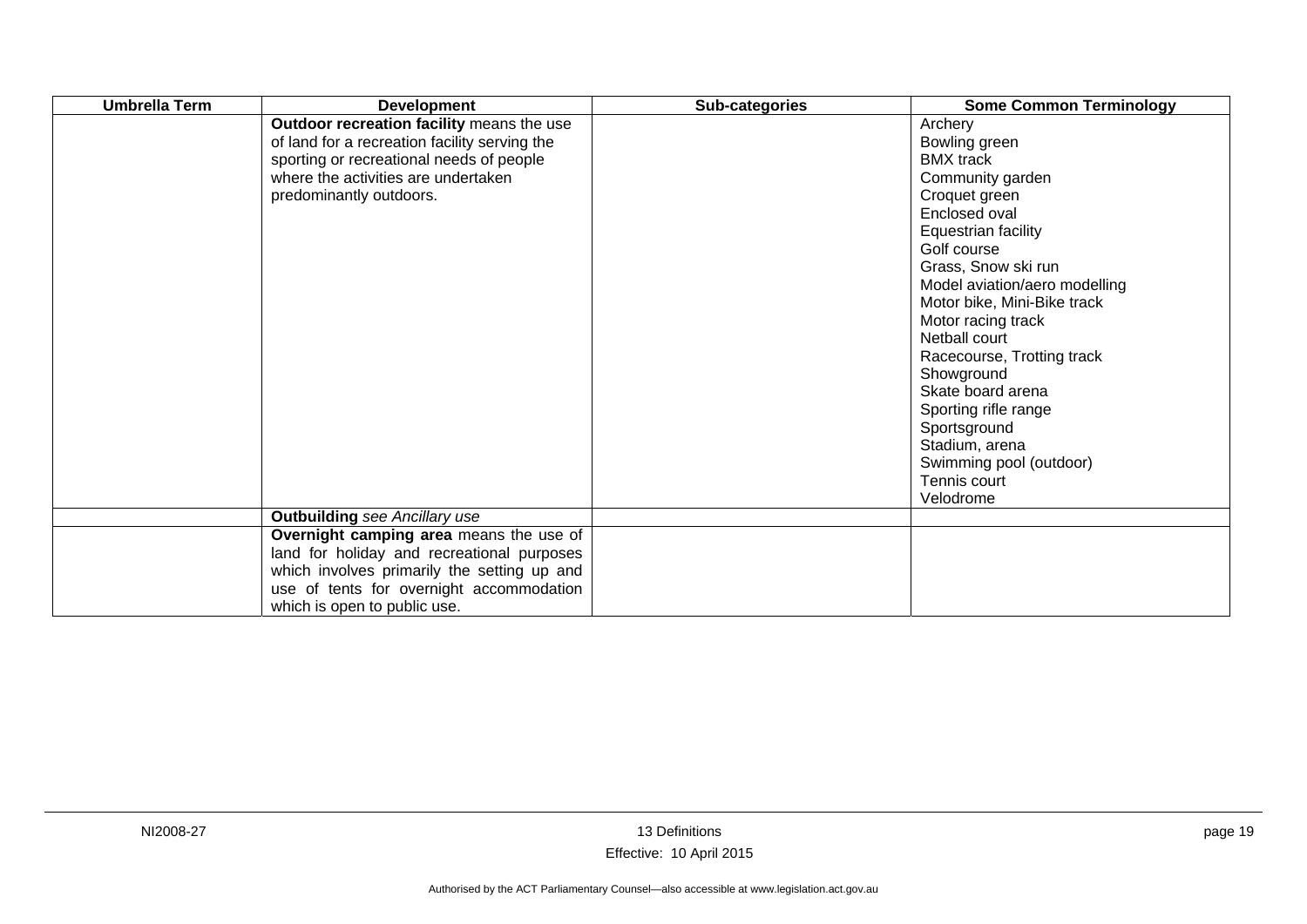| <b>Umbrella Term</b> | <b>Development</b>                                                                                                                                                                                               | Sub-categories | <b>Some Common Terminology</b>                                                                                                                                                                                                                                                                                                                                                                                                               |
|----------------------|------------------------------------------------------------------------------------------------------------------------------------------------------------------------------------------------------------------|----------------|----------------------------------------------------------------------------------------------------------------------------------------------------------------------------------------------------------------------------------------------------------------------------------------------------------------------------------------------------------------------------------------------------------------------------------------------|
|                      | Outdoor recreation facility means the use<br>of land for a recreation facility serving the<br>sporting or recreational needs of people<br>where the activities are undertaken<br>predominantly outdoors.         |                | Archery<br>Bowling green<br><b>BMX</b> track<br>Community garden<br>Croquet green<br>Enclosed oval<br>Equestrian facility<br>Golf course<br>Grass, Snow ski run<br>Model aviation/aero modelling<br>Motor bike, Mini-Bike track<br>Motor racing track<br>Netball court<br>Racecourse, Trotting track<br>Showground<br>Skate board arena<br>Sporting rifle range<br>Sportsground<br>Stadium, arena<br>Swimming pool (outdoor)<br>Tennis court |
|                      |                                                                                                                                                                                                                  |                | Velodrome                                                                                                                                                                                                                                                                                                                                                                                                                                    |
|                      | <b>Outbuilding</b> see Ancillary use                                                                                                                                                                             |                |                                                                                                                                                                                                                                                                                                                                                                                                                                              |
|                      | Overnight camping area means the use of<br>land for holiday and recreational purposes<br>which involves primarily the setting up and<br>use of tents for overnight accommodation<br>which is open to public use. |                |                                                                                                                                                                                                                                                                                                                                                                                                                                              |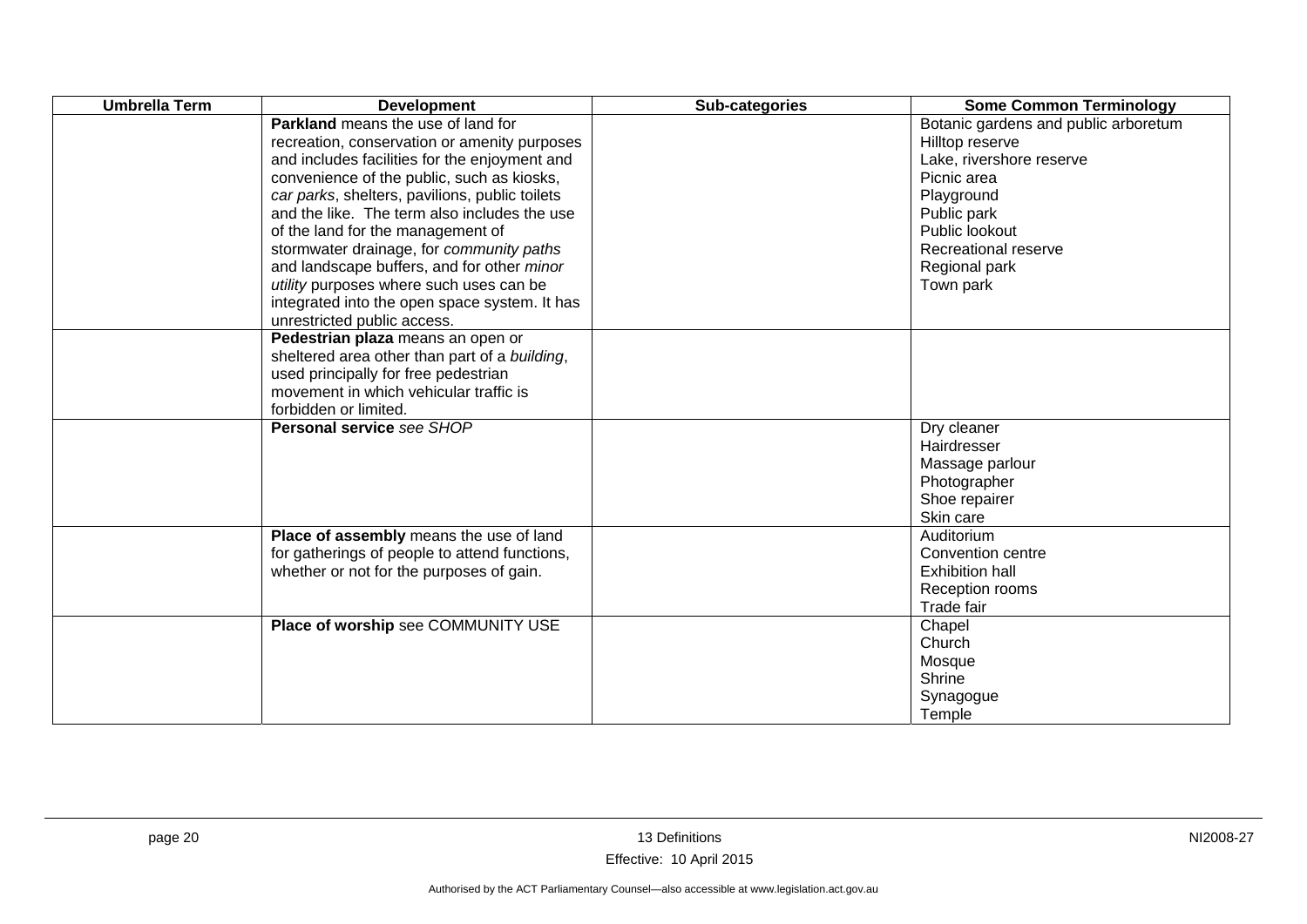| <b>Umbrella Term</b> | <b>Development</b>                                                                                                                                                                                                                                                                                                                                                                                                                                                                                                                                   | Sub-categories | <b>Some Common Terminology</b>                                                                                                                                                                          |
|----------------------|------------------------------------------------------------------------------------------------------------------------------------------------------------------------------------------------------------------------------------------------------------------------------------------------------------------------------------------------------------------------------------------------------------------------------------------------------------------------------------------------------------------------------------------------------|----------------|---------------------------------------------------------------------------------------------------------------------------------------------------------------------------------------------------------|
|                      | <b>Parkland</b> means the use of land for<br>recreation, conservation or amenity purposes<br>and includes facilities for the enjoyment and<br>convenience of the public, such as kiosks,<br>car parks, shelters, pavilions, public toilets<br>and the like. The term also includes the use<br>of the land for the management of<br>stormwater drainage, for community paths<br>and landscape buffers, and for other minor<br>utility purposes where such uses can be<br>integrated into the open space system. It has<br>unrestricted public access. |                | Botanic gardens and public arboretum<br>Hilltop reserve<br>Lake, rivershore reserve<br>Picnic area<br>Playground<br>Public park<br>Public lookout<br>Recreational reserve<br>Regional park<br>Town park |
|                      | Pedestrian plaza means an open or<br>sheltered area other than part of a building,<br>used principally for free pedestrian<br>movement in which vehicular traffic is<br>forbidden or limited.                                                                                                                                                                                                                                                                                                                                                        |                |                                                                                                                                                                                                         |
|                      | <b>Personal service see SHOP</b>                                                                                                                                                                                                                                                                                                                                                                                                                                                                                                                     |                | Dry cleaner<br>Hairdresser<br>Massage parlour<br>Photographer<br>Shoe repairer<br>Skin care                                                                                                             |
|                      | Place of assembly means the use of land<br>for gatherings of people to attend functions,<br>whether or not for the purposes of gain.                                                                                                                                                                                                                                                                                                                                                                                                                 |                | Auditorium<br>Convention centre<br><b>Exhibition hall</b><br>Reception rooms<br>Trade fair                                                                                                              |
|                      | Place of worship see COMMUNITY USE                                                                                                                                                                                                                                                                                                                                                                                                                                                                                                                   |                | Chapel<br>Church<br>Mosque<br>Shrine<br>Synagogue<br>Temple                                                                                                                                             |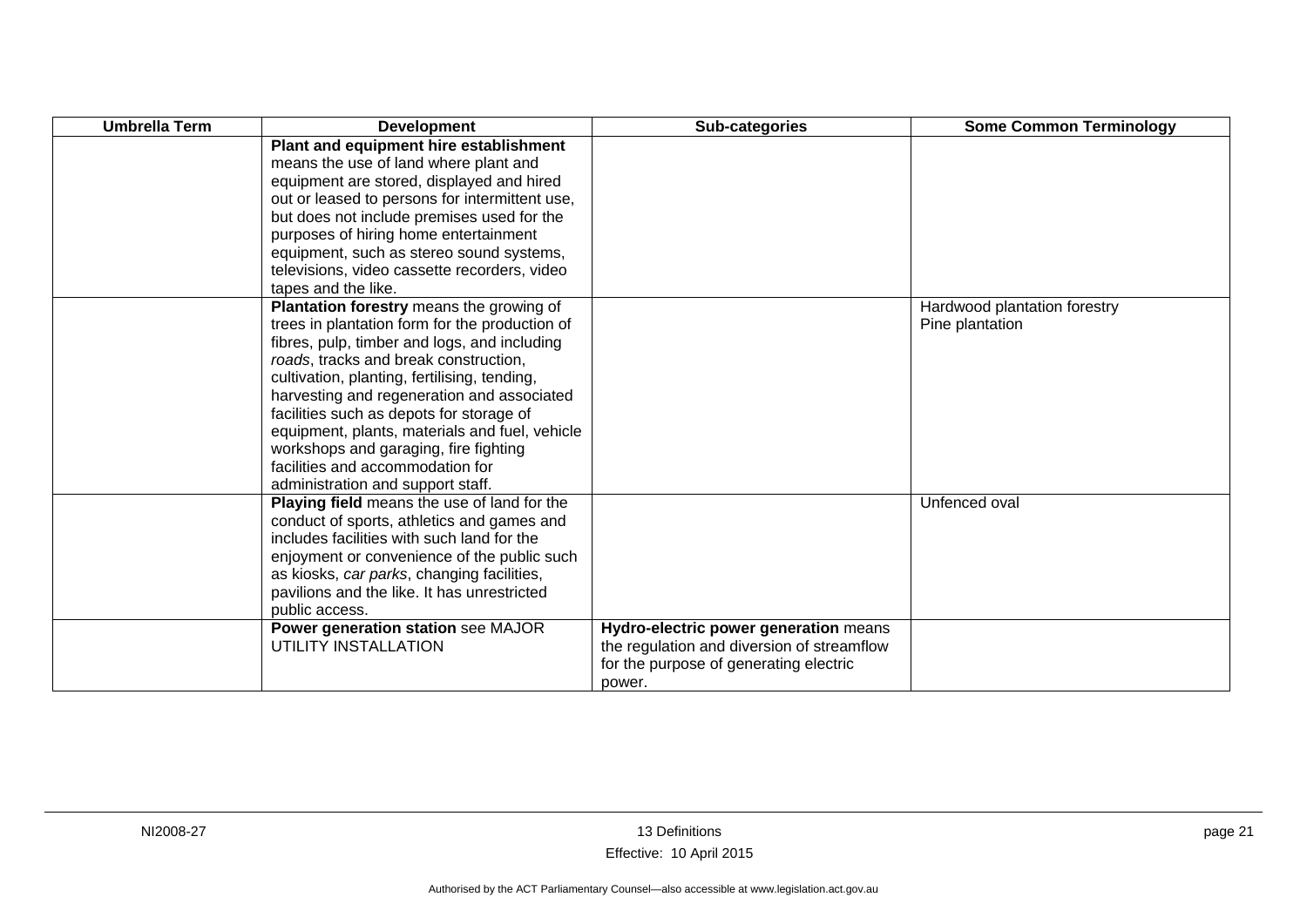| <b>Umbrella Term</b> | <b>Development</b>                             | Sub-categories                             | <b>Some Common Terminology</b> |
|----------------------|------------------------------------------------|--------------------------------------------|--------------------------------|
|                      | Plant and equipment hire establishment         |                                            |                                |
|                      | means the use of land where plant and          |                                            |                                |
|                      | equipment are stored, displayed and hired      |                                            |                                |
|                      | out or leased to persons for intermittent use, |                                            |                                |
|                      | but does not include premises used for the     |                                            |                                |
|                      | purposes of hiring home entertainment          |                                            |                                |
|                      | equipment, such as stereo sound systems,       |                                            |                                |
|                      | televisions, video cassette recorders, video   |                                            |                                |
|                      | tapes and the like.                            |                                            |                                |
|                      | Plantation forestry means the growing of       |                                            | Hardwood plantation forestry   |
|                      | trees in plantation form for the production of |                                            | Pine plantation                |
|                      | fibres, pulp, timber and logs, and including   |                                            |                                |
|                      | roads, tracks and break construction,          |                                            |                                |
|                      | cultivation, planting, fertilising, tending,   |                                            |                                |
|                      | harvesting and regeneration and associated     |                                            |                                |
|                      | facilities such as depots for storage of       |                                            |                                |
|                      | equipment, plants, materials and fuel, vehicle |                                            |                                |
|                      | workshops and garaging, fire fighting          |                                            |                                |
|                      | facilities and accommodation for               |                                            |                                |
|                      | administration and support staff.              |                                            |                                |
|                      | Playing field means the use of land for the    |                                            | Unfenced oval                  |
|                      | conduct of sports, athletics and games and     |                                            |                                |
|                      | includes facilities with such land for the     |                                            |                                |
|                      | enjoyment or convenience of the public such    |                                            |                                |
|                      | as kiosks, car parks, changing facilities,     |                                            |                                |
|                      | pavilions and the like. It has unrestricted    |                                            |                                |
|                      | public access.                                 |                                            |                                |
|                      | Power generation station see MAJOR             | Hydro-electric power generation means      |                                |
|                      | UTILITY INSTALLATION                           | the regulation and diversion of streamflow |                                |
|                      |                                                | for the purpose of generating electric     |                                |
|                      |                                                | power.                                     |                                |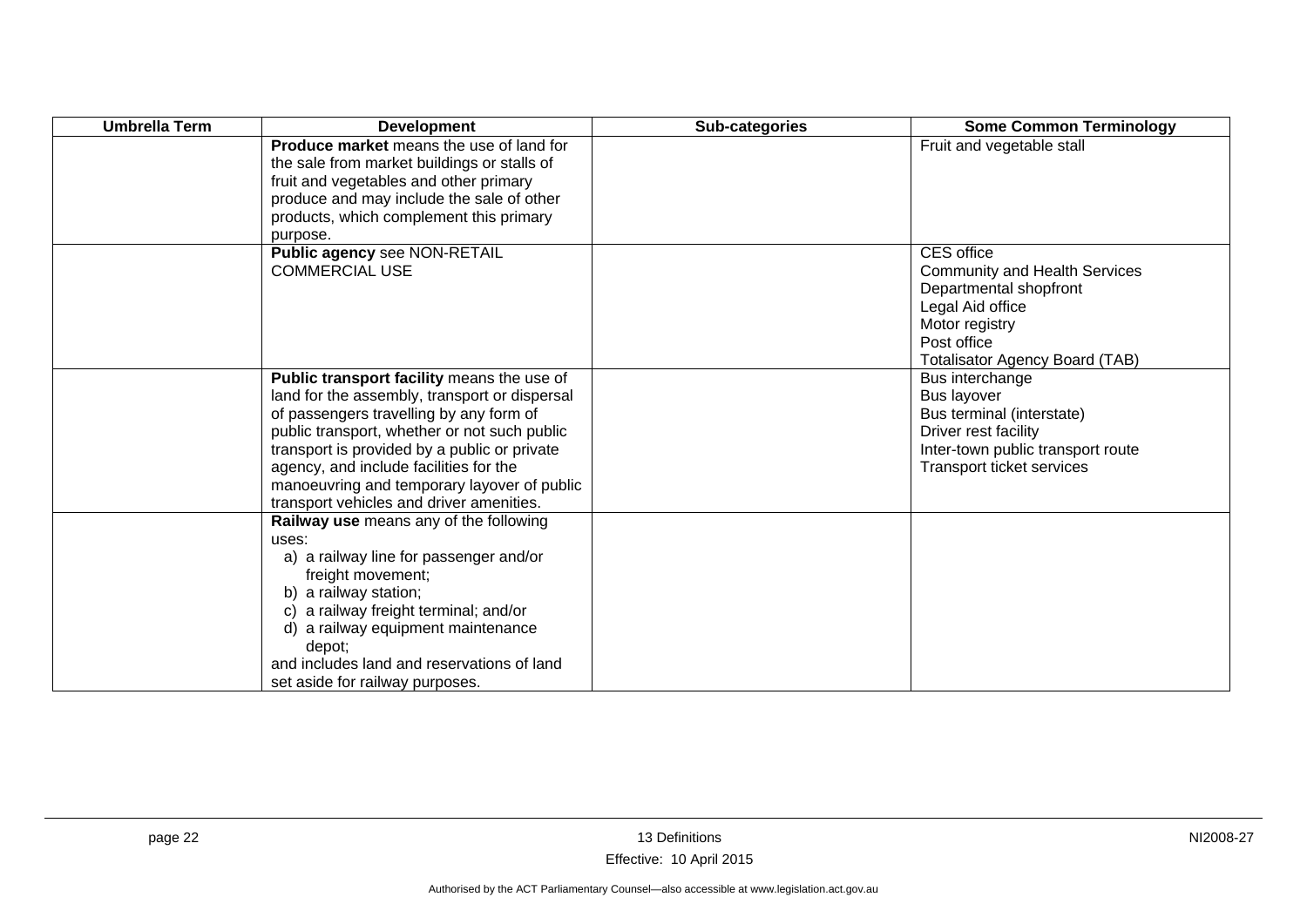| <b>Umbrella Term</b> | <b>Development</b>                                                                                                                                                                                                                                                                                                                                                          | Sub-categories | <b>Some Common Terminology</b>                                                                                                                                             |
|----------------------|-----------------------------------------------------------------------------------------------------------------------------------------------------------------------------------------------------------------------------------------------------------------------------------------------------------------------------------------------------------------------------|----------------|----------------------------------------------------------------------------------------------------------------------------------------------------------------------------|
|                      | <b>Produce market</b> means the use of land for<br>the sale from market buildings or stalls of<br>fruit and vegetables and other primary<br>produce and may include the sale of other<br>products, which complement this primary<br>purpose.                                                                                                                                |                | Fruit and vegetable stall                                                                                                                                                  |
|                      | Public agency see NON-RETAIL<br><b>COMMERCIAL USE</b>                                                                                                                                                                                                                                                                                                                       |                | CES office<br><b>Community and Health Services</b><br>Departmental shopfront<br>Legal Aid office<br>Motor registry<br>Post office<br><b>Totalisator Agency Board (TAB)</b> |
|                      | Public transport facility means the use of<br>land for the assembly, transport or dispersal<br>of passengers travelling by any form of<br>public transport, whether or not such public<br>transport is provided by a public or private<br>agency, and include facilities for the<br>manoeuvring and temporary layover of public<br>transport vehicles and driver amenities. |                | Bus interchange<br>Bus layover<br>Bus terminal (interstate)<br>Driver rest facility<br>Inter-town public transport route<br>Transport ticket services                      |
|                      | Railway use means any of the following<br>uses:<br>a) a railway line for passenger and/or<br>freight movement;<br>b) a railway station;<br>c) a railway freight terminal; and/or<br>d) a railway equipment maintenance<br>depot;<br>and includes land and reservations of land<br>set aside for railway purposes.                                                           |                |                                                                                                                                                                            |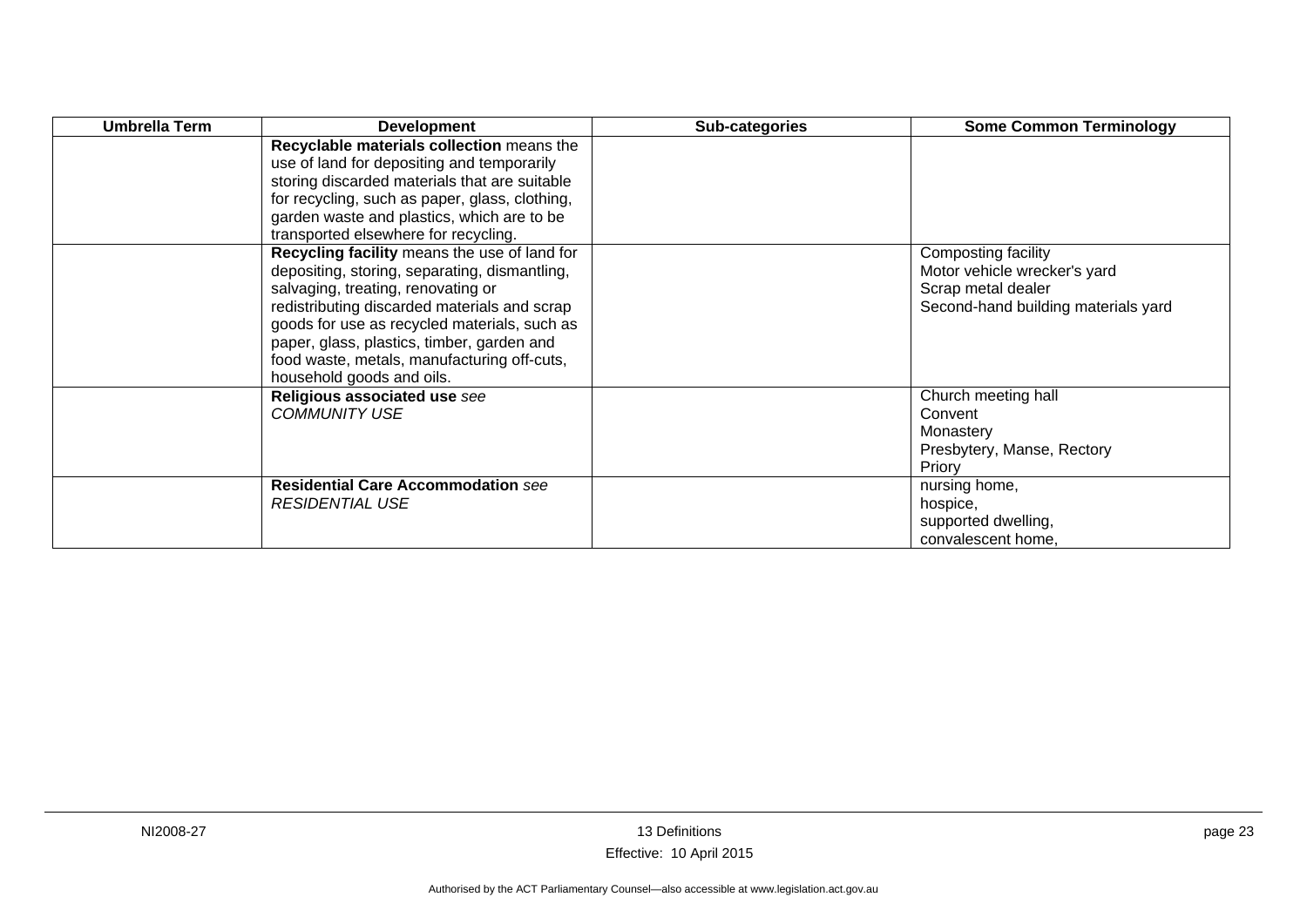| Umbrella Term | <b>Development</b>                                                                                                                                                                                                                                                                                                                                            | Sub-categories | <b>Some Common Terminology</b>                                                                                   |
|---------------|---------------------------------------------------------------------------------------------------------------------------------------------------------------------------------------------------------------------------------------------------------------------------------------------------------------------------------------------------------------|----------------|------------------------------------------------------------------------------------------------------------------|
|               | Recyclable materials collection means the<br>use of land for depositing and temporarily<br>storing discarded materials that are suitable<br>for recycling, such as paper, glass, clothing,<br>garden waste and plastics, which are to be<br>transported elsewhere for recycling.                                                                              |                |                                                                                                                  |
|               | Recycling facility means the use of land for<br>depositing, storing, separating, dismantling,<br>salvaging, treating, renovating or<br>redistributing discarded materials and scrap<br>goods for use as recycled materials, such as<br>paper, glass, plastics, timber, garden and<br>food waste, metals, manufacturing off-cuts,<br>household goods and oils. |                | Composting facility<br>Motor vehicle wrecker's yard<br>Scrap metal dealer<br>Second-hand building materials yard |
|               | Religious associated use see<br><b>COMMUNITY USE</b>                                                                                                                                                                                                                                                                                                          |                | Church meeting hall<br>Convent<br>Monastery<br>Presbytery, Manse, Rectory<br>Priory                              |
|               | <b>Residential Care Accommodation see</b><br><b>RESIDENTIAL USE</b>                                                                                                                                                                                                                                                                                           |                | nursing home,<br>hospice,<br>supported dwelling,<br>convalescent home,                                           |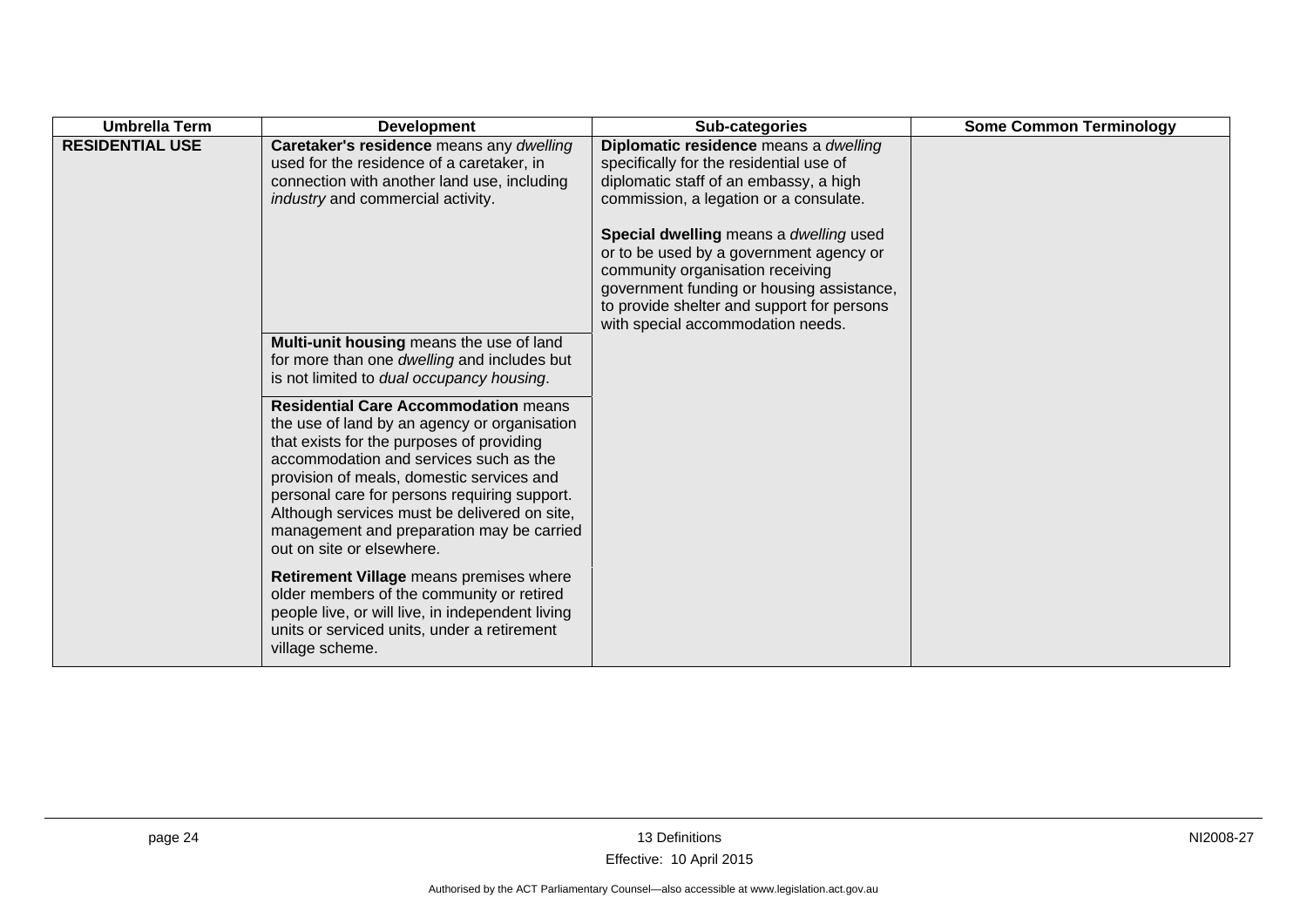| <b>Umbrella Term</b>   | <b>Development</b>                                                                                                                                                                                                                                                                                                                                                                                        | Sub-categories                                                                                                                                                       | <b>Some Common Terminology</b> |
|------------------------|-----------------------------------------------------------------------------------------------------------------------------------------------------------------------------------------------------------------------------------------------------------------------------------------------------------------------------------------------------------------------------------------------------------|----------------------------------------------------------------------------------------------------------------------------------------------------------------------|--------------------------------|
| <b>RESIDENTIAL USE</b> | Caretaker's residence means any dwelling<br>used for the residence of a caretaker, in<br>connection with another land use, including<br>industry and commercial activity.                                                                                                                                                                                                                                 | Diplomatic residence means a dwelling<br>specifically for the residential use of<br>diplomatic staff of an embassy, a high<br>commission, a legation or a consulate. |                                |
|                        |                                                                                                                                                                                                                                                                                                                                                                                                           | Special dwelling means a dwelling used<br>or to be used by a government agency or                                                                                    |                                |
|                        |                                                                                                                                                                                                                                                                                                                                                                                                           | community organisation receiving                                                                                                                                     |                                |
|                        |                                                                                                                                                                                                                                                                                                                                                                                                           | government funding or housing assistance,<br>to provide shelter and support for persons<br>with special accommodation needs.                                         |                                |
|                        | Multi-unit housing means the use of land                                                                                                                                                                                                                                                                                                                                                                  |                                                                                                                                                                      |                                |
|                        | for more than one dwelling and includes but<br>is not limited to dual occupancy housing.                                                                                                                                                                                                                                                                                                                  |                                                                                                                                                                      |                                |
|                        | <b>Residential Care Accommodation means</b><br>the use of land by an agency or organisation<br>that exists for the purposes of providing<br>accommodation and services such as the<br>provision of meals, domestic services and<br>personal care for persons requiring support.<br>Although services must be delivered on site,<br>management and preparation may be carried<br>out on site or elsewhere. |                                                                                                                                                                      |                                |
|                        | Retirement Village means premises where<br>older members of the community or retired<br>people live, or will live, in independent living<br>units or serviced units, under a retirement<br>village scheme.                                                                                                                                                                                                |                                                                                                                                                                      |                                |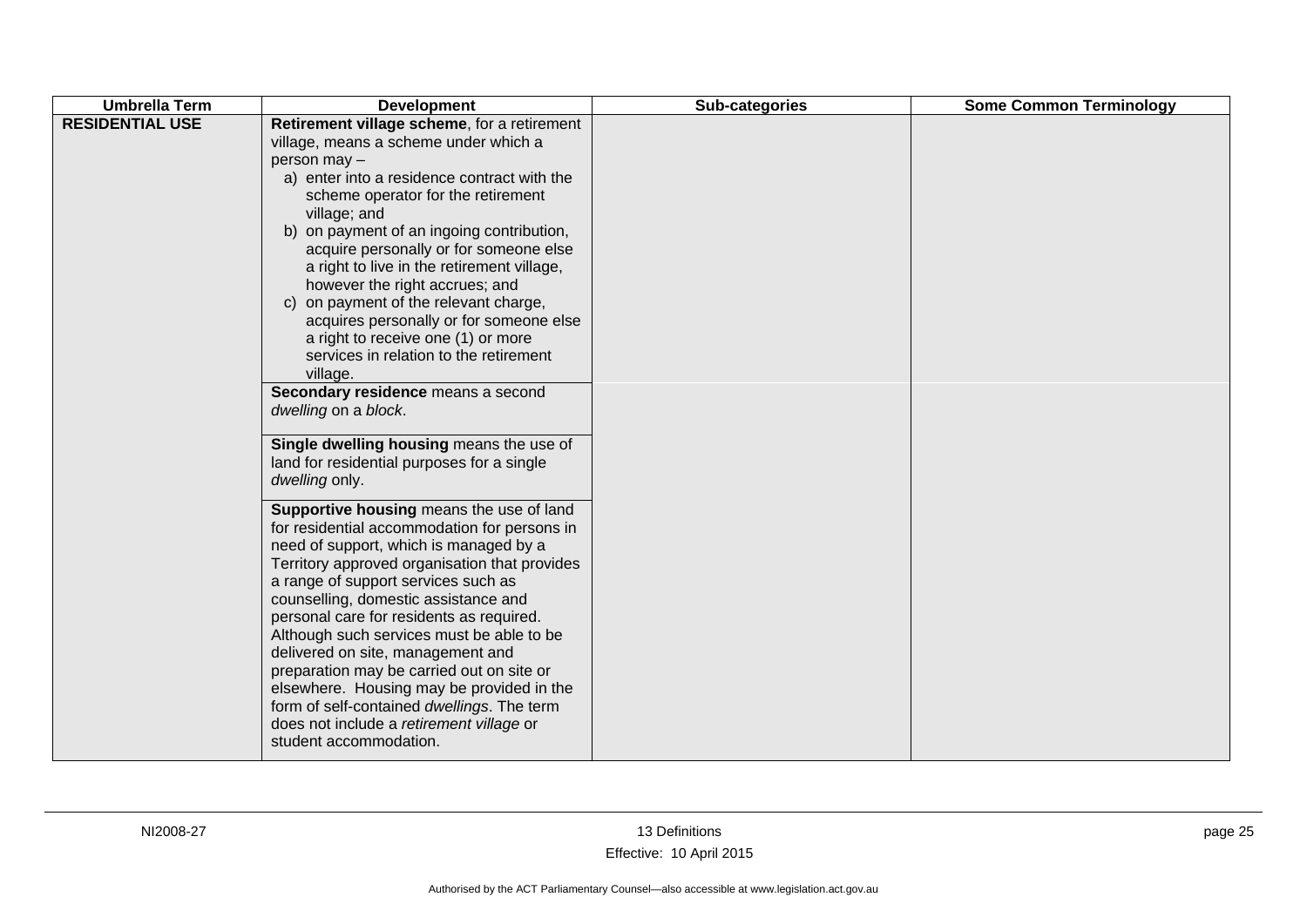| <b>Umbrella Term</b><br><b>Some Common Terminology</b><br>Sub-categories<br><b>Development</b>                                                                                                                                                                                                                                                                                                                                                                                                                                                                                                                                                                                                                                                                                                                                                                                                                                                                                                                                                                                                                                                                                                                                                                                                                   |  |
|------------------------------------------------------------------------------------------------------------------------------------------------------------------------------------------------------------------------------------------------------------------------------------------------------------------------------------------------------------------------------------------------------------------------------------------------------------------------------------------------------------------------------------------------------------------------------------------------------------------------------------------------------------------------------------------------------------------------------------------------------------------------------------------------------------------------------------------------------------------------------------------------------------------------------------------------------------------------------------------------------------------------------------------------------------------------------------------------------------------------------------------------------------------------------------------------------------------------------------------------------------------------------------------------------------------|--|
| <b>RESIDENTIAL USE</b><br>Retirement village scheme, for a retirement<br>village, means a scheme under which a<br>person may -<br>a) enter into a residence contract with the<br>scheme operator for the retirement<br>village; and<br>b) on payment of an ingoing contribution,<br>acquire personally or for someone else<br>a right to live in the retirement village,<br>however the right accrues; and<br>c) on payment of the relevant charge,<br>acquires personally or for someone else<br>a right to receive one (1) or more<br>services in relation to the retirement<br>village.<br>Secondary residence means a second<br>dwelling on a block.<br>Single dwelling housing means the use of<br>land for residential purposes for a single<br>dwelling only.<br>Supportive housing means the use of land<br>for residential accommodation for persons in<br>need of support, which is managed by a<br>Territory approved organisation that provides<br>a range of support services such as<br>counselling, domestic assistance and<br>personal care for residents as required.<br>Although such services must be able to be<br>delivered on site, management and<br>preparation may be carried out on site or<br>elsewhere. Housing may be provided in the<br>form of self-contained dwellings. The term |  |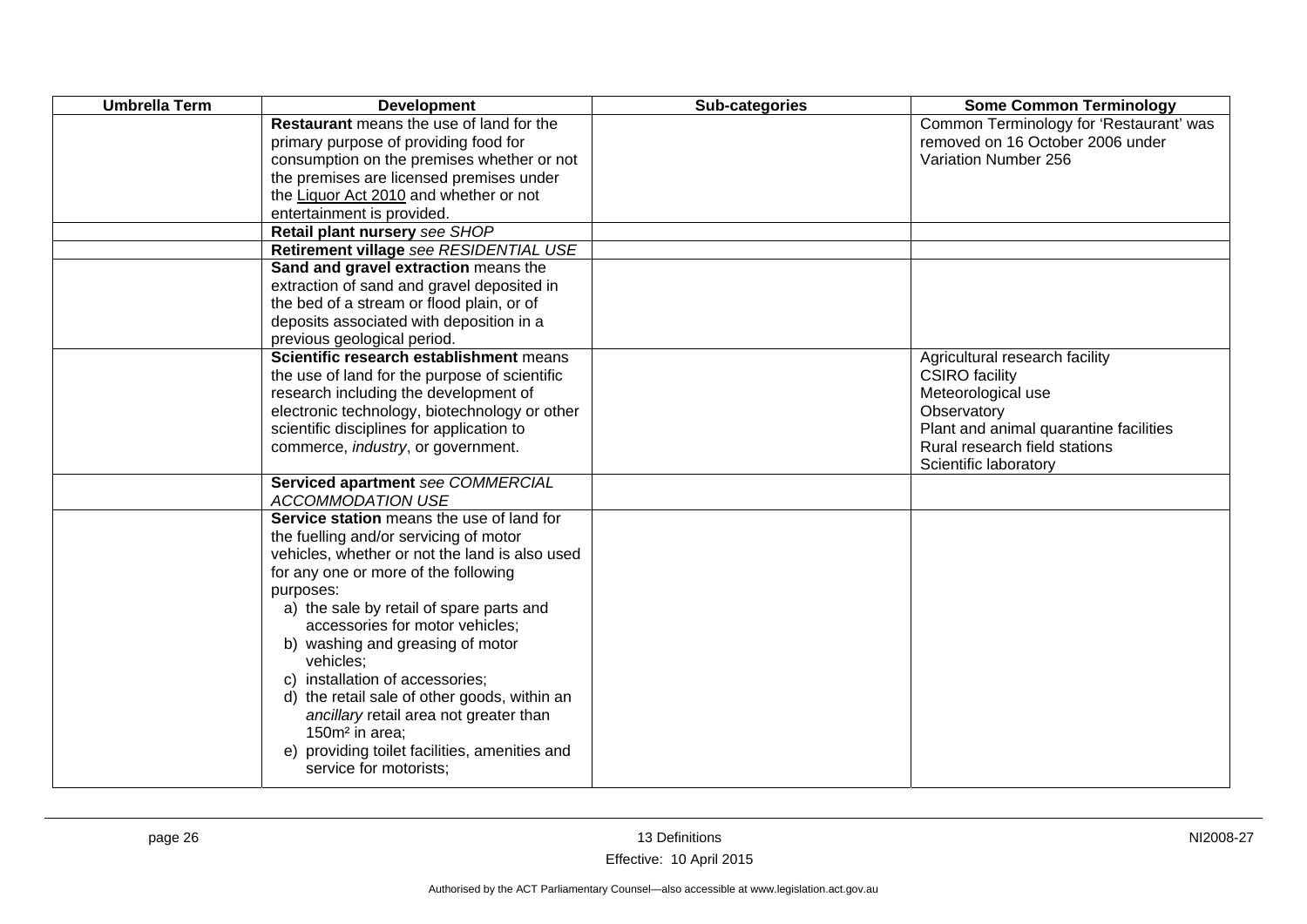| <b>Umbrella Term</b> | <b>Development</b>                                                                                                                                                                                                                                                                                                                                                                                                                                                                                                                                               | Sub-categories | <b>Some Common Terminology</b>                                                                                                                                                                   |
|----------------------|------------------------------------------------------------------------------------------------------------------------------------------------------------------------------------------------------------------------------------------------------------------------------------------------------------------------------------------------------------------------------------------------------------------------------------------------------------------------------------------------------------------------------------------------------------------|----------------|--------------------------------------------------------------------------------------------------------------------------------------------------------------------------------------------------|
|                      | Restaurant means the use of land for the<br>primary purpose of providing food for<br>consumption on the premises whether or not<br>the premises are licensed premises under<br>the Liquor Act 2010 and whether or not<br>entertainment is provided.<br>Retail plant nursery see SHOP                                                                                                                                                                                                                                                                             |                | Common Terminology for 'Restaurant' was<br>removed on 16 October 2006 under<br>Variation Number 256                                                                                              |
|                      | Retirement village see RESIDENTIAL USE<br>Sand and gravel extraction means the                                                                                                                                                                                                                                                                                                                                                                                                                                                                                   |                |                                                                                                                                                                                                  |
|                      | extraction of sand and gravel deposited in<br>the bed of a stream or flood plain, or of<br>deposits associated with deposition in a<br>previous geological period.                                                                                                                                                                                                                                                                                                                                                                                               |                |                                                                                                                                                                                                  |
|                      | Scientific research establishment means<br>the use of land for the purpose of scientific<br>research including the development of<br>electronic technology, biotechnology or other<br>scientific disciplines for application to<br>commerce, industry, or government.                                                                                                                                                                                                                                                                                            |                | Agricultural research facility<br><b>CSIRO</b> facility<br>Meteorological use<br>Observatory<br>Plant and animal quarantine facilities<br>Rural research field stations<br>Scientific laboratory |
|                      | Serviced apartment see COMMERCIAL<br><b>ACCOMMODATION USE</b>                                                                                                                                                                                                                                                                                                                                                                                                                                                                                                    |                |                                                                                                                                                                                                  |
|                      | Service station means the use of land for<br>the fuelling and/or servicing of motor<br>vehicles, whether or not the land is also used<br>for any one or more of the following<br>purposes:<br>a) the sale by retail of spare parts and<br>accessories for motor vehicles;<br>b) washing and greasing of motor<br>vehicles;<br>c) installation of accessories;<br>d) the retail sale of other goods, within an<br>ancillary retail area not greater than<br>150m <sup>2</sup> in area;<br>e) providing toilet facilities, amenities and<br>service for motorists; |                |                                                                                                                                                                                                  |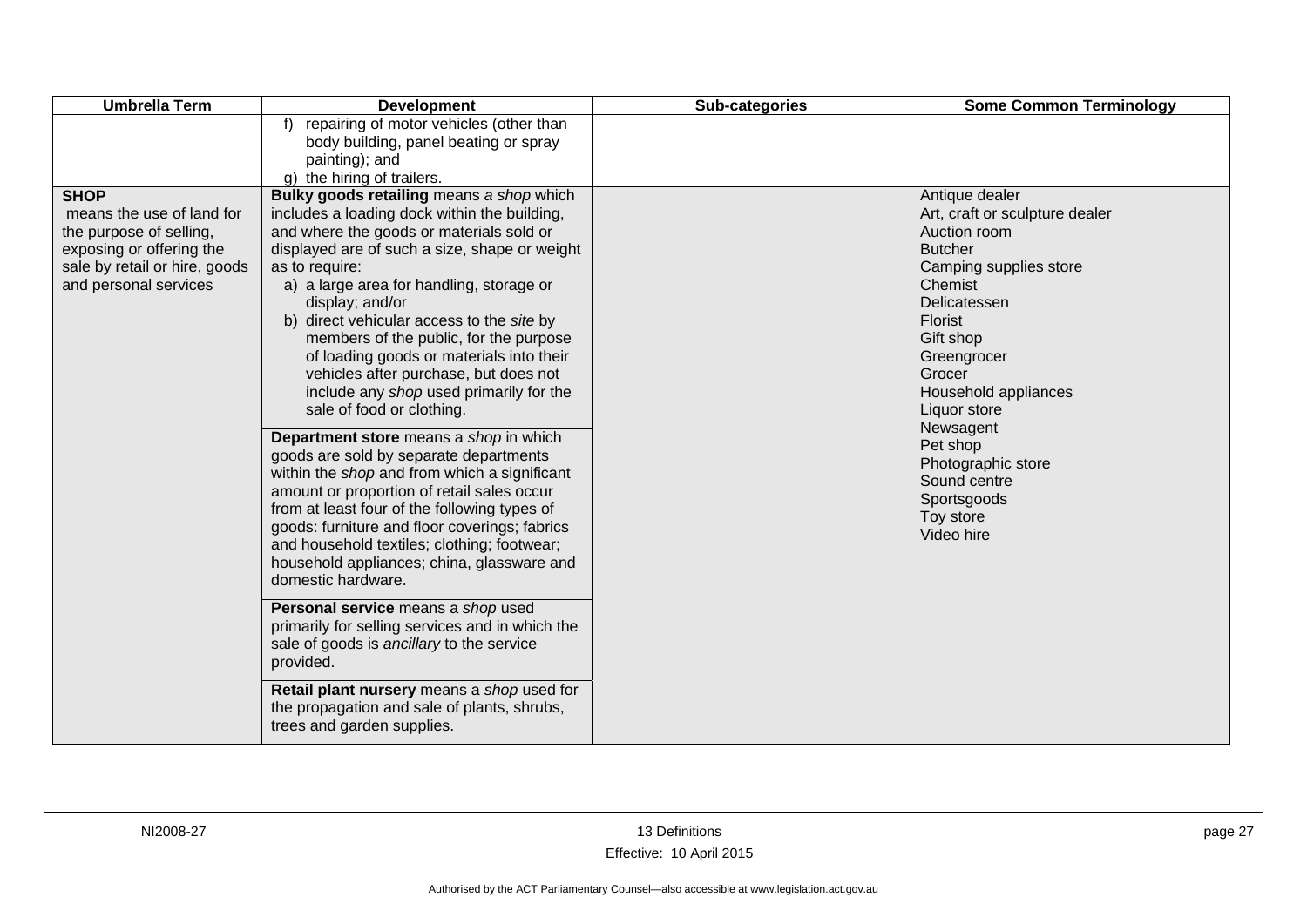| <b>Umbrella Term</b>                                                                                                                                      | <b>Development</b>                                                                                                                                                                                                                                                                                                                                                                                                                                                                                                                                                                                                                                                                                                                                                                                                                                                                                                                                                                                                                                                                                                                                                                                             | Sub-categories | <b>Some Common Terminology</b>                                                                                                                                                                                                                                                                                                                   |
|-----------------------------------------------------------------------------------------------------------------------------------------------------------|----------------------------------------------------------------------------------------------------------------------------------------------------------------------------------------------------------------------------------------------------------------------------------------------------------------------------------------------------------------------------------------------------------------------------------------------------------------------------------------------------------------------------------------------------------------------------------------------------------------------------------------------------------------------------------------------------------------------------------------------------------------------------------------------------------------------------------------------------------------------------------------------------------------------------------------------------------------------------------------------------------------------------------------------------------------------------------------------------------------------------------------------------------------------------------------------------------------|----------------|--------------------------------------------------------------------------------------------------------------------------------------------------------------------------------------------------------------------------------------------------------------------------------------------------------------------------------------------------|
|                                                                                                                                                           | f) repairing of motor vehicles (other than<br>body building, panel beating or spray<br>painting); and<br>g) the hiring of trailers.                                                                                                                                                                                                                                                                                                                                                                                                                                                                                                                                                                                                                                                                                                                                                                                                                                                                                                                                                                                                                                                                            |                |                                                                                                                                                                                                                                                                                                                                                  |
| <b>SHOP</b><br>means the use of land for<br>the purpose of selling,<br>exposing or offering the<br>sale by retail or hire, goods<br>and personal services | Bulky goods retailing means a shop which<br>includes a loading dock within the building,<br>and where the goods or materials sold or<br>displayed are of such a size, shape or weight<br>as to require:<br>a) a large area for handling, storage or<br>display; and/or<br>b) direct vehicular access to the site by<br>members of the public, for the purpose<br>of loading goods or materials into their<br>vehicles after purchase, but does not<br>include any shop used primarily for the<br>sale of food or clothing.<br>Department store means a shop in which<br>goods are sold by separate departments<br>within the shop and from which a significant<br>amount or proportion of retail sales occur<br>from at least four of the following types of<br>goods: furniture and floor coverings; fabrics<br>and household textiles; clothing; footwear;<br>household appliances; china, glassware and<br>domestic hardware.<br>Personal service means a shop used<br>primarily for selling services and in which the<br>sale of goods is ancillary to the service<br>provided.<br>Retail plant nursery means a shop used for<br>the propagation and sale of plants, shrubs,<br>trees and garden supplies. |                | Antique dealer<br>Art, craft or sculpture dealer<br>Auction room<br><b>Butcher</b><br>Camping supplies store<br>Chemist<br>Delicatessen<br><b>Florist</b><br>Gift shop<br>Greengrocer<br>Grocer<br>Household appliances<br>Liquor store<br>Newsagent<br>Pet shop<br>Photographic store<br>Sound centre<br>Sportsgoods<br>Toy store<br>Video hire |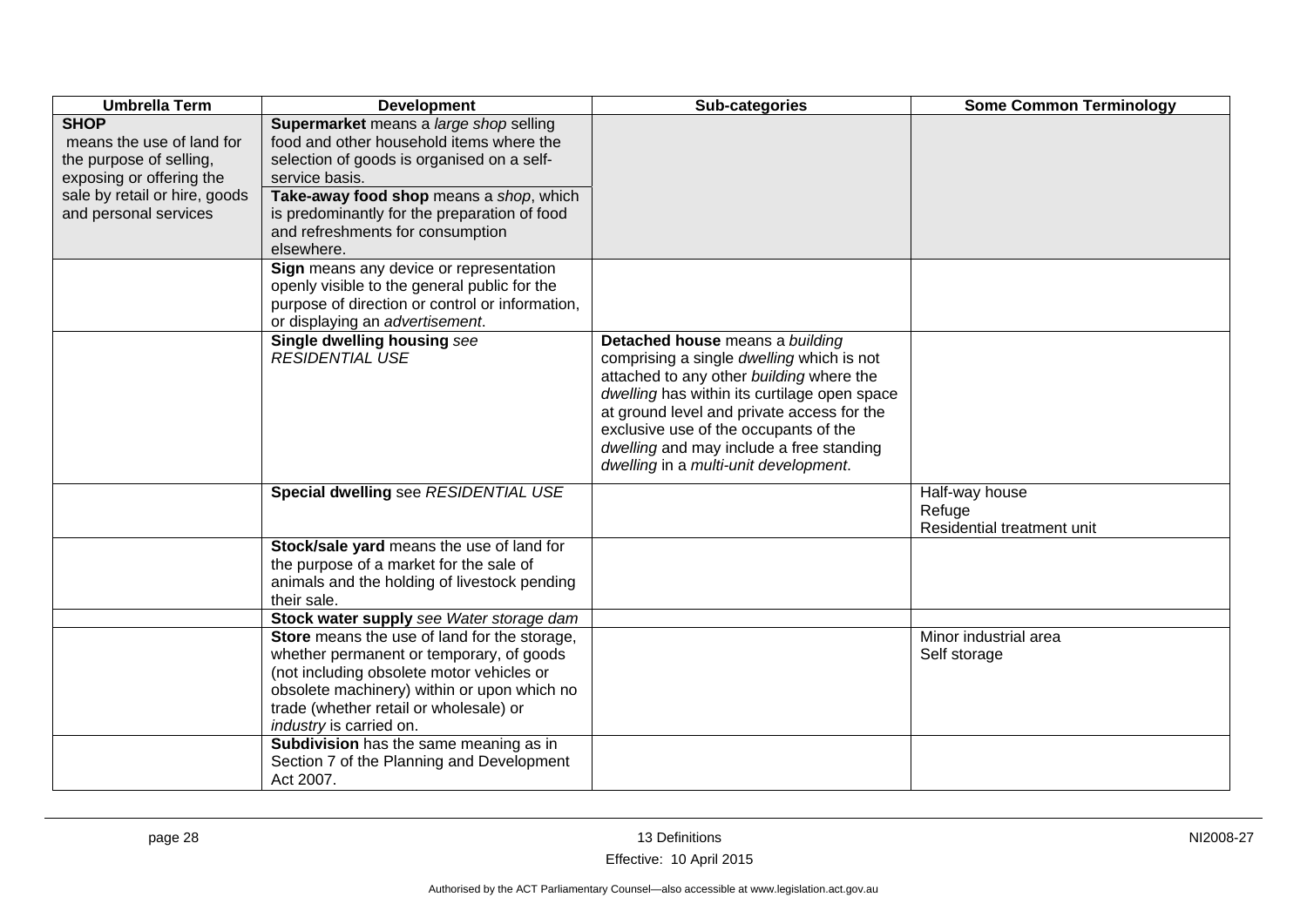| <b>Umbrella Term</b>                                                                                                                                      | <b>Development</b>                                                                                                                                                                                                                                                                                  | Sub-categories                                                                                                                                                                                                                                                                                                                                       | <b>Some Common Terminology</b>                         |
|-----------------------------------------------------------------------------------------------------------------------------------------------------------|-----------------------------------------------------------------------------------------------------------------------------------------------------------------------------------------------------------------------------------------------------------------------------------------------------|------------------------------------------------------------------------------------------------------------------------------------------------------------------------------------------------------------------------------------------------------------------------------------------------------------------------------------------------------|--------------------------------------------------------|
| <b>SHOP</b><br>means the use of land for<br>the purpose of selling,<br>exposing or offering the<br>sale by retail or hire, goods<br>and personal services | Supermarket means a large shop selling<br>food and other household items where the<br>selection of goods is organised on a self-<br>service basis.<br>Take-away food shop means a shop, which<br>is predominantly for the preparation of food<br>and refreshments for consumption<br>elsewhere.     |                                                                                                                                                                                                                                                                                                                                                      |                                                        |
|                                                                                                                                                           | Sign means any device or representation<br>openly visible to the general public for the<br>purpose of direction or control or information,<br>or displaying an advertisement.                                                                                                                       |                                                                                                                                                                                                                                                                                                                                                      |                                                        |
|                                                                                                                                                           | Single dwelling housing see<br><b>RESIDENTIAL USE</b>                                                                                                                                                                                                                                               | Detached house means a building<br>comprising a single dwelling which is not<br>attached to any other building where the<br>dwelling has within its curtilage open space<br>at ground level and private access for the<br>exclusive use of the occupants of the<br>dwelling and may include a free standing<br>dwelling in a multi-unit development. |                                                        |
|                                                                                                                                                           | Special dwelling see RESIDENTIAL USE                                                                                                                                                                                                                                                                |                                                                                                                                                                                                                                                                                                                                                      | Half-way house<br>Refuge<br>Residential treatment unit |
|                                                                                                                                                           | Stock/sale yard means the use of land for<br>the purpose of a market for the sale of<br>animals and the holding of livestock pending<br>their sale.                                                                                                                                                 |                                                                                                                                                                                                                                                                                                                                                      |                                                        |
|                                                                                                                                                           | Stock water supply see Water storage dam                                                                                                                                                                                                                                                            |                                                                                                                                                                                                                                                                                                                                                      |                                                        |
|                                                                                                                                                           | Store means the use of land for the storage,<br>whether permanent or temporary, of goods<br>(not including obsolete motor vehicles or<br>obsolete machinery) within or upon which no<br>trade (whether retail or wholesale) or<br>industry is carried on.<br>Subdivision has the same meaning as in |                                                                                                                                                                                                                                                                                                                                                      | Minor industrial area<br>Self storage                  |
|                                                                                                                                                           | Section 7 of the Planning and Development<br>Act 2007.                                                                                                                                                                                                                                              |                                                                                                                                                                                                                                                                                                                                                      |                                                        |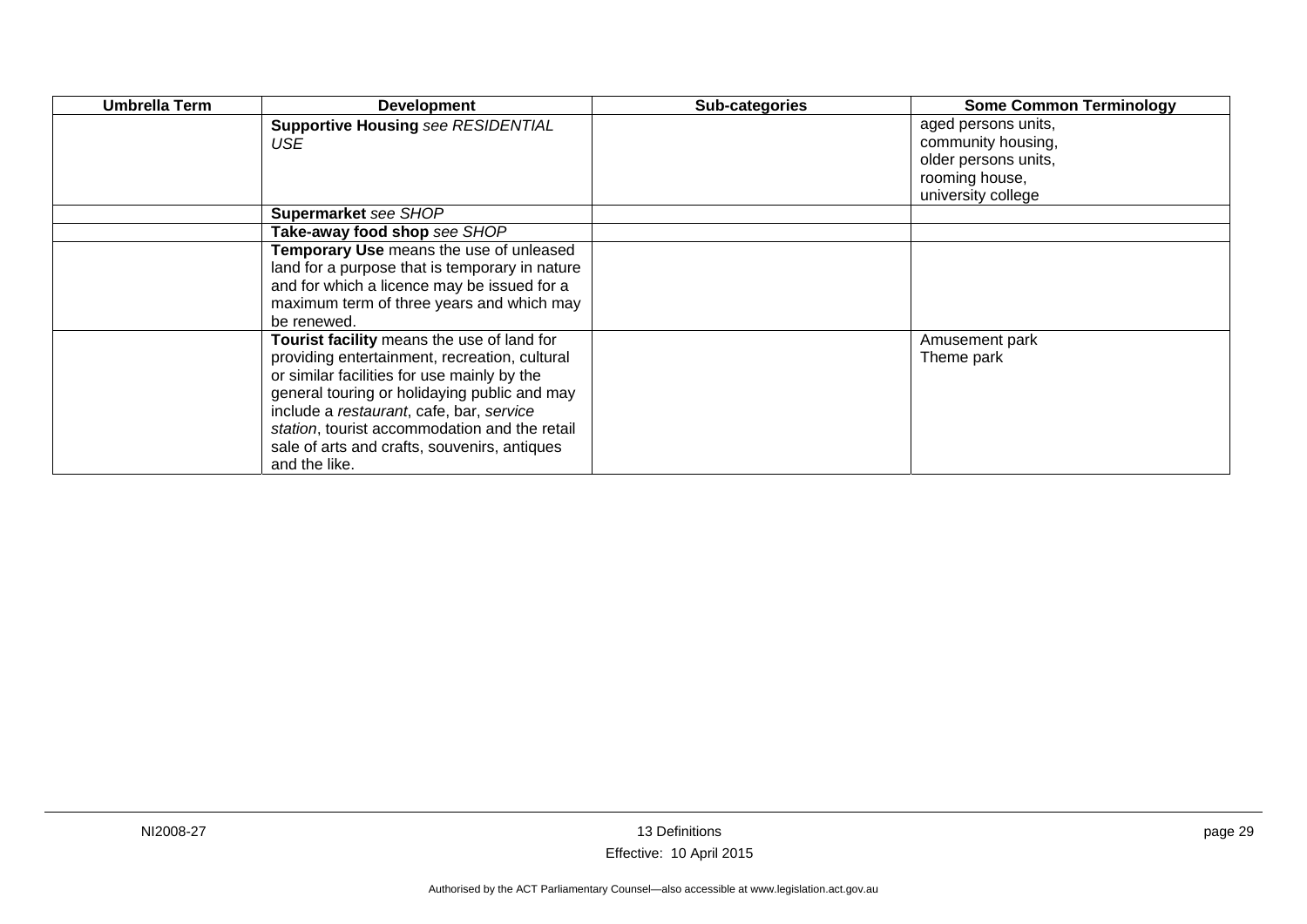| Umbrella Term | <b>Development</b>                             | Sub-categories | <b>Some Common Terminology</b> |
|---------------|------------------------------------------------|----------------|--------------------------------|
|               | <b>Supportive Housing see RESIDENTIAL</b>      |                | aged persons units,            |
|               | USE                                            |                | community housing,             |
|               |                                                |                | older persons units,           |
|               |                                                |                | rooming house,                 |
|               |                                                |                | university college             |
|               | Supermarket see SHOP                           |                |                                |
|               | Take-away food shop see SHOP                   |                |                                |
|               | Temporary Use means the use of unleased        |                |                                |
|               | land for a purpose that is temporary in nature |                |                                |
|               | and for which a licence may be issued for a    |                |                                |
|               | maximum term of three years and which may      |                |                                |
|               | be renewed.                                    |                |                                |
|               | Tourist facility means the use of land for     |                | Amusement park                 |
|               | providing entertainment, recreation, cultural  |                | Theme park                     |
|               | or similar facilities for use mainly by the    |                |                                |
|               | general touring or holidaying public and may   |                |                                |
|               | include a restaurant, cafe, bar, service       |                |                                |
|               | station, tourist accommodation and the retail  |                |                                |
|               | sale of arts and crafts, souvenirs, antiques   |                |                                |
|               | and the like.                                  |                |                                |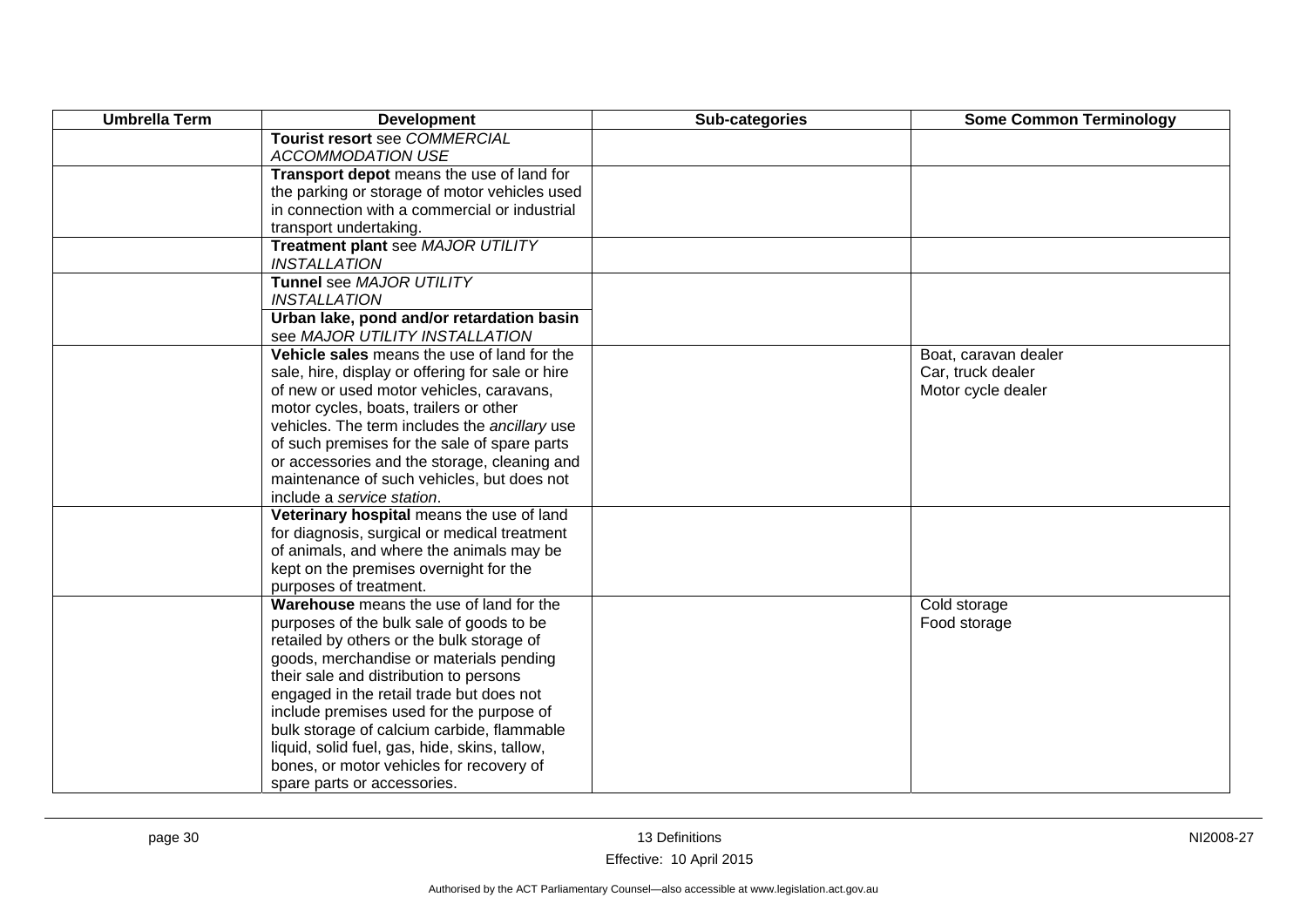| <b>Umbrella Term</b> | <b>Development</b>                                       | Sub-categories | <b>Some Common Terminology</b> |
|----------------------|----------------------------------------------------------|----------------|--------------------------------|
|                      | Tourist resort see COMMERCIAL                            |                |                                |
|                      | <b>ACCOMMODATION USE</b>                                 |                |                                |
|                      | Transport depot means the use of land for                |                |                                |
|                      | the parking or storage of motor vehicles used            |                |                                |
|                      | in connection with a commercial or industrial            |                |                                |
|                      | transport undertaking.                                   |                |                                |
|                      | Treatment plant see MAJOR UTILITY<br><b>INSTALLATION</b> |                |                                |
|                      | Tunnel see MAJOR UTILITY                                 |                |                                |
|                      | <b>INSTALLATION</b>                                      |                |                                |
|                      | Urban lake, pond and/or retardation basin                |                |                                |
|                      | see MAJOR UTILITY INSTALLATION                           |                |                                |
|                      | Vehicle sales means the use of land for the              |                | Boat, caravan dealer           |
|                      | sale, hire, display or offering for sale or hire         |                | Car, truck dealer              |
|                      | of new or used motor vehicles, caravans,                 |                | Motor cycle dealer             |
|                      | motor cycles, boats, trailers or other                   |                |                                |
|                      | vehicles. The term includes the ancillary use            |                |                                |
|                      | of such premises for the sale of spare parts             |                |                                |
|                      | or accessories and the storage, cleaning and             |                |                                |
|                      | maintenance of such vehicles, but does not               |                |                                |
|                      | include a service station.                               |                |                                |
|                      | Veterinary hospital means the use of land                |                |                                |
|                      | for diagnosis, surgical or medical treatment             |                |                                |
|                      | of animals, and where the animals may be                 |                |                                |
|                      | kept on the premises overnight for the                   |                |                                |
|                      | purposes of treatment.                                   |                |                                |
|                      | Warehouse means the use of land for the                  |                | Cold storage                   |
|                      | purposes of the bulk sale of goods to be                 |                | Food storage                   |
|                      | retailed by others or the bulk storage of                |                |                                |
|                      | goods, merchandise or materials pending                  |                |                                |
|                      | their sale and distribution to persons                   |                |                                |
|                      | engaged in the retail trade but does not                 |                |                                |
|                      | include premises used for the purpose of                 |                |                                |
|                      | bulk storage of calcium carbide, flammable               |                |                                |
|                      | liquid, solid fuel, gas, hide, skins, tallow,            |                |                                |
|                      | bones, or motor vehicles for recovery of                 |                |                                |
|                      | spare parts or accessories.                              |                |                                |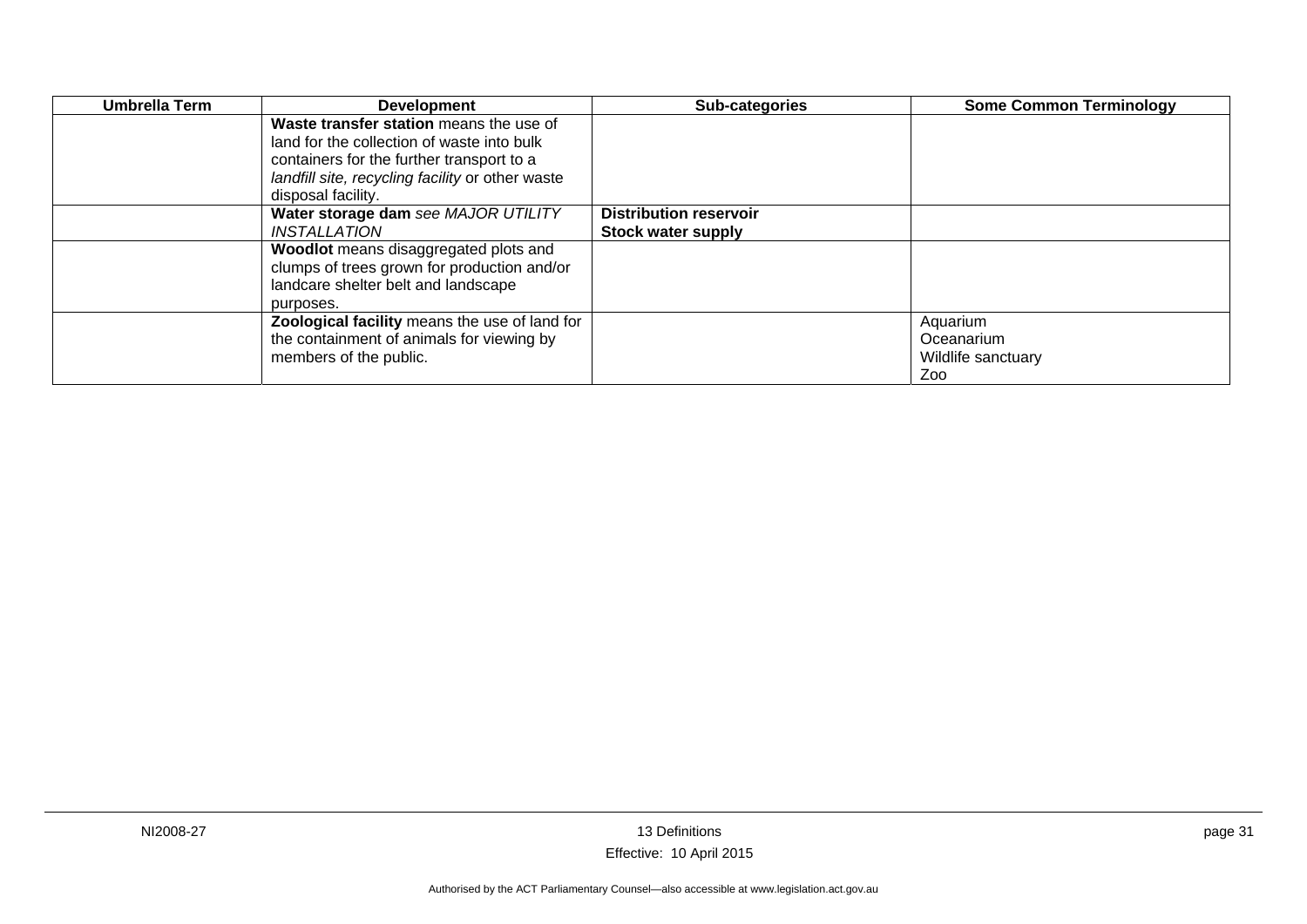| Umbrella Term | <b>Development</b>                               | Sub-categories                | <b>Some Common Terminology</b> |
|---------------|--------------------------------------------------|-------------------------------|--------------------------------|
|               | Waste transfer station means the use of          |                               |                                |
|               | land for the collection of waste into bulk       |                               |                                |
|               | containers for the further transport to a        |                               |                                |
|               | landfill site, recycling facility or other waste |                               |                                |
|               | disposal facility.                               |                               |                                |
|               | Water storage dam see MAJOR UTILITY              | <b>Distribution reservoir</b> |                                |
|               | INSTALLATION                                     | <b>Stock water supply</b>     |                                |
|               | Woodlot means disaggregated plots and            |                               |                                |
|               | clumps of trees grown for production and/or      |                               |                                |
|               | landcare shelter belt and landscape              |                               |                                |
|               | purposes.                                        |                               |                                |
|               | Zoological facility means the use of land for    |                               | Aquarium                       |
|               | the containment of animals for viewing by        |                               | Oceanarium                     |
|               | members of the public.                           |                               | Wildlife sanctuary             |
|               |                                                  |                               | Zoo                            |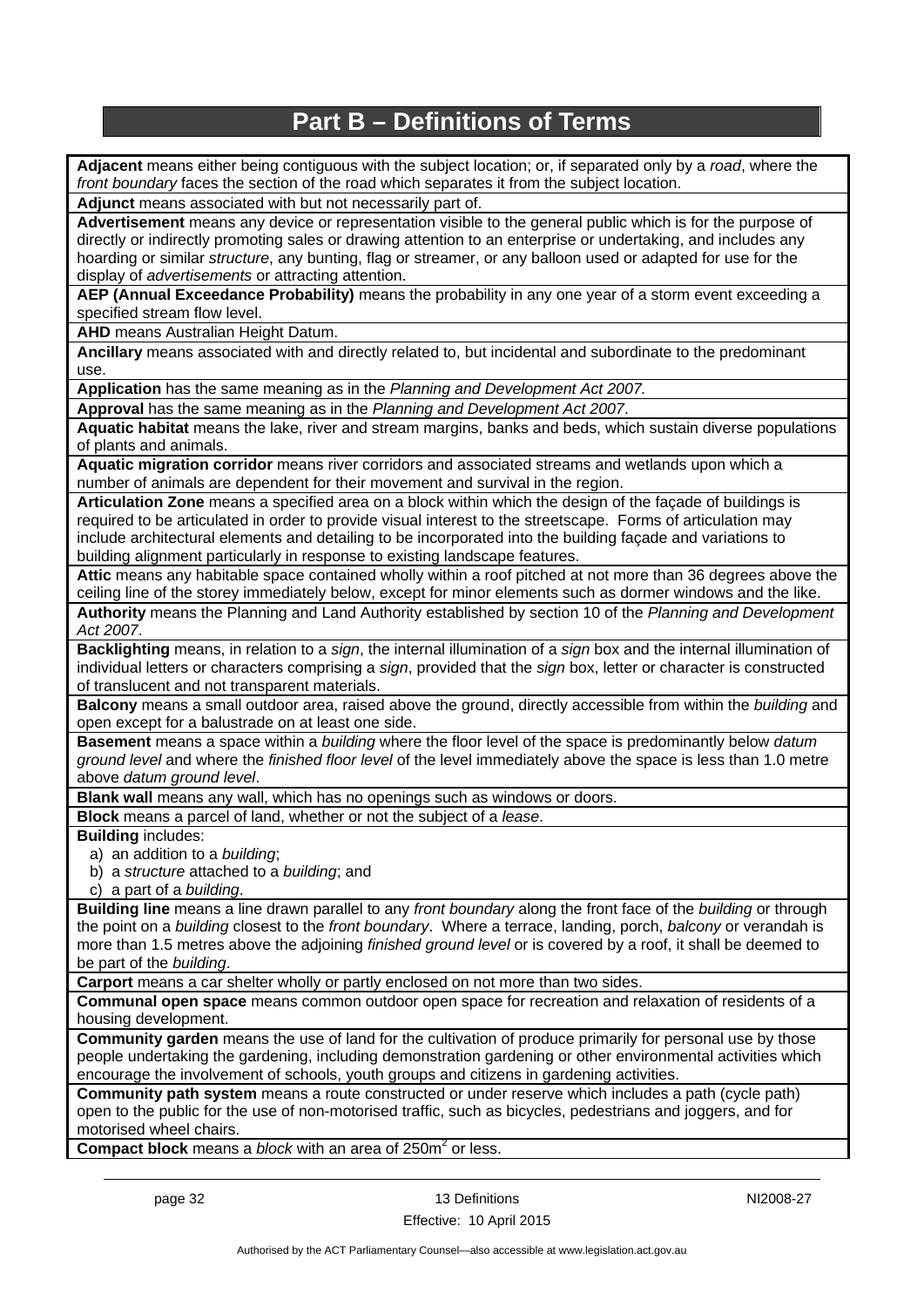## **Part B – Definitions of Terms**

**Adjacent** means either being contiguous with the subject location; or, if separated only by a *road*, where the *front boundary* faces the section of the road which separates it from the subject location.

**Adjunct** means associated with but not necessarily part of.

**Advertisement** means any device or representation visible to the general public which is for the purpose of directly or indirectly promoting sales or drawing attention to an enterprise or undertaking, and includes any hoarding or similar *structure*, any bunting, flag or streamer, or any balloon used or adapted for use for the display of *advertisements* or attracting attention.

**AEP (Annual Exceedance Probability)** means the probability in any one year of a storm event exceeding a specified stream flow level.

**AHD** means Australian Height Datum.

**Ancillary** means associated with and directly related to, but incidental and subordinate to the predominant use.

**Application** has the same meaning as in the *Planning and Development Act 2007.*

**Approval** has the same meaning as in the *Planning and Development Act 2007*.

**Aquatic habitat** means the lake, river and stream margins, banks and beds, which sustain diverse populations of plants and animals.

**Aquatic migration corridor** means river corridors and associated streams and wetlands upon which a number of animals are dependent for their movement and survival in the region.

**Articulation Zone** means a specified area on a block within which the design of the façade of buildings is required to be articulated in order to provide visual interest to the streetscape. Forms of articulation may include architectural elements and detailing to be incorporated into the building façade and variations to building alignment particularly in response to existing landscape features.

**Attic** means any habitable space contained wholly within a roof pitched at not more than 36 degrees above the ceiling line of the storey immediately below, except for minor elements such as dormer windows and the like.

**Authority** means the Planning and Land Authority established by section 10 of the *Planning and Development Act 2007*.

**Backlighting** means, in relation to a *sign*, the internal illumination of a *sign* box and the internal illumination of individual letters or characters comprising a *sign*, provided that the *sign* box, letter or character is constructed of translucent and not transparent materials.

**Balcony** means a small outdoor area, raised above the ground, directly accessible from within the *building* and open except for a balustrade on at least one side.

**Basement** means a space within a *building* where the floor level of the space is predominantly below *datum ground level* and where the *finished floor level* of the level immediately above the space is less than 1.0 metre above *datum ground level*.

**Blank wall** means any wall, which has no openings such as windows or doors.

**Block** means a parcel of land, whether or not the subject of a *lease*.

**Building** includes:

a) an addition to a *building*;

b) a *structure* attached to a *building*; and

c) a part of a *building*.

**Building line** means a line drawn parallel to any *front boundary* along the front face of the *building* or through the point on a *building* closest to the *front boundary*. Where a terrace, landing, porch, *balcony* or verandah is more than 1.5 metres above the adjoining *finished ground level* or is covered by a roof, it shall be deemed to be part of the *building*.

**Carport** means a car shelter wholly or partly enclosed on not more than two sides.

**Communal open space** means common outdoor open space for recreation and relaxation of residents of a housing development.

**Community garden** means the use of land for the cultivation of produce primarily for personal use by those people undertaking the gardening, including demonstration gardening or other environmental activities which encourage the involvement of schools, youth groups and citizens in gardening activities.

**Community path system** means a route constructed or under reserve which includes a path (cycle path) open to the public for the use of non-motorised traffic, such as bicycles, pedestrians and joggers, and for motorised wheel chairs.

**Compact block** means a *block* with an area of 250m<sup>2</sup> or less.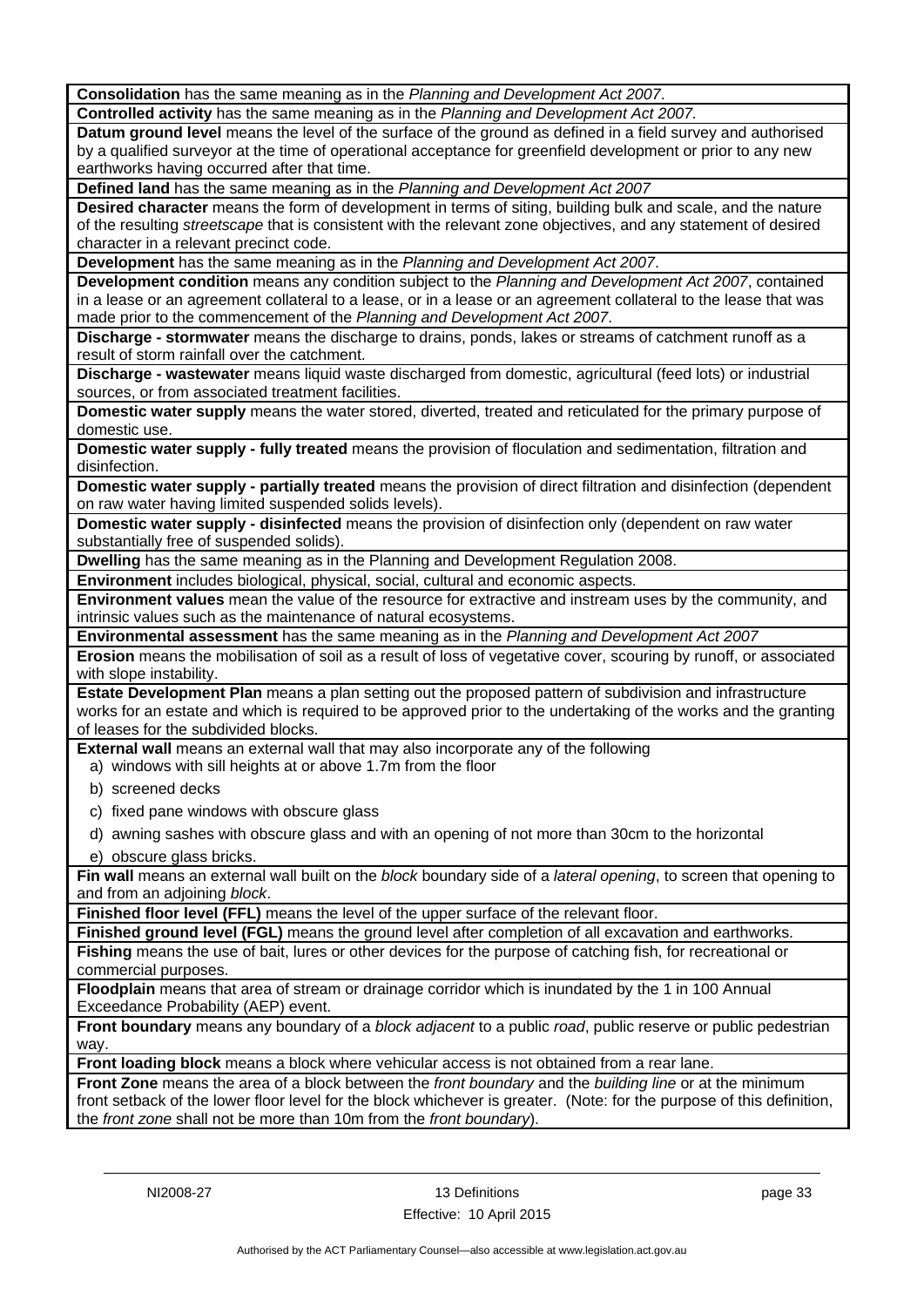**Consolidation** has the same meaning as in the *Planning and Development Act 2007*.

**Controlled activity** has the same meaning as in the *Planning and Development Act 2007.*

**Datum ground level** means the level of the surface of the ground as defined in a field survey and authorised by a qualified surveyor at the time of operational acceptance for greenfield development or prior to any new earthworks having occurred after that time.

**Defined land** has the same meaning as in the *Planning and Development Act 2007*

**Desired character** means the form of development in terms of siting, building bulk and scale, and the nature of the resulting *streetscape* that is consistent with the relevant zone objectives, and any statement of desired character in a relevant precinct code.

**Development** has the same meaning as in the *Planning and Development Act 2007*.

**Development condition** means any condition subject to the *Planning and Development Act 2007*, contained in a lease or an agreement collateral to a lease, or in a lease or an agreement collateral to the lease that was made prior to the commencement of the *Planning and Development Act 2007*.

**Discharge - stormwater** means the discharge to drains, ponds, lakes or streams of catchment runoff as a result of storm rainfall over the catchment.

**Discharge - wastewater** means liquid waste discharged from domestic, agricultural (feed lots) or industrial sources, or from associated treatment facilities.

**Domestic water supply** means the water stored, diverted, treated and reticulated for the primary purpose of domestic use.

**Domestic water supply - fully treated** means the provision of floculation and sedimentation, filtration and disinfection.

**Domestic water supply - partially treated** means the provision of direct filtration and disinfection (dependent on raw water having limited suspended solids levels).

**Domestic water supply - disinfected** means the provision of disinfection only (dependent on raw water substantially free of suspended solids).

**Dwelling** has the same meaning as in the Planning and Development Regulation 2008.

**Environment** includes biological, physical, social, cultural and economic aspects.

**Environment values** mean the value of the resource for extractive and instream uses by the community, and intrinsic values such as the maintenance of natural ecosystems.

**Environmental assessment** has the same meaning as in the *Planning and Development Act 2007*

**Erosion** means the mobilisation of soil as a result of loss of vegetative cover, scouring by runoff, or associated with slope instability.

**Estate Development Plan** means a plan setting out the proposed pattern of subdivision and infrastructure works for an estate and which is required to be approved prior to the undertaking of the works and the granting of leases for the subdivided blocks.

**External wall** means an external wall that may also incorporate any of the following

a) windows with sill heights at or above 1.7m from the floor

- b) screened decks
- c) fixed pane windows with obscure glass
- d) awning sashes with obscure glass and with an opening of not more than 30cm to the horizontal
- e) obscure glass bricks.

**Fin wall** means an external wall built on the *block* boundary side of a *lateral opening*, to screen that opening to and from an adjoining *block*.

**Finished floor level (FFL)** means the level of the upper surface of the relevant floor.

**Finished ground level (FGL)** means the ground level after completion of all excavation and earthworks.

**Fishing** means the use of bait, lures or other devices for the purpose of catching fish, for recreational or commercial purposes.

**Floodplain** means that area of stream or drainage corridor which is inundated by the 1 in 100 Annual Exceedance Probability (AEP) event.

**Front boundary** means any boundary of a *block adjacent* to a public *road*, public reserve or public pedestrian way.

**Front loading block** means a block where vehicular access is not obtained from a rear lane.

**Front Zone** means the area of a block between the *front boundary* and the *building line* or at the minimum front setback of the lower floor level for the block whichever is greater. (Note: for the purpose of this definition, the *front zone* shall not be more than 10m from the *front boundary*).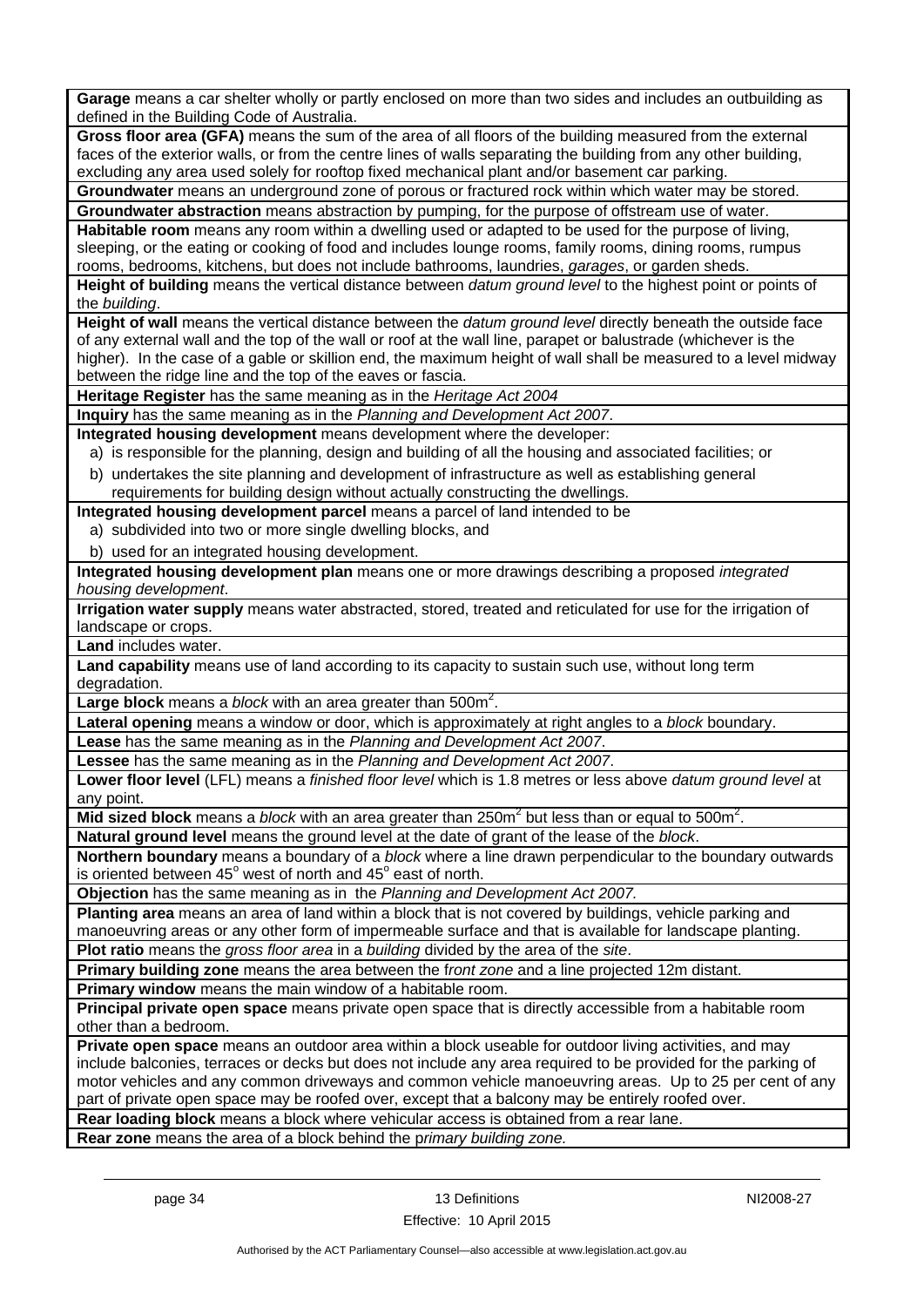**Garage** means a car shelter wholly or partly enclosed on more than two sides and includes an outbuilding as defined in the Building Code of Australia.

**Gross floor area (GFA)** means the sum of the area of all floors of the building measured from the external faces of the exterior walls, or from the centre lines of walls separating the building from any other building, excluding any area used solely for rooftop fixed mechanical plant and/or basement car parking.

**Groundwater** means an underground zone of porous or fractured rock within which water may be stored. **Groundwater abstraction** means abstraction by pumping, for the purpose of offstream use of water.

**Habitable room** means any room within a dwelling used or adapted to be used for the purpose of living, sleeping, or the eating or cooking of food and includes lounge rooms, family rooms, dining rooms, rumpus rooms, bedrooms, kitchens, but does not include bathrooms, laundries, *garages*, or garden sheds.

**Height of building** means the vertical distance between *datum ground level* to the highest point or points of the *building*.

**Height of wall** means the vertical distance between the *datum ground level* directly beneath the outside face of any external wall and the top of the wall or roof at the wall line, parapet or balustrade (whichever is the higher). In the case of a gable or skillion end, the maximum height of wall shall be measured to a level midway between the ridge line and the top of the eaves or fascia.

**Heritage Register** has the same meaning as in the *Heritage Act 2004*

**Inquiry** has the same meaning as in the *Planning and Development Act 2007*.

**Integrated housing development** means development where the developer:

a) is responsible for the planning, design and building of all the housing and associated facilities; or

b) undertakes the site planning and development of infrastructure as well as establishing general requirements for building design without actually constructing the dwellings.

**Integrated housing development parcel** means a parcel of land intended to be

- a) subdivided into two or more single dwelling blocks, and
- b) used for an integrated housing development.

**Integrated housing development plan** means one or more drawings describing a proposed *integrated housing development*.

**Irrigation water supply** means water abstracted, stored, treated and reticulated for use for the irrigation of landscape or crops.

**Land** includes water.

**Land capability** means use of land according to its capacity to sustain such use, without long term degradation

Large block means a *block* with an area greater than 500m<sup>2</sup>.

**Lateral opening** means a window or door, which is approximately at right angles to a *block* boundary.

**Lease** has the same meaning as in the *Planning and Development Act 2007*.

**Lessee** has the same meaning as in the *Planning and Development Act 2007*.

**Lower floor level** (LFL) means a *finished floor level* which is 1.8 metres or less above *datum ground level* at any point.

Mid sized block means a *block* with an area greater than 250m<sup>2</sup> but less than or equal to 500m<sup>2</sup>.

**Natural ground level** means the ground level at the date of grant of the lease of the *block*.

**Northern boundary** means a boundary of a *block* where a line drawn perpendicular to the boundary outwards is oriented between  $45^{\circ}$  west of north and  $45^{\circ}$  east of north.

**Objection** has the same meaning as in the *Planning and Development Act 2007.*

**Planting area** means an area of land within a block that is not covered by buildings, vehicle parking and manoeuvring areas or any other form of impermeable surface and that is available for landscape planting.

**Plot ratio** means the *gross floor area* in a *building* divided by the area of the *site*.

**Primary building zone** means the area between the f*ront zone* and a line projected 12m distant.

**Primary window** means the main window of a habitable room.

**Principal private open space** means private open space that is directly accessible from a habitable room other than a bedroom.

**Private open space** means an outdoor area within a block useable for outdoor living activities, and may include balconies, terraces or decks but does not include any area required to be provided for the parking of motor vehicles and any common driveways and common vehicle manoeuvring areas. Up to 25 per cent of any part of private open space may be roofed over, except that a balcony may be entirely roofed over.

**Rear loading block** means a block where vehicular access is obtained from a rear lane.

**Rear zone** means the area of a block behind the p*rimary building zone.*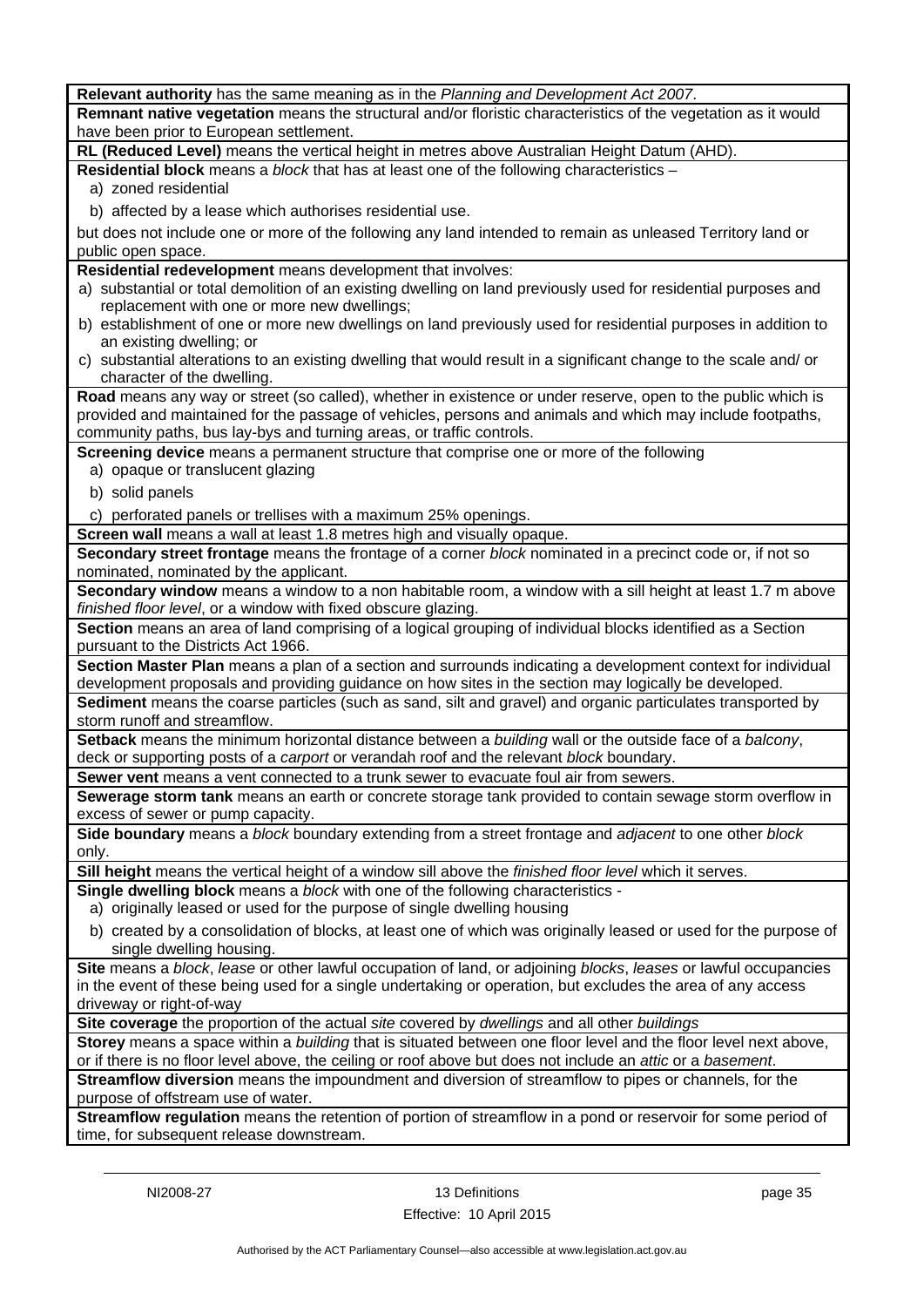| Relevant authority has the same meaning as in the Planning and Development Act 2007.                                                               |
|----------------------------------------------------------------------------------------------------------------------------------------------------|
| Remnant native vegetation means the structural and/or floristic characteristics of the vegetation as it would                                      |
| have been prior to European settlement.                                                                                                            |
| RL (Reduced Level) means the vertical height in metres above Australian Height Datum (AHD).                                                        |
| Residential block means a block that has at least one of the following characteristics -                                                           |
| a) zoned residential                                                                                                                               |
| b) affected by a lease which authorises residential use.                                                                                           |
|                                                                                                                                                    |
| but does not include one or more of the following any land intended to remain as unleased Territory land or                                        |
| public open space.                                                                                                                                 |
| Residential redevelopment means development that involves:                                                                                         |
| a) substantial or total demolition of an existing dwelling on land previously used for residential purposes and                                    |
| replacement with one or more new dwellings;                                                                                                        |
| b) establishment of one or more new dwellings on land previously used for residential purposes in addition to<br>an existing dwelling; or          |
| c) substantial alterations to an existing dwelling that would result in a significant change to the scale and/or                                   |
| character of the dwelling.                                                                                                                         |
| Road means any way or street (so called), whether in existence or under reserve, open to the public which is                                       |
| provided and maintained for the passage of vehicles, persons and animals and which may include footpaths,                                          |
| community paths, bus lay-bys and turning areas, or traffic controls.                                                                               |
| Screening device means a permanent structure that comprise one or more of the following                                                            |
| a) opaque or translucent glazing                                                                                                                   |
|                                                                                                                                                    |
| b) solid panels                                                                                                                                    |
| c) perforated panels or trellises with a maximum 25% openings.                                                                                     |
| Screen wall means a wall at least 1.8 metres high and visually opaque.                                                                             |
| Secondary street frontage means the frontage of a corner block nominated in a precinct code or, if not so                                          |
| nominated, nominated by the applicant.                                                                                                             |
| Secondary window means a window to a non habitable room, a window with a sill height at least 1.7 m above                                          |
| finished floor level, or a window with fixed obscure glazing.                                                                                      |
| Section means an area of land comprising of a logical grouping of individual blocks identified as a Section<br>pursuant to the Districts Act 1966. |
| Section Master Plan means a plan of a section and surrounds indicating a development context for individual                                        |
| development proposals and providing guidance on how sites in the section may logically be developed.                                               |
| Sediment means the coarse particles (such as sand, silt and gravel) and organic particulates transported by                                        |
| storm runoff and streamflow.                                                                                                                       |
| Setback means the minimum horizontal distance between a building wall or the outside face of a balcony,                                            |
| deck or supporting posts of a carport or verandah roof and the relevant block boundary.                                                            |
| Sewer vent means a vent connected to a trunk sewer to evacuate foul air from sewers.                                                               |
| Sewerage storm tank means an earth or concrete storage tank provided to contain sewage storm overflow in                                           |
| excess of sewer or pump capacity.                                                                                                                  |
| Side boundary means a block boundary extending from a street frontage and adjacent to one other block                                              |
| only.                                                                                                                                              |
| Sill height means the vertical height of a window sill above the finished floor level which it serves.                                             |
| Single dwelling block means a block with one of the following characteristics -                                                                    |
| a) originally leased or used for the purpose of single dwelling housing                                                                            |
| b) created by a consolidation of blocks, at least one of which was originally leased or used for the purpose of                                    |
| single dwelling housing.                                                                                                                           |
| Site means a block, lease or other lawful occupation of land, or adjoining blocks, leases or lawful occupancies                                    |
| in the event of these being used for a single undertaking or operation, but excludes the area of any access                                        |
| driveway or right-of-way                                                                                                                           |
| Site coverage the proportion of the actual site covered by dwellings and all other buildings                                                       |
| Storey means a space within a building that is situated between one floor level and the floor level next above,                                    |
| or if there is no floor level above, the ceiling or roof above but does not include an attic or a basement.                                        |
| Streamflow diversion means the impoundment and diversion of streamflow to pipes or channels, for the                                               |
| purpose of offstream use of water.                                                                                                                 |
| Streamflow regulation means the retention of portion of streamflow in a pond or reservoir for some period of                                       |
| time, for subsequent release downstream.                                                                                                           |